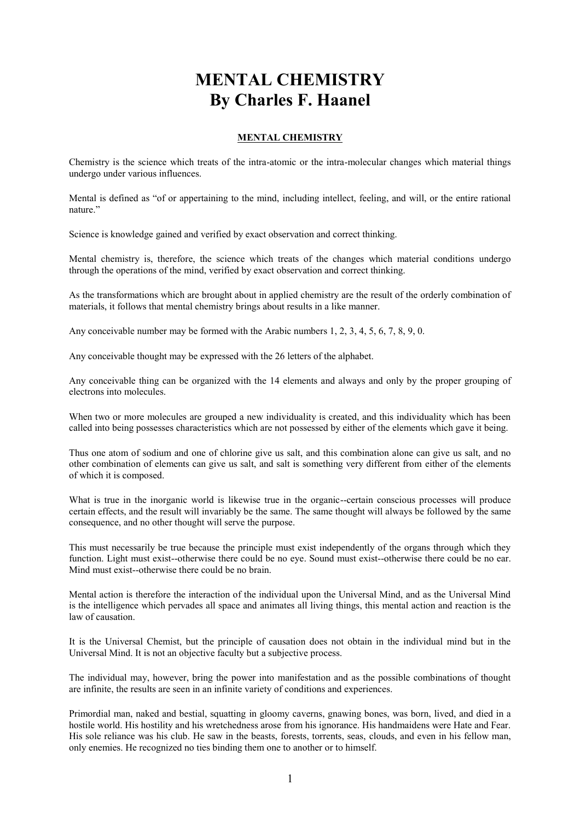# **MENTAL CHEMISTRY By Charles F. Haanel**

## **MENTAL CHEMISTRY**

Chemistry is the science which treats of the intra-atomic or the intra-molecular changes which material things undergo under various influences.

Mental is defined as "of or appertaining to the mind, including intellect, feeling, and will, or the entire rational nature."

Science is knowledge gained and verified by exact observation and correct thinking.

Mental chemistry is, therefore, the science which treats of the changes which material conditions undergo through the operations of the mind, verified by exact observation and correct thinking.

As the transformations which are brought about in applied chemistry are the result of the orderly combination of materials, it follows that mental chemistry brings about results in a like manner.

Any conceivable number may be formed with the Arabic numbers 1, 2, 3, 4, 5, 6, 7, 8, 9, 0.

Any conceivable thought may be expressed with the 26 letters of the alphabet.

Any conceivable thing can be organized with the 14 elements and always and only by the proper grouping of electrons into molecules.

When two or more molecules are grouped a new individuality is created, and this individuality which has been called into being possesses characteristics which are not possessed by either of the elements which gave it being.

Thus one atom of sodium and one of chlorine give us salt, and this combination alone can give us salt, and no other combination of elements can give us salt, and salt is something very different from either of the elements of which it is composed.

What is true in the inorganic world is likewise true in the organic--certain conscious processes will produce certain effects, and the result will invariably be the same. The same thought will always be followed by the same consequence, and no other thought will serve the purpose.

This must necessarily be true because the principle must exist independently of the organs through which they function. Light must exist--otherwise there could be no eye. Sound must exist--otherwise there could be no ear. Mind must exist--otherwise there could be no brain.

Mental action is therefore the interaction of the individual upon the Universal Mind, and as the Universal Mind is the intelligence which pervades all space and animates all living things, this mental action and reaction is the law of causation.

It is the Universal Chemist, but the principle of causation does not obtain in the individual mind but in the Universal Mind. It is not an objective faculty but a subjective process.

The individual may, however, bring the power into manifestation and as the possible combinations of thought are infinite, the results are seen in an infinite variety of conditions and experiences.

Primordial man, naked and bestial, squatting in gloomy caverns, gnawing bones, was born, lived, and died in a hostile world. His hostility and his wretchedness arose from his ignorance. His handmaidens were Hate and Fear. His sole reliance was his club. He saw in the beasts, forests, torrents, seas, clouds, and even in his fellow man, only enemies. He recognized no ties binding them one to another or to himself.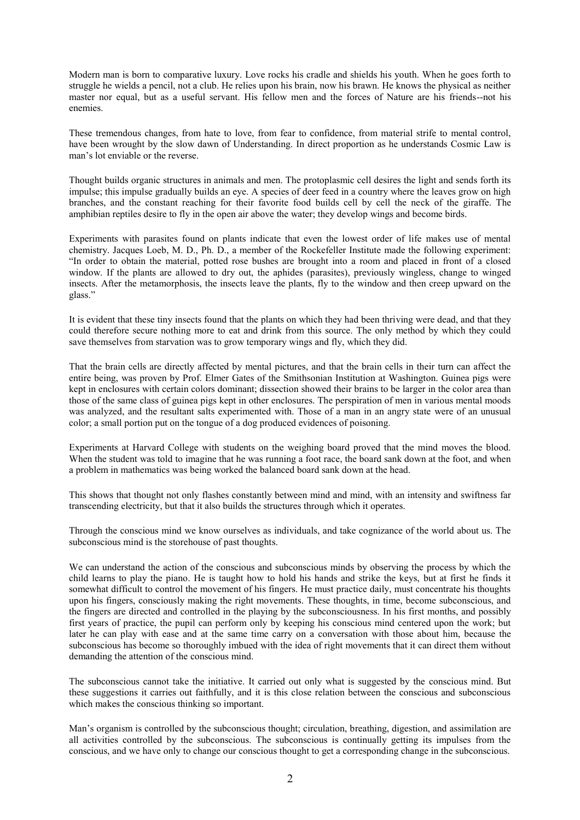Modern man is born to comparative luxury. Love rocks his cradle and shields his youth. When he goes forth to struggle he wields a pencil, not a club. He relies upon his brain, now his brawn. He knows the physical as neither master nor equal, but as a useful servant. His fellow men and the forces of Nature are his friends--not his enemies.

These tremendous changes, from hate to love, from fear to confidence, from material strife to mental control, have been wrought by the slow dawn of Understanding. In direct proportion as he understands Cosmic Law is man's lot enviable or the reverse.

Thought builds organic structures in animals and men. The protoplasmic cell desires the light and sends forth its impulse; this impulse gradually builds an eye. A species of deer feed in a country where the leaves grow on high branches, and the constant reaching for their favorite food builds cell by cell the neck of the giraffe. The amphibian reptiles desire to fly in the open air above the water; they develop wings and become birds.

Experiments with parasites found on plants indicate that even the lowest order of life makes use of mental chemistry. Jacques Loeb, M. D., Ph. D., a member of the Rockefeller Institute made the following experiment: "In order to obtain the material, potted rose bushes are brought into a room and placed in front of a closed window. If the plants are allowed to dry out, the aphides (parasites), previously wingless, change to winged insects. After the metamorphosis, the insects leave the plants, fly to the window and then creep upward on the glass."

It is evident that these tiny insects found that the plants on which they had been thriving were dead, and that they could therefore secure nothing more to eat and drink from this source. The only method by which they could save themselves from starvation was to grow temporary wings and fly, which they did.

That the brain cells are directly affected by mental pictures, and that the brain cells in their turn can affect the entire being, was proven by Prof. Elmer Gates of the Smithsonian Institution at Washington. Guinea pigs were kept in enclosures with certain colors dominant; dissection showed their brains to be larger in the color area than those of the same class of guinea pigs kept in other enclosures. The perspiration of men in various mental moods was analyzed, and the resultant salts experimented with. Those of a man in an angry state were of an unusual color; a small portion put on the tongue of a dog produced evidences of poisoning.

Experiments at Harvard College with students on the weighing board proved that the mind moves the blood. When the student was told to imagine that he was running a foot race, the board sank down at the foot, and when a problem in mathematics was being worked the balanced board sank down at the head.

This shows that thought not only flashes constantly between mind and mind, with an intensity and swiftness far transcending electricity, but that it also builds the structures through which it operates.

Through the conscious mind we know ourselves as individuals, and take cognizance of the world about us. The subconscious mind is the storehouse of past thoughts.

We can understand the action of the conscious and subconscious minds by observing the process by which the child learns to play the piano. He is taught how to hold his hands and strike the keys, but at first he finds it somewhat difficult to control the movement of his fingers. He must practice daily, must concentrate his thoughts upon his fingers, consciously making the right movements. These thoughts, in time, become subconscious, and the fingers are directed and controlled in the playing by the subconsciousness. In his first months, and possibly first years of practice, the pupil can perform only by keeping his conscious mind centered upon the work; but later he can play with ease and at the same time carry on a conversation with those about him, because the subconscious has become so thoroughly imbued with the idea of right movements that it can direct them without demanding the attention of the conscious mind.

The subconscious cannot take the initiative. It carried out only what is suggested by the conscious mind. But these suggestions it carries out faithfully, and it is this close relation between the conscious and subconscious which makes the conscious thinking so important.

Man's organism is controlled by the subconscious thought; circulation, breathing, digestion, and assimilation are all activities controlled by the subconscious. The subconscious is continually getting its impulses from the conscious, and we have only to change our conscious thought to get a corresponding change in the subconscious.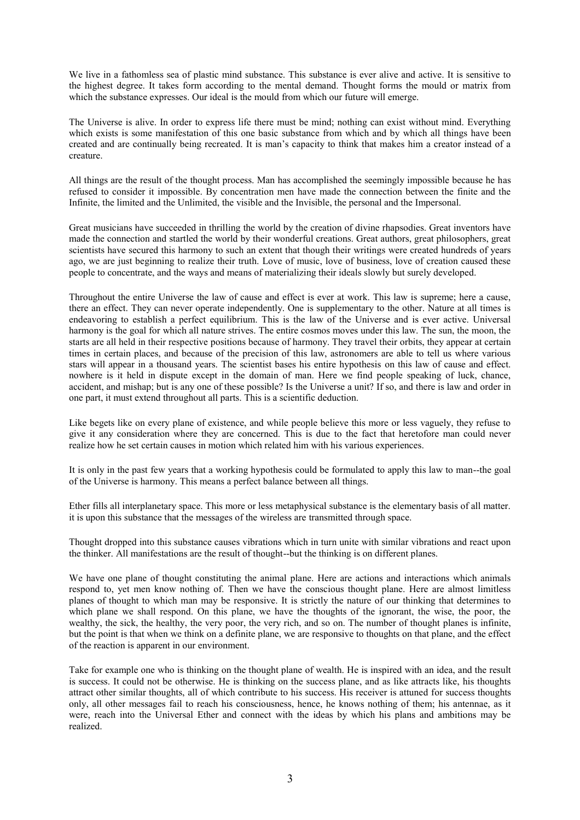We live in a fathomless sea of plastic mind substance. This substance is ever alive and active. It is sensitive to the highest degree. It takes form according to the mental demand. Thought forms the mould or matrix from which the substance expresses. Our ideal is the mould from which our future will emerge.

The Universe is alive. In order to express life there must be mind; nothing can exist without mind. Everything which exists is some manifestation of this one basic substance from which and by which all things have been created and are continually being recreated. It is man's capacity to think that makes him a creator instead of a creature.

All things are the result of the thought process. Man has accomplished the seemingly impossible because he has refused to consider it impossible. By concentration men have made the connection between the finite and the Infinite, the limited and the Unlimited, the visible and the Invisible, the personal and the Impersonal.

Great musicians have succeeded in thrilling the world by the creation of divine rhapsodies. Great inventors have made the connection and startled the world by their wonderful creations. Great authors, great philosophers, great scientists have secured this harmony to such an extent that though their writings were created hundreds of years ago, we are just beginning to realize their truth. Love of music, love of business, love of creation caused these people to concentrate, and the ways and means of materializing their ideals slowly but surely developed.

Throughout the entire Universe the law of cause and effect is ever at work. This law is supreme; here a cause, there an effect. They can never operate independently. One is supplementary to the other. Nature at all times is endeavoring to establish a perfect equilibrium. This is the law of the Universe and is ever active. Universal harmony is the goal for which all nature strives. The entire cosmos moves under this law. The sun, the moon, the starts are all held in their respective positions because of harmony. They travel their orbits, they appear at certain times in certain places, and because of the precision of this law, astronomers are able to tell us where various stars will appear in a thousand years. The scientist bases his entire hypothesis on this law of cause and effect. nowhere is it held in dispute except in the domain of man. Here we find people speaking of luck, chance, accident, and mishap; but is any one of these possible? Is the Universe a unit? If so, and there is law and order in one part, it must extend throughout all parts. This is a scientific deduction.

Like begets like on every plane of existence, and while people believe this more or less vaguely, they refuse to give it any consideration where they are concerned. This is due to the fact that heretofore man could never realize how he set certain causes in motion which related him with his various experiences.

It is only in the past few years that a working hypothesis could be formulated to apply this law to man--the goal of the Universe is harmony. This means a perfect balance between all things.

Ether fills all interplanetary space. This more or less metaphysical substance is the elementary basis of all matter. it is upon this substance that the messages of the wireless are transmitted through space.

Thought dropped into this substance causes vibrations which in turn unite with similar vibrations and react upon the thinker. All manifestations are the result of thought--but the thinking is on different planes.

We have one plane of thought constituting the animal plane. Here are actions and interactions which animals respond to, yet men know nothing of. Then we have the conscious thought plane. Here are almost limitless planes of thought to which man may be responsive. It is strictly the nature of our thinking that determines to which plane we shall respond. On this plane, we have the thoughts of the ignorant, the wise, the poor, the wealthy, the sick, the healthy, the very poor, the very rich, and so on. The number of thought planes is infinite, but the point is that when we think on a definite plane, we are responsive to thoughts on that plane, and the effect of the reaction is apparent in our environment.

Take for example one who is thinking on the thought plane of wealth. He is inspired with an idea, and the result is success. It could not be otherwise. He is thinking on the success plane, and as like attracts like, his thoughts attract other similar thoughts, all of which contribute to his success. His receiver is attuned for success thoughts only, all other messages fail to reach his consciousness, hence, he knows nothing of them; his antennae, as it were, reach into the Universal Ether and connect with the ideas by which his plans and ambitions may be realized.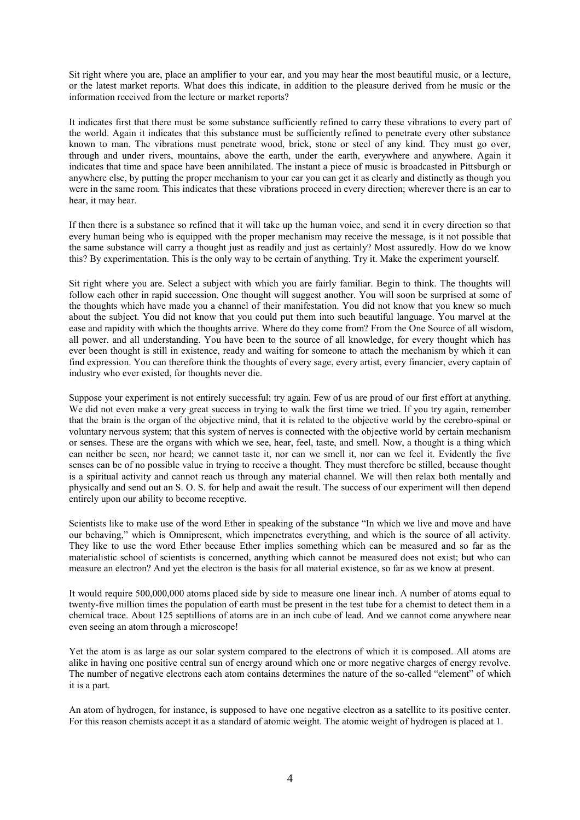Sit right where you are, place an amplifier to your ear, and you may hear the most beautiful music, or a lecture, or the latest market reports. What does this indicate, in addition to the pleasure derived from he music or the information received from the lecture or market reports?

It indicates first that there must be some substance sufficiently refined to carry these vibrations to every part of the world. Again it indicates that this substance must be sufficiently refined to penetrate every other substance known to man. The vibrations must penetrate wood, brick, stone or steel of any kind. They must go over, through and under rivers, mountains, above the earth, under the earth, everywhere and anywhere. Again it indicates that time and space have been annihilated. The instant a piece of music is broadcasted in Pittsburgh or anywhere else, by putting the proper mechanism to your ear you can get it as clearly and distinctly as though you were in the same room. This indicates that these vibrations proceed in every direction; wherever there is an ear to hear, it may hear.

If then there is a substance so refined that it will take up the human voice, and send it in every direction so that every human being who is equipped with the proper mechanism may receive the message, is it not possible that the same substance will carry a thought just as readily and just as certainly? Most assuredly. How do we know this? By experimentation. This is the only way to be certain of anything. Try it. Make the experiment yourself.

Sit right where you are. Select a subject with which you are fairly familiar. Begin to think. The thoughts will follow each other in rapid succession. One thought will suggest another. You will soon be surprised at some of the thoughts which have made you a channel of their manifestation. You did not know that you knew so much about the subject. You did not know that you could put them into such beautiful language. You marvel at the ease and rapidity with which the thoughts arrive. Where do they come from? From the One Source of all wisdom, all power. and all understanding. You have been to the source of all knowledge, for every thought which has ever been thought is still in existence, ready and waiting for someone to attach the mechanism by which it can find expression. You can therefore think the thoughts of every sage, every artist, every financier, every captain of industry who ever existed, for thoughts never die.

Suppose your experiment is not entirely successful; try again. Few of us are proud of our first effort at anything. We did not even make a very great success in trying to walk the first time we tried. If you try again, remember that the brain is the organ of the objective mind, that it is related to the objective world by the cerebro-spinal or voluntary nervous system; that this system of nerves is connected with the objective world by certain mechanism or senses. These are the organs with which we see, hear, feel, taste, and smell. Now, a thought is a thing which can neither be seen, nor heard; we cannot taste it, nor can we smell it, nor can we feel it. Evidently the five senses can be of no possible value in trying to receive a thought. They must therefore be stilled, because thought is a spiritual activity and cannot reach us through any material channel. We will then relax both mentally and physically and send out an S. O. S. for help and await the result. The success of our experiment will then depend entirely upon our ability to become receptive.

Scientists like to make use of the word Ether in speaking of the substance "In which we live and move and have our behaving," which is Omnipresent, which impenetrates everything, and which is the source of all activity. They like to use the word Ether because Ether implies something which can be measured and so far as the materialistic school of scientists is concerned, anything which cannot be measured does not exist; but who can measure an electron? And yet the electron is the basis for all material existence, so far as we know at present.

It would require 500,000,000 atoms placed side by side to measure one linear inch. A number of atoms equal to twenty-five million times the population of earth must be present in the test tube for a chemist to detect them in a chemical trace. About 125 septillions of atoms are in an inch cube of lead. And we cannot come anywhere near even seeing an atom through a microscope!

Yet the atom is as large as our solar system compared to the electrons of which it is composed. All atoms are alike in having one positive central sun of energy around which one or more negative charges of energy revolve. The number of negative electrons each atom contains determines the nature of the so-called "element" of which it is a part.

An atom of hydrogen, for instance, is supposed to have one negative electron as a satellite to its positive center. For this reason chemists accept it as a standard of atomic weight. The atomic weight of hydrogen is placed at 1.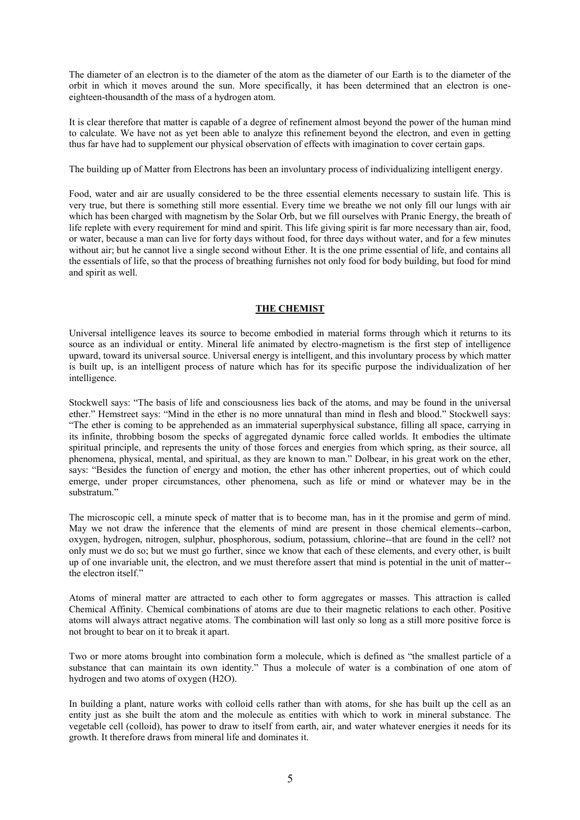The diameter of an electron is to the diameter of the atom as the diameter of our Earth is to the diameter of the orbit in which it moves around the sun. More specifically, it has been determined that an electron is oneeighteen-thousandth of the mass of a hydrogen atom.

It is clear therefore that matter is capable of a degree of refinement almost beyond the power of the human mind to calculate. We have not as yet been able to analyze this refinement beyond the electron, and even in getting thus far have had to supplement our physical observation of effects with imagination to cover certain gaps.

The building up of Matter from Electrons has been an involuntary process of individualizing intelligent energy.

Food, water and air are usually considered to be the three essential elements necessary to sustain life. This is very true, but there is something still more essential. Every time we breathe we not only fill our lungs with air which has been charged with magnetism by the Solar Orb, but we fill ourselves with Pranic Energy, the breath of life replete with every requirement for mind and spirit. This life giving spirit is far more necessary than air, food, or water, because a man can live for forty days without food, for three days without water, and for a few minutes without air; but he cannot live a single second without Ether. It is the one prime essential of life, and contains all the essentials of life, so that the process of breathing furnishes not only food for body building, but food for mind and spirit as well.

## **THE CHEMIST**

Universal intelligence leaves its source to become embodied in material forms through which it returns to its source as an individual or entity. Mineral life animated by electro-magnetism is the first step of intelligence upward, toward its universal source. Universal energy is intelligent, and this involuntary process by which matter is built up, is an intelligent process of nature which has for its specific purpose the individualization of her intelligence.

Stockwell says: "The basis of life and consciousness lies back of the atoms, and may be found in the universal ether." Hemstreet says: "Mind in the ether is no more unnatural than mind in flesh and blood." Stockwell says: "The ether is coming to be apprehended as an immaterial superphysical substance, filling all space, carrying in its infinite, throbbing bosom the specks of aggregated dynamic force called worlds. It embodies the ultimate spiritual principle, and represents the unity of those forces and energies from which spring, as their source, all phenomena, physical, mental, and spiritual, as they are known to man." Dolbear, in his great work on the ether, says: "Besides the function of energy and motion, the ether has other inherent properties, out of which could emerge, under proper circumstances, other phenomena, such as life or mind or whatever may be in the substratum."

The microscopic cell, a minute speck of matter that is to become man, has in it the promise and germ of mind. May we not draw the inference that the elements of mind are present in those chemical elements--carbon, oxygen, hydrogen, nitrogen, sulphur, phosphorous, sodium, potassium, chlorine--that are found in the cell? not only must we do so; but we must go further, since we know that each of these elements, and every other, is built up of one invariable unit, the electron, and we must therefore assert that mind is potential in the unit of matter- the electron itself."

Atoms of mineral matter are attracted to each other to form aggregates or masses. This attraction is called Chemical Affinity. Chemical combinations of atoms are due to their magnetic relations to each other. Positive atoms will always attract negative atoms. The combination will last only so long as a still more positive force is not brought to bear on it to break it apart.

Two or more atoms brought into combination form a molecule, which is defined as "the smallest particle of a substance that can maintain its own identity." Thus a molecule of water is a combination of one atom of hydrogen and two atoms of oxygen (H2O).

In building a plant, nature works with colloid cells rather than with atoms, for she has built up the cell as an entity just as she built the atom and the molecule as entities with which to work in mineral substance. The vegetable cell (colloid), has power to draw to itself from earth, air, and water whatever energies it needs for its growth. It therefore draws from mineral life and dominates it.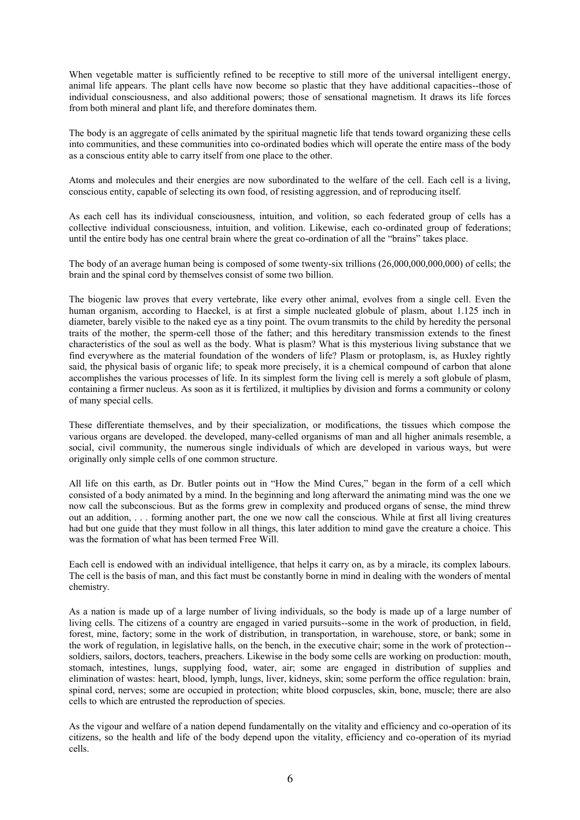When vegetable matter is sufficiently refined to be receptive to still more of the universal intelligent energy, animal life appears. The plant cells have now become so plastic that they have additional capacities--those of individual consciousness, and also additional powers; those of sensational magnetism. It draws its life forces from both mineral and plant life, and therefore dominates them.

The body is an aggregate of cells animated by the spiritual magnetic life that tends toward organizing these cells into communities, and these communities into co-ordinated bodies which will operate the entire mass of the body as a conscious entity able to carry itself from one place to the other.

Atoms and molecules and their energies are now subordinated to the welfare of the cell. Each cell is a living, conscious entity, capable of selecting its own food, of resisting aggression, and of reproducing itself.

As each cell has its individual consciousness, intuition, and volition, so each federated group of cells has a collective individual consciousness, intuition, and volition. Likewise, each co-ordinated group of federations; until the entire body has one central brain where the great co-ordination of all the "brains" takes place.

The body of an average human being is composed of some twenty-six trillions (26,000,000,000,000) of cells; the brain and the spinal cord by themselves consist of some two billion.

The biogenic law proves that every vertebrate, like every other animal, evolves from a single cell. Even the human organism, according to Haeckel, is at first a simple nucleated globule of plasm, about 1.125 inch in diameter, barely visible to the naked eye as a tiny point. The ovum transmits to the child by heredity the personal traits of the mother, the sperm-cell those of the father; and this hereditary transmission extends to the finest characteristics of the soul as well as the body. What is plasm? What is this mysterious living substance that we find everywhere as the material foundation of the wonders of life? Plasm or protoplasm, is, as Huxley rightly said, the physical basis of organic life; to speak more precisely, it is a chemical compound of carbon that alone accomplishes the various processes of life. In its simplest form the living cell is merely a soft globule of plasm, containing a firmer nucleus. As soon as it is fertilized, it multiplies by division and forms a community or colony of many special cells.

These differentiate themselves, and by their specialization, or modifications, the tissues which compose the various organs are developed. the developed, many-celled organisms of man and all higher animals resemble, a social, civil community, the numerous single individuals of which are developed in various ways, but were originally only simple cells of one common structure.

All life on this earth, as Dr. Butler points out in "How the Mind Cures," began in the form of a cell which consisted of a body animated by a mind. In the beginning and long afterward the animating mind was the one we now call the subconscious. But as the forms grew in complexity and produced organs of sense, the mind threw out an addition, . . . forming another part, the one we now call the conscious. While at first all living creatures had but one guide that they must follow in all things, this later addition to mind gave the creature a choice. This was the formation of what has been termed Free Will.

Each cell is endowed with an individual intelligence, that helps it carry on, as by a miracle, its complex labours. The cell is the basis of man, and this fact must be constantly borne in mind in dealing with the wonders of mental chemistry.

As a nation is made up of a large number of living individuals, so the body is made up of a large number of living cells. The citizens of a country are engaged in varied pursuits--some in the work of production, in field, forest, mine, factory; some in the work of distribution, in transportation, in warehouse, store, or bank; some in the work of regulation, in legislative halls, on the bench, in the executive chair; some in the work of protection- soldiers, sailors, doctors, teachers, preachers. Likewise in the body some cells are working on production: mouth, stomach, intestines, lungs, supplying food, water, air; some are engaged in distribution of supplies and elimination of wastes: heart, blood, lymph, lungs, liver, kidneys, skin; some perform the office regulation: brain, spinal cord, nerves; some are occupied in protection; white blood corpuscles, skin, bone, muscle; there are also cells to which are entrusted the reproduction of species.

As the vigour and welfare of a nation depend fundamentally on the vitality and efficiency and co-operation of its citizens, so the health and life of the body depend upon the vitality, efficiency and co-operation of its myriad cells.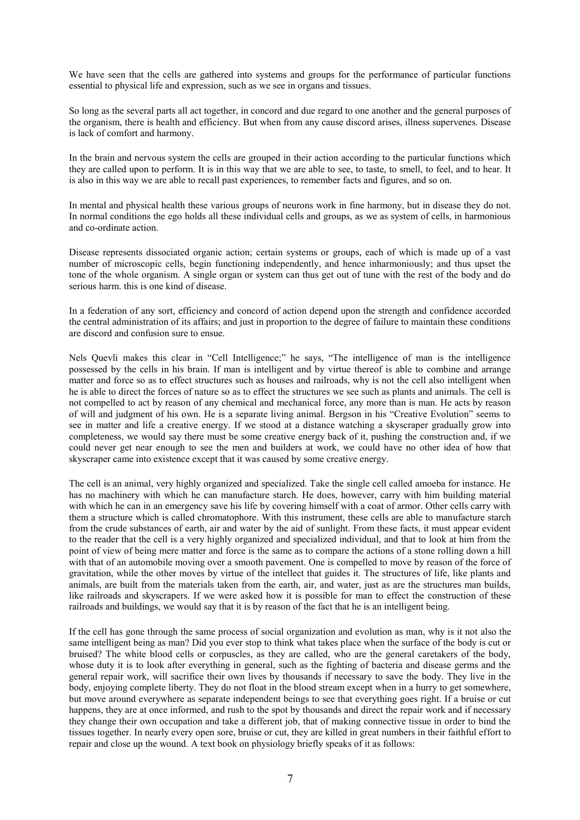We have seen that the cells are gathered into systems and groups for the performance of particular functions essential to physical life and expression, such as we see in organs and tissues.

So long as the several parts all act together, in concord and due regard to one another and the general purposes of the organism, there is health and efficiency. But when from any cause discord arises, illness supervenes. Disease is lack of comfort and harmony.

In the brain and nervous system the cells are grouped in their action according to the particular functions which they are called upon to perform. It is in this way that we are able to see, to taste, to smell, to feel, and to hear. It is also in this way we are able to recall past experiences, to remember facts and figures, and so on.

In mental and physical health these various groups of neurons work in fine harmony, but in disease they do not. In normal conditions the ego holds all these individual cells and groups, as we as system of cells, in harmonious and co-ordinate action.

Disease represents dissociated organic action; certain systems or groups, each of which is made up of a vast number of microscopic cells, begin functioning independently, and hence inharmoniously; and thus upset the tone of the whole organism. A single organ or system can thus get out of tune with the rest of the body and do serious harm. this is one kind of disease.

In a federation of any sort, efficiency and concord of action depend upon the strength and confidence accorded the central administration of its affairs; and just in proportion to the degree of failure to maintain these conditions are discord and confusion sure to ensue.

Nels Quevli makes this clear in "Cell Intelligence;" he says, "The intelligence of man is the intelligence possessed by the cells in his brain. If man is intelligent and by virtue thereof is able to combine and arrange matter and force so as to effect structures such as houses and railroads, why is not the cell also intelligent when he is able to direct the forces of nature so as to effect the structures we see such as plants and animals. The cell is not compelled to act by reason of any chemical and mechanical force, any more than is man. He acts by reason of will and judgment of his own. He is a separate living animal. Bergson in his "Creative Evolution" seems to see in matter and life a creative energy. If we stood at a distance watching a skyscraper gradually grow into completeness, we would say there must be some creative energy back of it, pushing the construction and, if we could never get near enough to see the men and builders at work, we could have no other idea of how that skyscraper came into existence except that it was caused by some creative energy.

The cell is an animal, very highly organized and specialized. Take the single cell called amoeba for instance. He has no machinery with which he can manufacture starch. He does, however, carry with him building material with which he can in an emergency save his life by covering himself with a coat of armor. Other cells carry with them a structure which is called chromatophore. With this instrument, these cells are able to manufacture starch from the crude substances of earth, air and water by the aid of sunlight. From these facts, it must appear evident to the reader that the cell is a very highly organized and specialized individual, and that to look at him from the point of view of being mere matter and force is the same as to compare the actions of a stone rolling down a hill with that of an automobile moving over a smooth pavement. One is compelled to move by reason of the force of gravitation, while the other moves by virtue of the intellect that guides it. The structures of life, like plants and animals, are built from the materials taken from the earth, air, and water, just as are the structures man builds, like railroads and skyscrapers. If we were asked how it is possible for man to effect the construction of these railroads and buildings, we would say that it is by reason of the fact that he is an intelligent being.

If the cell has gone through the same process of social organization and evolution as man, why is it not also the same intelligent being as man? Did you ever stop to think what takes place when the surface of the body is cut or bruised? The white blood cells or corpuscles, as they are called, who are the general caretakers of the body, whose duty it is to look after everything in general, such as the fighting of bacteria and disease germs and the general repair work, will sacrifice their own lives by thousands if necessary to save the body. They live in the body, enjoying complete liberty. They do not float in the blood stream except when in a hurry to get somewhere, but move around everywhere as separate independent beings to see that everything goes right. If a bruise or cut happens, they are at once informed, and rush to the spot by thousands and direct the repair work and if necessary they change their own occupation and take a different job, that of making connective tissue in order to bind the tissues together. In nearly every open sore, bruise or cut, they are killed in great numbers in their faithful effort to repair and close up the wound. A text book on physiology briefly speaks of it as follows: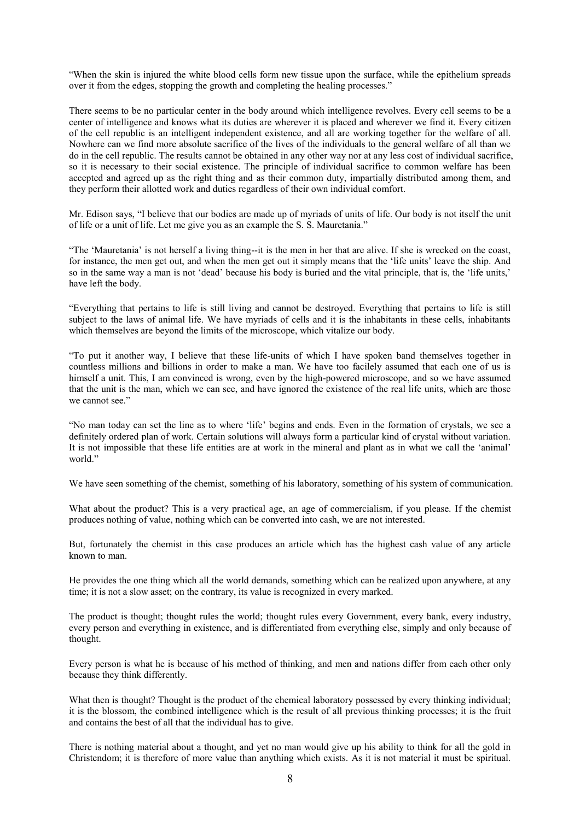"When the skin is injured the white blood cells form new tissue upon the surface, while the epithelium spreads over it from the edges, stopping the growth and completing the healing processes."

There seems to be no particular center in the body around which intelligence revolves. Every cell seems to be a center of intelligence and knows what its duties are wherever it is placed and wherever we find it. Every citizen of the cell republic is an intelligent independent existence, and all are working together for the welfare of all. Nowhere can we find more absolute sacrifice of the lives of the individuals to the general welfare of all than we do in the cell republic. The results cannot be obtained in any other way nor at any less cost of individual sacrifice, so it is necessary to their social existence. The principle of individual sacrifice to common welfare has been accepted and agreed up as the right thing and as their common duty, impartially distributed among them, and they perform their allotted work and duties regardless of their own individual comfort.

Mr. Edison says, "I believe that our bodies are made up of myriads of units of life. Our body is not itself the unit of life or a unit of life. Let me give you as an example the S. S. Mauretania."

"The 'Mauretania' is not herself a living thing--it is the men in her that are alive. If she is wrecked on the coast, for instance, the men get out, and when the men get out it simply means that the 'life units' leave the ship. And so in the same way a man is not 'dead' because his body is buried and the vital principle, that is, the 'life units,' have left the body.

"Everything that pertains to life is still living and cannot be destroyed. Everything that pertains to life is still subject to the laws of animal life. We have myriads of cells and it is the inhabitants in these cells, inhabitants which themselves are beyond the limits of the microscope, which vitalize our body.

"To put it another way, I believe that these life-units of which I have spoken band themselves together in countless millions and billions in order to make a man. We have too facilely assumed that each one of us is himself a unit. This, I am convinced is wrong, even by the high-powered microscope, and so we have assumed that the unit is the man, which we can see, and have ignored the existence of the real life units, which are those we cannot see."

"No man today can set the line as to where 'life' begins and ends. Even in the formation of crystals, we see a definitely ordered plan of work. Certain solutions will always form a particular kind of crystal without variation. It is not impossible that these life entities are at work in the mineral and plant as in what we call the 'animal' world."

We have seen something of the chemist, something of his laboratory, something of his system of communication.

What about the product? This is a very practical age, an age of commercialism, if you please. If the chemist produces nothing of value, nothing which can be converted into cash, we are not interested.

But, fortunately the chemist in this case produces an article which has the highest cash value of any article known to man.

He provides the one thing which all the world demands, something which can be realized upon anywhere, at any time; it is not a slow asset; on the contrary, its value is recognized in every marked.

The product is thought; thought rules the world; thought rules every Government, every bank, every industry, every person and everything in existence, and is differentiated from everything else, simply and only because of thought.

Every person is what he is because of his method of thinking, and men and nations differ from each other only because they think differently.

What then is thought? Thought is the product of the chemical laboratory possessed by every thinking individual; it is the blossom, the combined intelligence which is the result of all previous thinking processes; it is the fruit and contains the best of all that the individual has to give.

There is nothing material about a thought, and yet no man would give up his ability to think for all the gold in Christendom; it is therefore of more value than anything which exists. As it is not material it must be spiritual.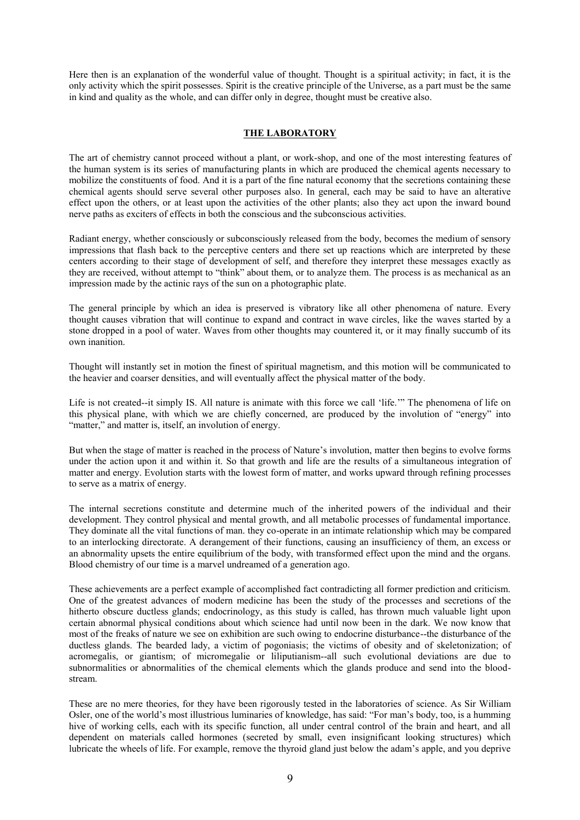Here then is an explanation of the wonderful value of thought. Thought is a spiritual activity; in fact, it is the only activity which the spirit possesses. Spirit is the creative principle of the Universe, as a part must be the same in kind and quality as the whole, and can differ only in degree, thought must be creative also.

## **THE LABORATORY**

The art of chemistry cannot proceed without a plant, or work-shop, and one of the most interesting features of the human system is its series of manufacturing plants in which are produced the chemical agents necessary to mobilize the constituents of food. And it is a part of the fine natural economy that the secretions containing these chemical agents should serve several other purposes also. In general, each may be said to have an alterative effect upon the others, or at least upon the activities of the other plants; also they act upon the inward bound nerve paths as exciters of effects in both the conscious and the subconscious activities.

Radiant energy, whether consciously or subconsciously released from the body, becomes the medium of sensory impressions that flash back to the perceptive centers and there set up reactions which are interpreted by these centers according to their stage of development of self, and therefore they interpret these messages exactly as they are received, without attempt to "think" about them, or to analyze them. The process is as mechanical as an impression made by the actinic rays of the sun on a photographic plate.

The general principle by which an idea is preserved is vibratory like all other phenomena of nature. Every thought causes vibration that will continue to expand and contract in wave circles, like the waves started by a stone dropped in a pool of water. Waves from other thoughts may countered it, or it may finally succumb of its own inanition.

Thought will instantly set in motion the finest of spiritual magnetism, and this motion will be communicated to the heavier and coarser densities, and will eventually affect the physical matter of the body.

Life is not created--it simply IS. All nature is animate with this force we call 'life.'" The phenomena of life on this physical plane, with which we are chiefly concerned, are produced by the involution of "energy" into "matter," and matter is, itself, an involution of energy.

But when the stage of matter is reached in the process of Nature's involution, matter then begins to evolve forms under the action upon it and within it. So that growth and life are the results of a simultaneous integration of matter and energy. Evolution starts with the lowest form of matter, and works upward through refining processes to serve as a matrix of energy.

The internal secretions constitute and determine much of the inherited powers of the individual and their development. They control physical and mental growth, and all metabolic processes of fundamental importance. They dominate all the vital functions of man. they co-operate in an intimate relationship which may be compared to an interlocking directorate. A derangement of their functions, causing an insufficiency of them, an excess or an abnormality upsets the entire equilibrium of the body, with transformed effect upon the mind and the organs. Blood chemistry of our time is a marvel undreamed of a generation ago.

These achievements are a perfect example of accomplished fact contradicting all former prediction and criticism. One of the greatest advances of modern medicine has been the study of the processes and secretions of the hitherto obscure ductless glands; endocrinology, as this study is called, has thrown much valuable light upon certain abnormal physical conditions about which science had until now been in the dark. We now know that most of the freaks of nature we see on exhibition are such owing to endocrine disturbance--the disturbance of the ductless glands. The bearded lady, a victim of pogoniasis; the victims of obesity and of skeletonization; of acromegalis, or giantism; of micromegalie or liliputianism--all such evolutional deviations are due to subnormalities or abnormalities of the chemical elements which the glands produce and send into the bloodstream.

These are no mere theories, for they have been rigorously tested in the laboratories of science. As Sir William Osler, one of the world's most illustrious luminaries of knowledge, has said: "For man's body, too, is a humming hive of working cells, each with its specific function, all under central control of the brain and heart, and all dependent on materials called hormones (secreted by small, even insignificant looking structures) which lubricate the wheels of life. For example, remove the thyroid gland just below the adam's apple, and you deprive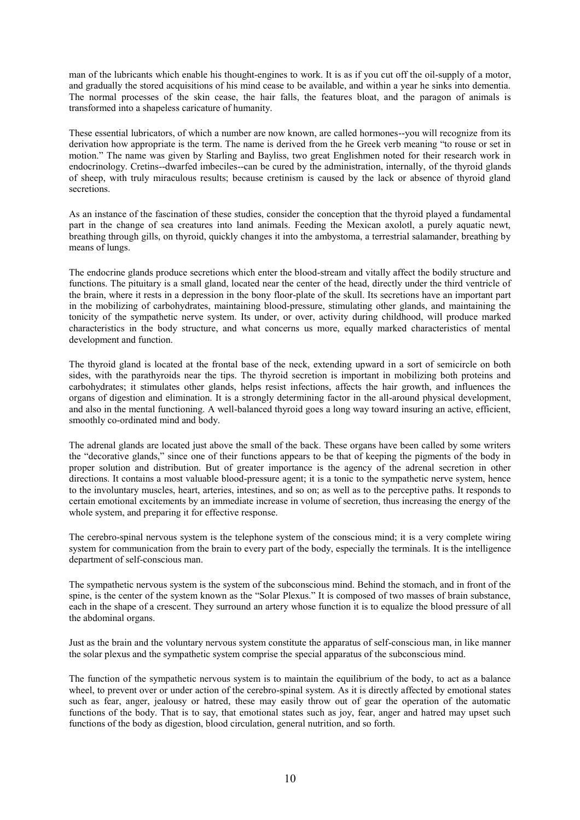man of the lubricants which enable his thought-engines to work. It is as if you cut off the oil-supply of a motor, and gradually the stored acquisitions of his mind cease to be available, and within a year he sinks into dementia. The normal processes of the skin cease, the hair falls, the features bloat, and the paragon of animals is transformed into a shapeless caricature of humanity.

These essential lubricators, of which a number are now known, are called hormones--you will recognize from its derivation how appropriate is the term. The name is derived from the he Greek verb meaning "to rouse or set in motion." The name was given by Starling and Bayliss, two great Englishmen noted for their research work in endocrinology. Cretins--dwarfed imbeciles--can be cured by the administration, internally, of the thyroid glands of sheep, with truly miraculous results; because cretinism is caused by the lack or absence of thyroid gland secretions.

As an instance of the fascination of these studies, consider the conception that the thyroid played a fundamental part in the change of sea creatures into land animals. Feeding the Mexican axolotl, a purely aquatic newt, breathing through gills, on thyroid, quickly changes it into the ambystoma, a terrestrial salamander, breathing by means of lungs.

The endocrine glands produce secretions which enter the blood-stream and vitally affect the bodily structure and functions. The pituitary is a small gland, located near the center of the head, directly under the third ventricle of the brain, where it rests in a depression in the bony floor-plate of the skull. Its secretions have an important part in the mobilizing of carbohydrates, maintaining blood-pressure, stimulating other glands, and maintaining the tonicity of the sympathetic nerve system. Its under, or over, activity during childhood, will produce marked characteristics in the body structure, and what concerns us more, equally marked characteristics of mental development and function.

The thyroid gland is located at the frontal base of the neck, extending upward in a sort of semicircle on both sides, with the parathyroids near the tips. The thyroid secretion is important in mobilizing both proteins and carbohydrates; it stimulates other glands, helps resist infections, affects the hair growth, and influences the organs of digestion and elimination. It is a strongly determining factor in the all-around physical development, and also in the mental functioning. A well-balanced thyroid goes a long way toward insuring an active, efficient, smoothly co-ordinated mind and body.

The adrenal glands are located just above the small of the back. These organs have been called by some writers the "decorative glands," since one of their functions appears to be that of keeping the pigments of the body in proper solution and distribution. But of greater importance is the agency of the adrenal secretion in other directions. It contains a most valuable blood-pressure agent; it is a tonic to the sympathetic nerve system, hence to the involuntary muscles, heart, arteries, intestines, and so on; as well as to the perceptive paths. It responds to certain emotional excitements by an immediate increase in volume of secretion, thus increasing the energy of the whole system, and preparing it for effective response.

The cerebro-spinal nervous system is the telephone system of the conscious mind; it is a very complete wiring system for communication from the brain to every part of the body, especially the terminals. It is the intelligence department of self-conscious man.

The sympathetic nervous system is the system of the subconscious mind. Behind the stomach, and in front of the spine, is the center of the system known as the "Solar Plexus." It is composed of two masses of brain substance, each in the shape of a crescent. They surround an artery whose function it is to equalize the blood pressure of all the abdominal organs.

Just as the brain and the voluntary nervous system constitute the apparatus of self-conscious man, in like manner the solar plexus and the sympathetic system comprise the special apparatus of the subconscious mind.

The function of the sympathetic nervous system is to maintain the equilibrium of the body, to act as a balance wheel, to prevent over or under action of the cerebro-spinal system. As it is directly affected by emotional states such as fear, anger, jealousy or hatred, these may easily throw out of gear the operation of the automatic functions of the body. That is to say, that emotional states such as joy, fear, anger and hatred may upset such functions of the body as digestion, blood circulation, general nutrition, and so forth.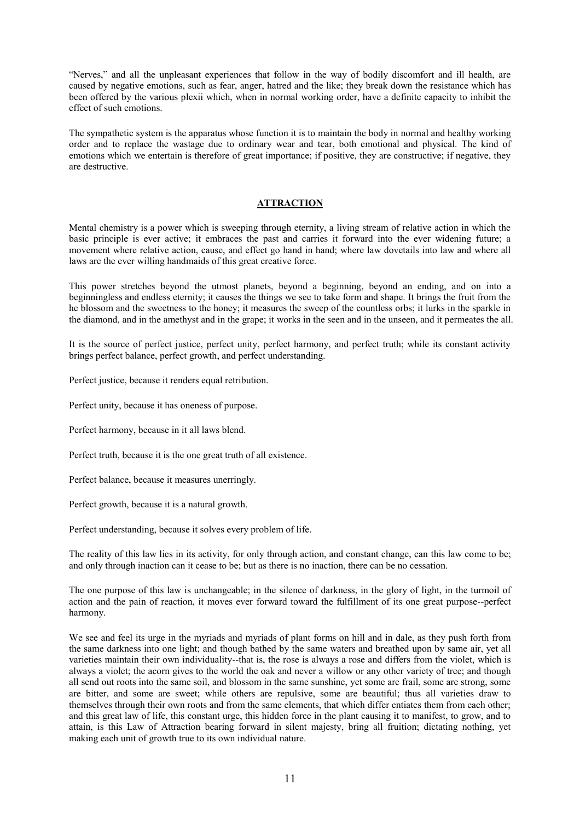"Nerves," and all the unpleasant experiences that follow in the way of bodily discomfort and ill health, are caused by negative emotions, such as fear, anger, hatred and the like; they break down the resistance which has been offered by the various plexii which, when in normal working order, have a definite capacity to inhibit the effect of such emotions.

The sympathetic system is the apparatus whose function it is to maintain the body in normal and healthy working order and to replace the wastage due to ordinary wear and tear, both emotional and physical. The kind of emotions which we entertain is therefore of great importance; if positive, they are constructive; if negative, they are destructive.

## **ATTRACTION**

Mental chemistry is a power which is sweeping through eternity, a living stream of relative action in which the basic principle is ever active; it embraces the past and carries it forward into the ever widening future; a movement where relative action, cause, and effect go hand in hand; where law dovetails into law and where all laws are the ever willing handmaids of this great creative force.

This power stretches beyond the utmost planets, beyond a beginning, beyond an ending, and on into a beginningless and endless eternity; it causes the things we see to take form and shape. It brings the fruit from the he blossom and the sweetness to the honey; it measures the sweep of the countless orbs; it lurks in the sparkle in the diamond, and in the amethyst and in the grape; it works in the seen and in the unseen, and it permeates the all.

It is the source of perfect justice, perfect unity, perfect harmony, and perfect truth; while its constant activity brings perfect balance, perfect growth, and perfect understanding.

Perfect justice, because it renders equal retribution.

Perfect unity, because it has oneness of purpose.

Perfect harmony, because in it all laws blend.

Perfect truth, because it is the one great truth of all existence.

Perfect balance, because it measures unerringly.

Perfect growth, because it is a natural growth.

Perfect understanding, because it solves every problem of life.

The reality of this law lies in its activity, for only through action, and constant change, can this law come to be; and only through inaction can it cease to be; but as there is no inaction, there can be no cessation.

The one purpose of this law is unchangeable; in the silence of darkness, in the glory of light, in the turmoil of action and the pain of reaction, it moves ever forward toward the fulfillment of its one great purpose--perfect harmony.

We see and feel its urge in the myriads and myriads of plant forms on hill and in dale, as they push forth from the same darkness into one light; and though bathed by the same waters and breathed upon by same air, yet all varieties maintain their own individuality--that is, the rose is always a rose and differs from the violet, which is always a violet; the acorn gives to the world the oak and never a willow or any other variety of tree; and though all send out roots into the same soil, and blossom in the same sunshine, yet some are frail, some are strong, some are bitter, and some are sweet; while others are repulsive, some are beautiful; thus all varieties draw to themselves through their own roots and from the same elements, that which differ entiates them from each other; and this great law of life, this constant urge, this hidden force in the plant causing it to manifest, to grow, and to attain, is this Law of Attraction bearing forward in silent majesty, bring all fruition; dictating nothing, yet making each unit of growth true to its own individual nature.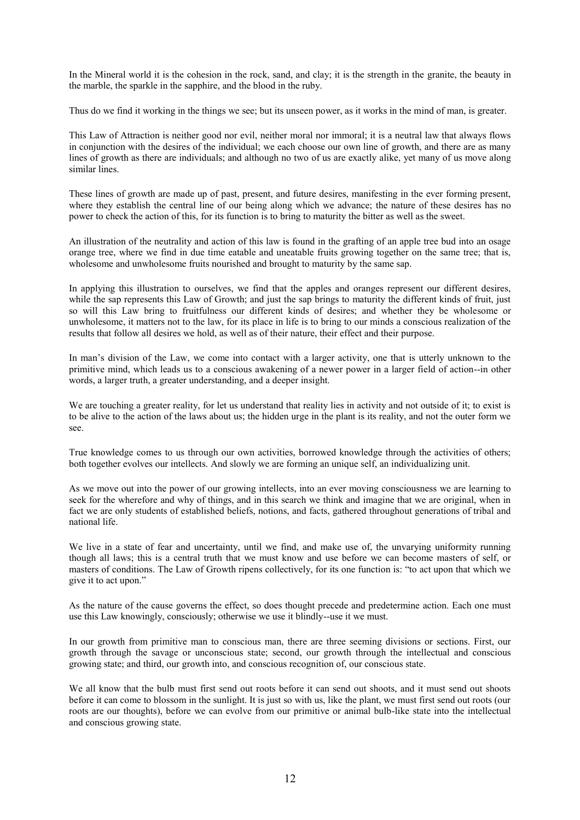In the Mineral world it is the cohesion in the rock, sand, and clay; it is the strength in the granite, the beauty in the marble, the sparkle in the sapphire, and the blood in the ruby.

Thus do we find it working in the things we see; but its unseen power, as it works in the mind of man, is greater.

This Law of Attraction is neither good nor evil, neither moral nor immoral; it is a neutral law that always flows in conjunction with the desires of the individual; we each choose our own line of growth, and there are as many lines of growth as there are individuals; and although no two of us are exactly alike, yet many of us move along similar lines.

These lines of growth are made up of past, present, and future desires, manifesting in the ever forming present, where they establish the central line of our being along which we advance; the nature of these desires has no power to check the action of this, for its function is to bring to maturity the bitter as well as the sweet.

An illustration of the neutrality and action of this law is found in the grafting of an apple tree bud into an osage orange tree, where we find in due time eatable and uneatable fruits growing together on the same tree; that is, wholesome and unwholesome fruits nourished and brought to maturity by the same sap.

In applying this illustration to ourselves, we find that the apples and oranges represent our different desires, while the sap represents this Law of Growth; and just the sap brings to maturity the different kinds of fruit, just so will this Law bring to fruitfulness our different kinds of desires; and whether they be wholesome or unwholesome, it matters not to the law, for its place in life is to bring to our minds a conscious realization of the results that follow all desires we hold, as well as of their nature, their effect and their purpose.

In man's division of the Law, we come into contact with a larger activity, one that is utterly unknown to the primitive mind, which leads us to a conscious awakening of a newer power in a larger field of action--in other words, a larger truth, a greater understanding, and a deeper insight.

We are touching a greater reality, for let us understand that reality lies in activity and not outside of it; to exist is to be alive to the action of the laws about us; the hidden urge in the plant is its reality, and not the outer form we see.

True knowledge comes to us through our own activities, borrowed knowledge through the activities of others; both together evolves our intellects. And slowly we are forming an unique self, an individualizing unit.

As we move out into the power of our growing intellects, into an ever moving consciousness we are learning to seek for the wherefore and why of things, and in this search we think and imagine that we are original, when in fact we are only students of established beliefs, notions, and facts, gathered throughout generations of tribal and national life.

We live in a state of fear and uncertainty, until we find, and make use of, the unvarying uniformity running though all laws; this is a central truth that we must know and use before we can become masters of self, or masters of conditions. The Law of Growth ripens collectively, for its one function is: "to act upon that which we give it to act upon."

As the nature of the cause governs the effect, so does thought precede and predetermine action. Each one must use this Law knowingly, consciously; otherwise we use it blindly--use it we must.

In our growth from primitive man to conscious man, there are three seeming divisions or sections. First, our growth through the savage or unconscious state; second, our growth through the intellectual and conscious growing state; and third, our growth into, and conscious recognition of, our conscious state.

We all know that the bulb must first send out roots before it can send out shoots, and it must send out shoots before it can come to blossom in the sunlight. It is just so with us, like the plant, we must first send out roots (our roots are our thoughts), before we can evolve from our primitive or animal bulb-like state into the intellectual and conscious growing state.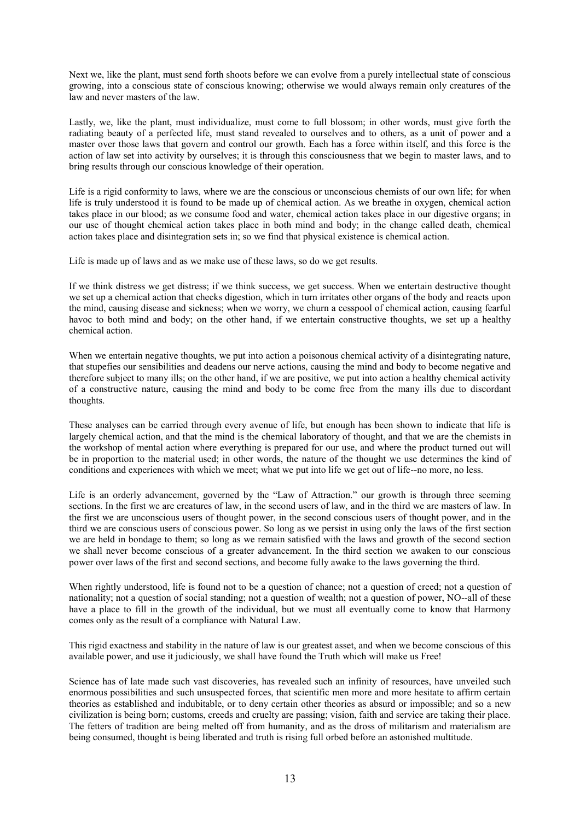Next we, like the plant, must send forth shoots before we can evolve from a purely intellectual state of conscious growing, into a conscious state of conscious knowing; otherwise we would always remain only creatures of the law and never masters of the law.

Lastly, we, like the plant, must individualize, must come to full blossom; in other words, must give forth the radiating beauty of a perfected life, must stand revealed to ourselves and to others, as a unit of power and a master over those laws that govern and control our growth. Each has a force within itself, and this force is the action of law set into activity by ourselves; it is through this consciousness that we begin to master laws, and to bring results through our conscious knowledge of their operation.

Life is a rigid conformity to laws, where we are the conscious or unconscious chemists of our own life; for when life is truly understood it is found to be made up of chemical action. As we breathe in oxygen, chemical action takes place in our blood; as we consume food and water, chemical action takes place in our digestive organs; in our use of thought chemical action takes place in both mind and body; in the change called death, chemical action takes place and disintegration sets in; so we find that physical existence is chemical action.

Life is made up of laws and as we make use of these laws, so do we get results.

If we think distress we get distress; if we think success, we get success. When we entertain destructive thought we set up a chemical action that checks digestion, which in turn irritates other organs of the body and reacts upon the mind, causing disease and sickness; when we worry, we churn a cesspool of chemical action, causing fearful havoc to both mind and body; on the other hand, if we entertain constructive thoughts, we set up a healthy chemical action.

When we entertain negative thoughts, we put into action a poisonous chemical activity of a disintegrating nature, that stupefies our sensibilities and deadens our nerve actions, causing the mind and body to become negative and therefore subject to many ills; on the other hand, if we are positive, we put into action a healthy chemical activity of a constructive nature, causing the mind and body to be come free from the many ills due to discordant thoughts.

These analyses can be carried through every avenue of life, but enough has been shown to indicate that life is largely chemical action, and that the mind is the chemical laboratory of thought, and that we are the chemists in the workshop of mental action where everything is prepared for our use, and where the product turned out will be in proportion to the material used; in other words, the nature of the thought we use determines the kind of conditions and experiences with which we meet; what we put into life we get out of life--no more, no less.

Life is an orderly advancement, governed by the "Law of Attraction." our growth is through three seeming sections. In the first we are creatures of law, in the second users of law, and in the third we are masters of law. In the first we are unconscious users of thought power, in the second conscious users of thought power, and in the third we are conscious users of conscious power. So long as we persist in using only the laws of the first section we are held in bondage to them; so long as we remain satisfied with the laws and growth of the second section we shall never become conscious of a greater advancement. In the third section we awaken to our conscious power over laws of the first and second sections, and become fully awake to the laws governing the third.

When rightly understood, life is found not to be a question of chance; not a question of creed; not a question of nationality; not a question of social standing; not a question of wealth; not a question of power, NO--all of these have a place to fill in the growth of the individual, but we must all eventually come to know that Harmony comes only as the result of a compliance with Natural Law.

This rigid exactness and stability in the nature of law is our greatest asset, and when we become conscious of this available power, and use it judiciously, we shall have found the Truth which will make us Free!

Science has of late made such vast discoveries, has revealed such an infinity of resources, have unveiled such enormous possibilities and such unsuspected forces, that scientific men more and more hesitate to affirm certain theories as established and indubitable, or to deny certain other theories as absurd or impossible; and so a new civilization is being born; customs, creeds and cruelty are passing; vision, faith and service are taking their place. The fetters of tradition are being melted off from humanity, and as the dross of militarism and materialism are being consumed, thought is being liberated and truth is rising full orbed before an astonished multitude.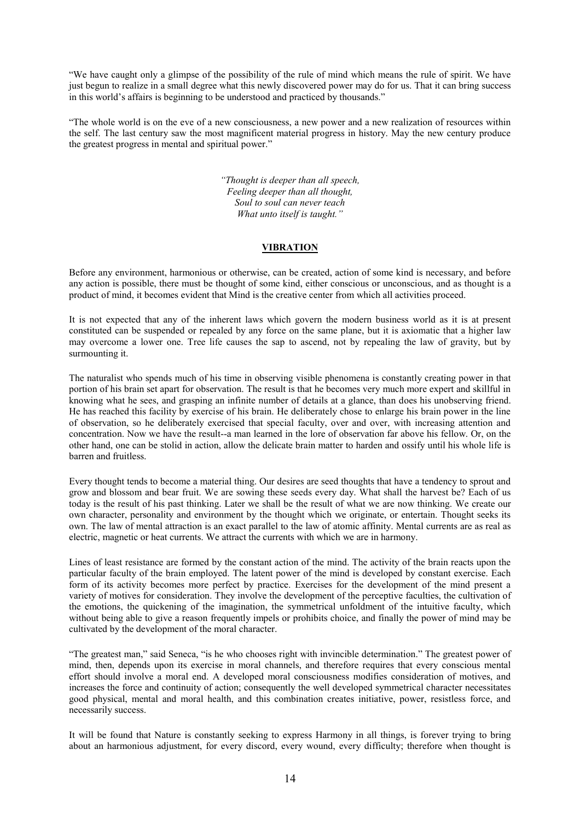"We have caught only a glimpse of the possibility of the rule of mind which means the rule of spirit. We have just begun to realize in a small degree what this newly discovered power may do for us. That it can bring success in this world's affairs is beginning to be understood and practiced by thousands."

"The whole world is on the eve of a new consciousness, a new power and a new realization of resources within the self. The last century saw the most magnificent material progress in history. May the new century produce the greatest progress in mental and spiritual power."

> *"Thought is deeper than all speech, Feeling deeper than all thought, Soul to soul can never teach What unto itself is taught."*

## **VIBRATION**

Before any environment, harmonious or otherwise, can be created, action of some kind is necessary, and before any action is possible, there must be thought of some kind, either conscious or unconscious, and as thought is a product of mind, it becomes evident that Mind is the creative center from which all activities proceed.

It is not expected that any of the inherent laws which govern the modern business world as it is at present constituted can be suspended or repealed by any force on the same plane, but it is axiomatic that a higher law may overcome a lower one. Tree life causes the sap to ascend, not by repealing the law of gravity, but by surmounting it.

The naturalist who spends much of his time in observing visible phenomena is constantly creating power in that portion of his brain set apart for observation. The result is that he becomes very much more expert and skillful in knowing what he sees, and grasping an infinite number of details at a glance, than does his unobserving friend. He has reached this facility by exercise of his brain. He deliberately chose to enlarge his brain power in the line of observation, so he deliberately exercised that special faculty, over and over, with increasing attention and concentration. Now we have the result--a man learned in the lore of observation far above his fellow. Or, on the other hand, one can be stolid in action, allow the delicate brain matter to harden and ossify until his whole life is barren and fruitless.

Every thought tends to become a material thing. Our desires are seed thoughts that have a tendency to sprout and grow and blossom and bear fruit. We are sowing these seeds every day. What shall the harvest be? Each of us today is the result of his past thinking. Later we shall be the result of what we are now thinking. We create our own character, personality and environment by the thought which we originate, or entertain. Thought seeks its own. The law of mental attraction is an exact parallel to the law of atomic affinity. Mental currents are as real as electric, magnetic or heat currents. We attract the currents with which we are in harmony.

Lines of least resistance are formed by the constant action of the mind. The activity of the brain reacts upon the particular faculty of the brain employed. The latent power of the mind is developed by constant exercise. Each form of its activity becomes more perfect by practice. Exercises for the development of the mind present a variety of motives for consideration. They involve the development of the perceptive faculties, the cultivation of the emotions, the quickening of the imagination, the symmetrical unfoldment of the intuitive faculty, which without being able to give a reason frequently impels or prohibits choice, and finally the power of mind may be cultivated by the development of the moral character.

"The greatest man," said Seneca, "is he who chooses right with invincible determination." The greatest power of mind, then, depends upon its exercise in moral channels, and therefore requires that every conscious mental effort should involve a moral end. A developed moral consciousness modifies consideration of motives, and increases the force and continuity of action; consequently the well developed symmetrical character necessitates good physical, mental and moral health, and this combination creates initiative, power, resistless force, and necessarily success.

It will be found that Nature is constantly seeking to express Harmony in all things, is forever trying to bring about an harmonious adjustment, for every discord, every wound, every difficulty; therefore when thought is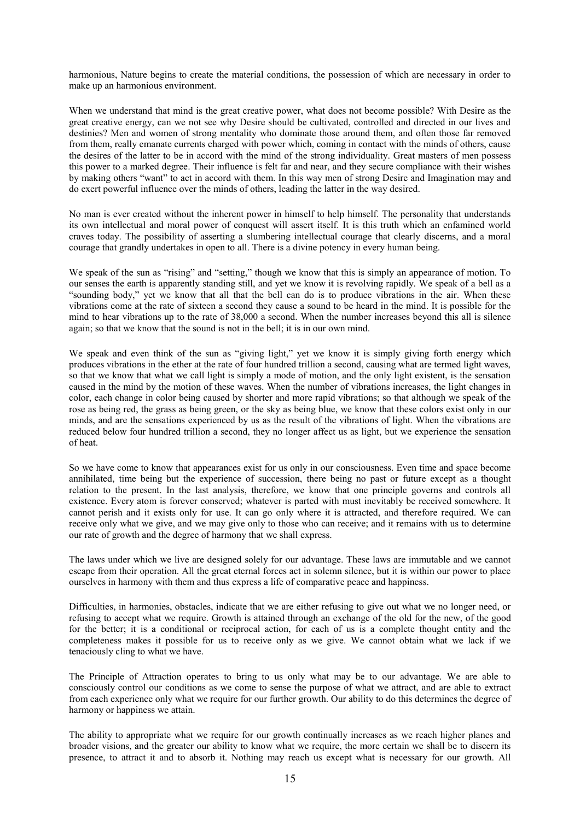harmonious, Nature begins to create the material conditions, the possession of which are necessary in order to make up an harmonious environment.

When we understand that mind is the great creative power, what does not become possible? With Desire as the great creative energy, can we not see why Desire should be cultivated, controlled and directed in our lives and destinies? Men and women of strong mentality who dominate those around them, and often those far removed from them, really emanate currents charged with power which, coming in contact with the minds of others, cause the desires of the latter to be in accord with the mind of the strong individuality. Great masters of men possess this power to a marked degree. Their influence is felt far and near, and they secure compliance with their wishes by making others "want" to act in accord with them. In this way men of strong Desire and Imagination may and do exert powerful influence over the minds of others, leading the latter in the way desired.

No man is ever created without the inherent power in himself to help himself. The personality that understands its own intellectual and moral power of conquest will assert itself. It is this truth which an enfamined world craves today. The possibility of asserting a slumbering intellectual courage that clearly discerns, and a moral courage that grandly undertakes in open to all. There is a divine potency in every human being.

We speak of the sun as "rising" and "setting," though we know that this is simply an appearance of motion. To our senses the earth is apparently standing still, and yet we know it is revolving rapidly. We speak of a bell as a "sounding body," yet we know that all that the bell can do is to produce vibrations in the air. When these vibrations come at the rate of sixteen a second they cause a sound to be heard in the mind. It is possible for the mind to hear vibrations up to the rate of 38,000 a second. When the number increases beyond this all is silence again; so that we know that the sound is not in the bell; it is in our own mind.

We speak and even think of the sun as "giving light," yet we know it is simply giving forth energy which produces vibrations in the ether at the rate of four hundred trillion a second, causing what are termed light waves, so that we know that what we call light is simply a mode of motion, and the only light existent, is the sensation caused in the mind by the motion of these waves. When the number of vibrations increases, the light changes in color, each change in color being caused by shorter and more rapid vibrations; so that although we speak of the rose as being red, the grass as being green, or the sky as being blue, we know that these colors exist only in our minds, and are the sensations experienced by us as the result of the vibrations of light. When the vibrations are reduced below four hundred trillion a second, they no longer affect us as light, but we experience the sensation of heat.

So we have come to know that appearances exist for us only in our consciousness. Even time and space become annihilated, time being but the experience of succession, there being no past or future except as a thought relation to the present. In the last analysis, therefore, we know that one principle governs and controls all existence. Every atom is forever conserved; whatever is parted with must inevitably be received somewhere. It cannot perish and it exists only for use. It can go only where it is attracted, and therefore required. We can receive only what we give, and we may give only to those who can receive; and it remains with us to determine our rate of growth and the degree of harmony that we shall express.

The laws under which we live are designed solely for our advantage. These laws are immutable and we cannot escape from their operation. All the great eternal forces act in solemn silence, but it is within our power to place ourselves in harmony with them and thus express a life of comparative peace and happiness.

Difficulties, in harmonies, obstacles, indicate that we are either refusing to give out what we no longer need, or refusing to accept what we require. Growth is attained through an exchange of the old for the new, of the good for the better; it is a conditional or reciprocal action, for each of us is a complete thought entity and the completeness makes it possible for us to receive only as we give. We cannot obtain what we lack if we tenaciously cling to what we have.

The Principle of Attraction operates to bring to us only what may be to our advantage. We are able to consciously control our conditions as we come to sense the purpose of what we attract, and are able to extract from each experience only what we require for our further growth. Our ability to do this determines the degree of harmony or happiness we attain.

The ability to appropriate what we require for our growth continually increases as we reach higher planes and broader visions, and the greater our ability to know what we require, the more certain we shall be to discern its presence, to attract it and to absorb it. Nothing may reach us except what is necessary for our growth. All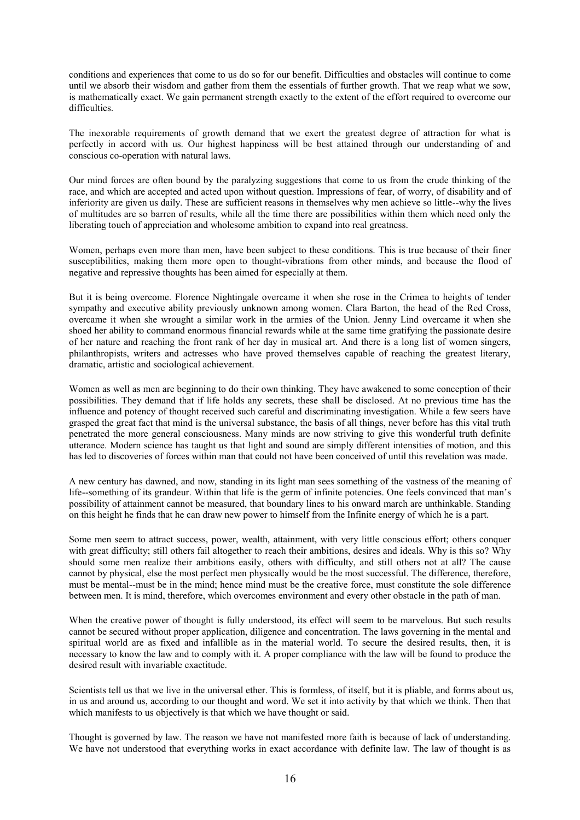conditions and experiences that come to us do so for our benefit. Difficulties and obstacles will continue to come until we absorb their wisdom and gather from them the essentials of further growth. That we reap what we sow, is mathematically exact. We gain permanent strength exactly to the extent of the effort required to overcome our difficulties.

The inexorable requirements of growth demand that we exert the greatest degree of attraction for what is perfectly in accord with us. Our highest happiness will be best attained through our understanding of and conscious co-operation with natural laws.

Our mind forces are often bound by the paralyzing suggestions that come to us from the crude thinking of the race, and which are accepted and acted upon without question. Impressions of fear, of worry, of disability and of inferiority are given us daily. These are sufficient reasons in themselves why men achieve so little--why the lives of multitudes are so barren of results, while all the time there are possibilities within them which need only the liberating touch of appreciation and wholesome ambition to expand into real greatness.

Women, perhaps even more than men, have been subject to these conditions. This is true because of their finer susceptibilities, making them more open to thought-vibrations from other minds, and because the flood of negative and repressive thoughts has been aimed for especially at them.

But it is being overcome. Florence Nightingale overcame it when she rose in the Crimea to heights of tender sympathy and executive ability previously unknown among women. Clara Barton, the head of the Red Cross, overcame it when she wrought a similar work in the armies of the Union. Jenny Lind overcame it when she shoed her ability to command enormous financial rewards while at the same time gratifying the passionate desire of her nature and reaching the front rank of her day in musical art. And there is a long list of women singers, philanthropists, writers and actresses who have proved themselves capable of reaching the greatest literary, dramatic, artistic and sociological achievement.

Women as well as men are beginning to do their own thinking. They have awakened to some conception of their possibilities. They demand that if life holds any secrets, these shall be disclosed. At no previous time has the influence and potency of thought received such careful and discriminating investigation. While a few seers have grasped the great fact that mind is the universal substance, the basis of all things, never before has this vital truth penetrated the more general consciousness. Many minds are now striving to give this wonderful truth definite utterance. Modern science has taught us that light and sound are simply different intensities of motion, and this has led to discoveries of forces within man that could not have been conceived of until this revelation was made.

A new century has dawned, and now, standing in its light man sees something of the vastness of the meaning of life--something of its grandeur. Within that life is the germ of infinite potencies. One feels convinced that man's possibility of attainment cannot be measured, that boundary lines to his onward march are unthinkable. Standing on this height he finds that he can draw new power to himself from the Infinite energy of which he is a part.

Some men seem to attract success, power, wealth, attainment, with very little conscious effort; others conquer with great difficulty; still others fail altogether to reach their ambitions, desires and ideals. Why is this so? Why should some men realize their ambitions easily, others with difficulty, and still others not at all? The cause cannot by physical, else the most perfect men physically would be the most successful. The difference, therefore, must be mental--must be in the mind; hence mind must be the creative force, must constitute the sole difference between men. It is mind, therefore, which overcomes environment and every other obstacle in the path of man.

When the creative power of thought is fully understood, its effect will seem to be marvelous. But such results cannot be secured without proper application, diligence and concentration. The laws governing in the mental and spiritual world are as fixed and infallible as in the material world. To secure the desired results, then, it is necessary to know the law and to comply with it. A proper compliance with the law will be found to produce the desired result with invariable exactitude.

Scientists tell us that we live in the universal ether. This is formless, of itself, but it is pliable, and forms about us, in us and around us, according to our thought and word. We set it into activity by that which we think. Then that which manifests to us objectively is that which we have thought or said.

Thought is governed by law. The reason we have not manifested more faith is because of lack of understanding. We have not understood that everything works in exact accordance with definite law. The law of thought is as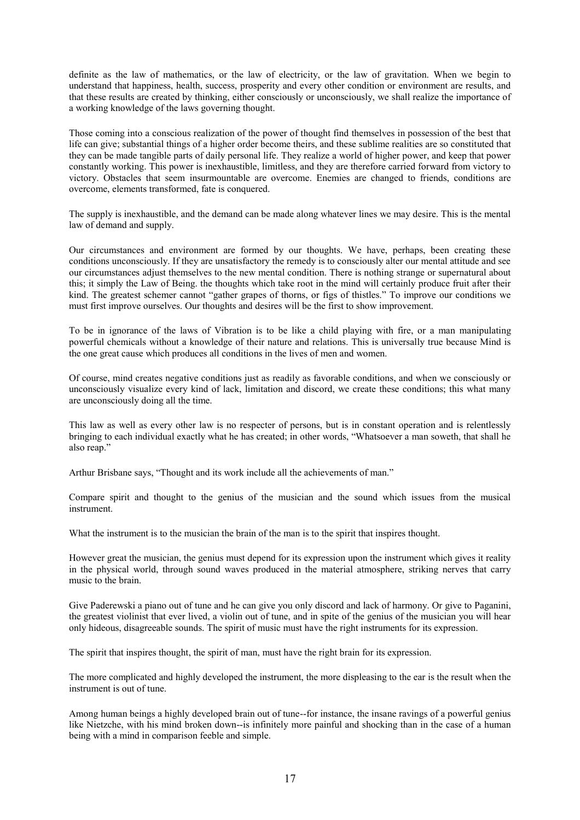definite as the law of mathematics, or the law of electricity, or the law of gravitation. When we begin to understand that happiness, health, success, prosperity and every other condition or environment are results, and that these results are created by thinking, either consciously or unconsciously, we shall realize the importance of a working knowledge of the laws governing thought.

Those coming into a conscious realization of the power of thought find themselves in possession of the best that life can give; substantial things of a higher order become theirs, and these sublime realities are so constituted that they can be made tangible parts of daily personal life. They realize a world of higher power, and keep that power constantly working. This power is inexhaustible, limitless, and they are therefore carried forward from victory to victory. Obstacles that seem insurmountable are overcome. Enemies are changed to friends, conditions are overcome, elements transformed, fate is conquered.

The supply is inexhaustible, and the demand can be made along whatever lines we may desire. This is the mental law of demand and supply.

Our circumstances and environment are formed by our thoughts. We have, perhaps, been creating these conditions unconsciously. If they are unsatisfactory the remedy is to consciously alter our mental attitude and see our circumstances adjust themselves to the new mental condition. There is nothing strange or supernatural about this; it simply the Law of Being. the thoughts which take root in the mind will certainly produce fruit after their kind. The greatest schemer cannot "gather grapes of thorns, or figs of thistles." To improve our conditions we must first improve ourselves. Our thoughts and desires will be the first to show improvement.

To be in ignorance of the laws of Vibration is to be like a child playing with fire, or a man manipulating powerful chemicals without a knowledge of their nature and relations. This is universally true because Mind is the one great cause which produces all conditions in the lives of men and women.

Of course, mind creates negative conditions just as readily as favorable conditions, and when we consciously or unconsciously visualize every kind of lack, limitation and discord, we create these conditions; this what many are unconsciously doing all the time.

This law as well as every other law is no respecter of persons, but is in constant operation and is relentlessly bringing to each individual exactly what he has created; in other words, "Whatsoever a man soweth, that shall he also reap."

Arthur Brisbane says, "Thought and its work include all the achievements of man."

Compare spirit and thought to the genius of the musician and the sound which issues from the musical instrument.

What the instrument is to the musician the brain of the man is to the spirit that inspires thought.

However great the musician, the genius must depend for its expression upon the instrument which gives it reality in the physical world, through sound waves produced in the material atmosphere, striking nerves that carry music to the brain.

Give Paderewski a piano out of tune and he can give you only discord and lack of harmony. Or give to Paganini, the greatest violinist that ever lived, a violin out of tune, and in spite of the genius of the musician you will hear only hideous, disagreeable sounds. The spirit of music must have the right instruments for its expression.

The spirit that inspires thought, the spirit of man, must have the right brain for its expression.

The more complicated and highly developed the instrument, the more displeasing to the ear is the result when the instrument is out of tune.

Among human beings a highly developed brain out of tune--for instance, the insane ravings of a powerful genius like Nietzche, with his mind broken down--is infinitely more painful and shocking than in the case of a human being with a mind in comparison feeble and simple.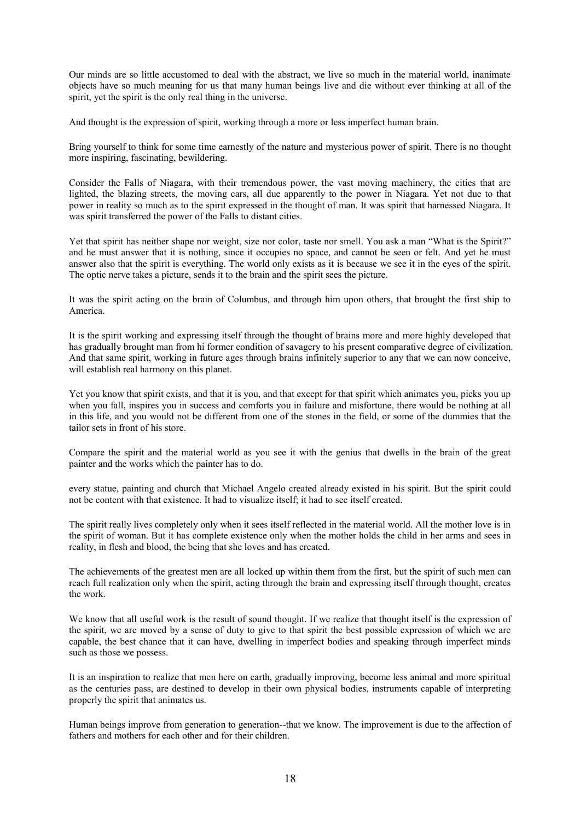Our minds are so little accustomed to deal with the abstract, we live so much in the material world, inanimate objects have so much meaning for us that many human beings live and die without ever thinking at all of the spirit, yet the spirit is the only real thing in the universe.

And thought is the expression of spirit, working through a more or less imperfect human brain.

Bring yourself to think for some time earnestly of the nature and mysterious power of spirit. There is no thought more inspiring, fascinating, bewildering.

Consider the Falls of Niagara, with their tremendous power, the vast moving machinery, the cities that are lighted, the blazing streets, the moving cars, all due apparently to the power in Niagara. Yet not due to that power in reality so much as to the spirit expressed in the thought of man. It was spirit that harnessed Niagara. It was spirit transferred the power of the Falls to distant cities.

Yet that spirit has neither shape nor weight, size nor color, taste nor smell. You ask a man "What is the Spirit?" and he must answer that it is nothing, since it occupies no space, and cannot be seen or felt. And yet he must answer also that the spirit is everything. The world only exists as it is because we see it in the eyes of the spirit. The optic nerve takes a picture, sends it to the brain and the spirit sees the picture.

It was the spirit acting on the brain of Columbus, and through him upon others, that brought the first ship to America.

It is the spirit working and expressing itself through the thought of brains more and more highly developed that has gradually brought man from hi former condition of savagery to his present comparative degree of civilization. And that same spirit, working in future ages through brains infinitely superior to any that we can now conceive, will establish real harmony on this planet.

Yet you know that spirit exists, and that it is you, and that except for that spirit which animates you, picks you up when you fall, inspires you in success and comforts you in failure and misfortune, there would be nothing at all in this life, and you would not be different from one of the stones in the field, or some of the dummies that the tailor sets in front of his store.

Compare the spirit and the material world as you see it with the genius that dwells in the brain of the great painter and the works which the painter has to do.

every statue, painting and church that Michael Angelo created already existed in his spirit. But the spirit could not be content with that existence. It had to visualize itself; it had to see itself created.

The spirit really lives completely only when it sees itself reflected in the material world. All the mother love is in the spirit of woman. But it has complete existence only when the mother holds the child in her arms and sees in reality, in flesh and blood, the being that she loves and has created.

The achievements of the greatest men are all locked up within them from the first, but the spirit of such men can reach full realization only when the spirit, acting through the brain and expressing itself through thought, creates the work.

We know that all useful work is the result of sound thought. If we realize that thought itself is the expression of the spirit, we are moved by a sense of duty to give to that spirit the best possible expression of which we are capable, the best chance that it can have, dwelling in imperfect bodies and speaking through imperfect minds such as those we possess.

It is an inspiration to realize that men here on earth, gradually improving, become less animal and more spiritual as the centuries pass, are destined to develop in their own physical bodies, instruments capable of interpreting properly the spirit that animates us.

Human beings improve from generation to generation--that we know. The improvement is due to the affection of fathers and mothers for each other and for their children.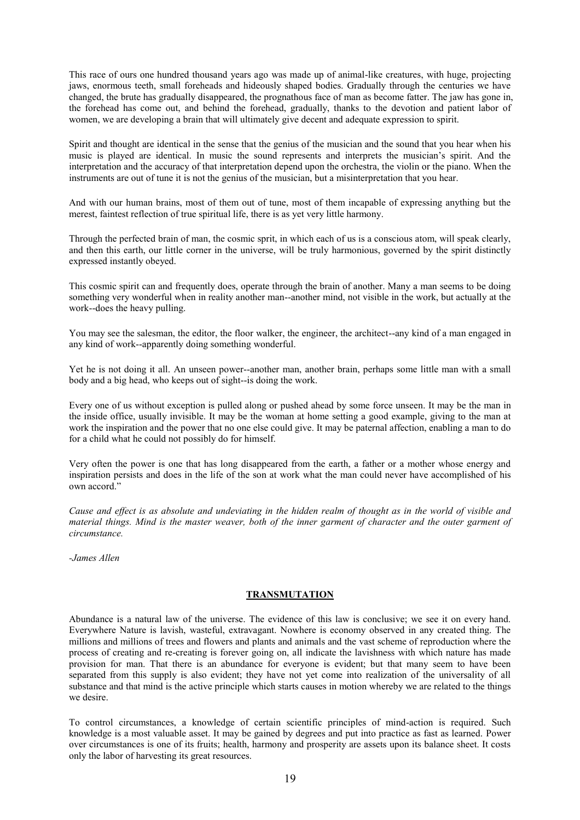This race of ours one hundred thousand years ago was made up of animal-like creatures, with huge, projecting jaws, enormous teeth, small foreheads and hideously shaped bodies. Gradually through the centuries we have changed, the brute has gradually disappeared, the prognathous face of man as become fatter. The jaw has gone in, the forehead has come out, and behind the forehead, gradually, thanks to the devotion and patient labor of women, we are developing a brain that will ultimately give decent and adequate expression to spirit.

Spirit and thought are identical in the sense that the genius of the musician and the sound that you hear when his music is played are identical. In music the sound represents and interprets the musician's spirit. And the interpretation and the accuracy of that interpretation depend upon the orchestra, the violin or the piano. When the instruments are out of tune it is not the genius of the musician, but a misinterpretation that you hear.

And with our human brains, most of them out of tune, most of them incapable of expressing anything but the merest, faintest reflection of true spiritual life, there is as yet very little harmony.

Through the perfected brain of man, the cosmic sprit, in which each of us is a conscious atom, will speak clearly, and then this earth, our little corner in the universe, will be truly harmonious, governed by the spirit distinctly expressed instantly obeyed.

This cosmic spirit can and frequently does, operate through the brain of another. Many a man seems to be doing something very wonderful when in reality another man--another mind, not visible in the work, but actually at the work--does the heavy pulling.

You may see the salesman, the editor, the floor walker, the engineer, the architect--any kind of a man engaged in any kind of work--apparently doing something wonderful.

Yet he is not doing it all. An unseen power--another man, another brain, perhaps some little man with a small body and a big head, who keeps out of sight--is doing the work.

Every one of us without exception is pulled along or pushed ahead by some force unseen. It may be the man in the inside office, usually invisible. It may be the woman at home setting a good example, giving to the man at work the inspiration and the power that no one else could give. It may be paternal affection, enabling a man to do for a child what he could not possibly do for himself.

Very often the power is one that has long disappeared from the earth, a father or a mother whose energy and inspiration persists and does in the life of the son at work what the man could never have accomplished of his own accord."

*Cause and effect is as absolute and undeviating in the hidden realm of thought as in the world of visible and material things. Mind is the master weaver, both of the inner garment of character and the outer garment of circumstance.* 

*-James Allen* 

## **TRANSMUTATION**

Abundance is a natural law of the universe. The evidence of this law is conclusive; we see it on every hand. Everywhere Nature is lavish, wasteful, extravagant. Nowhere is economy observed in any created thing. The millions and millions of trees and flowers and plants and animals and the vast scheme of reproduction where the process of creating and re-creating is forever going on, all indicate the lavishness with which nature has made provision for man. That there is an abundance for everyone is evident; but that many seem to have been separated from this supply is also evident; they have not yet come into realization of the universality of all substance and that mind is the active principle which starts causes in motion whereby we are related to the things we desire.

To control circumstances, a knowledge of certain scientific principles of mind-action is required. Such knowledge is a most valuable asset. It may be gained by degrees and put into practice as fast as learned. Power over circumstances is one of its fruits; health, harmony and prosperity are assets upon its balance sheet. It costs only the labor of harvesting its great resources.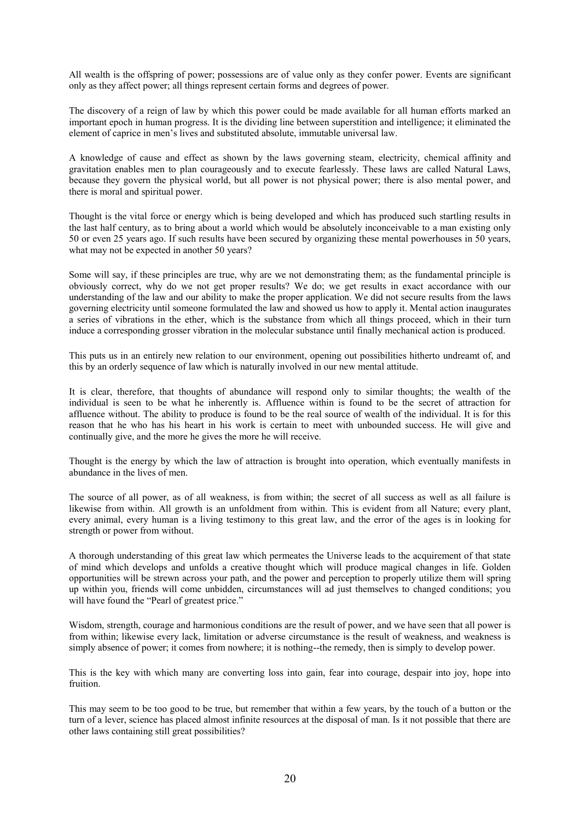All wealth is the offspring of power; possessions are of value only as they confer power. Events are significant only as they affect power; all things represent certain forms and degrees of power.

The discovery of a reign of law by which this power could be made available for all human efforts marked an important epoch in human progress. It is the dividing line between superstition and intelligence; it eliminated the element of caprice in men's lives and substituted absolute, immutable universal law.

A knowledge of cause and effect as shown by the laws governing steam, electricity, chemical affinity and gravitation enables men to plan courageously and to execute fearlessly. These laws are called Natural Laws, because they govern the physical world, but all power is not physical power; there is also mental power, and there is moral and spiritual power.

Thought is the vital force or energy which is being developed and which has produced such startling results in the last half century, as to bring about a world which would be absolutely inconceivable to a man existing only 50 or even 25 years ago. If such results have been secured by organizing these mental powerhouses in 50 years, what may not be expected in another 50 years?

Some will say, if these principles are true, why are we not demonstrating them; as the fundamental principle is obviously correct, why do we not get proper results? We do; we get results in exact accordance with our understanding of the law and our ability to make the proper application. We did not secure results from the laws governing electricity until someone formulated the law and showed us how to apply it. Mental action inaugurates a series of vibrations in the ether, which is the substance from which all things proceed, which in their turn induce a corresponding grosser vibration in the molecular substance until finally mechanical action is produced.

This puts us in an entirely new relation to our environment, opening out possibilities hitherto undreamt of, and this by an orderly sequence of law which is naturally involved in our new mental attitude.

It is clear, therefore, that thoughts of abundance will respond only to similar thoughts; the wealth of the individual is seen to be what he inherently is. Affluence within is found to be the secret of attraction for affluence without. The ability to produce is found to be the real source of wealth of the individual. It is for this reason that he who has his heart in his work is certain to meet with unbounded success. He will give and continually give, and the more he gives the more he will receive.

Thought is the energy by which the law of attraction is brought into operation, which eventually manifests in abundance in the lives of men.

The source of all power, as of all weakness, is from within; the secret of all success as well as all failure is likewise from within. All growth is an unfoldment from within. This is evident from all Nature; every plant, every animal, every human is a living testimony to this great law, and the error of the ages is in looking for strength or power from without.

A thorough understanding of this great law which permeates the Universe leads to the acquirement of that state of mind which develops and unfolds a creative thought which will produce magical changes in life. Golden opportunities will be strewn across your path, and the power and perception to properly utilize them will spring up within you, friends will come unbidden, circumstances will ad just themselves to changed conditions; you will have found the "Pearl of greatest price."

Wisdom, strength, courage and harmonious conditions are the result of power, and we have seen that all power is from within; likewise every lack, limitation or adverse circumstance is the result of weakness, and weakness is simply absence of power; it comes from nowhere; it is nothing--the remedy, then is simply to develop power.

This is the key with which many are converting loss into gain, fear into courage, despair into joy, hope into fruition.

This may seem to be too good to be true, but remember that within a few years, by the touch of a button or the turn of a lever, science has placed almost infinite resources at the disposal of man. Is it not possible that there are other laws containing still great possibilities?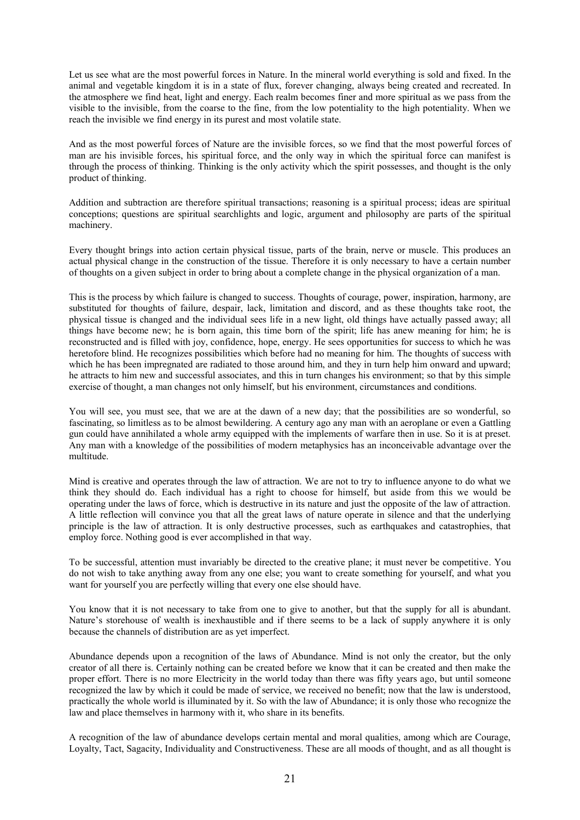Let us see what are the most powerful forces in Nature. In the mineral world everything is sold and fixed. In the animal and vegetable kingdom it is in a state of flux, forever changing, always being created and recreated. In the atmosphere we find heat, light and energy. Each realm becomes finer and more spiritual as we pass from the visible to the invisible, from the coarse to the fine, from the low potentiality to the high potentiality. When we reach the invisible we find energy in its purest and most volatile state.

And as the most powerful forces of Nature are the invisible forces, so we find that the most powerful forces of man are his invisible forces, his spiritual force, and the only way in which the spiritual force can manifest is through the process of thinking. Thinking is the only activity which the spirit possesses, and thought is the only product of thinking.

Addition and subtraction are therefore spiritual transactions; reasoning is a spiritual process; ideas are spiritual conceptions; questions are spiritual searchlights and logic, argument and philosophy are parts of the spiritual machinery.

Every thought brings into action certain physical tissue, parts of the brain, nerve or muscle. This produces an actual physical change in the construction of the tissue. Therefore it is only necessary to have a certain number of thoughts on a given subject in order to bring about a complete change in the physical organization of a man.

This is the process by which failure is changed to success. Thoughts of courage, power, inspiration, harmony, are substituted for thoughts of failure, despair, lack, limitation and discord, and as these thoughts take root, the physical tissue is changed and the individual sees life in a new light, old things have actually passed away; all things have become new; he is born again, this time born of the spirit; life has anew meaning for him; he is reconstructed and is filled with joy, confidence, hope, energy. He sees opportunities for success to which he was heretofore blind. He recognizes possibilities which before had no meaning for him. The thoughts of success with which he has been impregnated are radiated to those around him, and they in turn help him onward and upward; he attracts to him new and successful associates, and this in turn changes his environment; so that by this simple exercise of thought, a man changes not only himself, but his environment, circumstances and conditions.

You will see, you must see, that we are at the dawn of a new day; that the possibilities are so wonderful, so fascinating, so limitless as to be almost bewildering. A century ago any man with an aeroplane or even a Gattling gun could have annihilated a whole army equipped with the implements of warfare then in use. So it is at preset. Any man with a knowledge of the possibilities of modern metaphysics has an inconceivable advantage over the multitude.

Mind is creative and operates through the law of attraction. We are not to try to influence anyone to do what we think they should do. Each individual has a right to choose for himself, but aside from this we would be operating under the laws of force, which is destructive in its nature and just the opposite of the law of attraction. A little reflection will convince you that all the great laws of nature operate in silence and that the underlying principle is the law of attraction. It is only destructive processes, such as earthquakes and catastrophies, that employ force. Nothing good is ever accomplished in that way.

To be successful, attention must invariably be directed to the creative plane; it must never be competitive. You do not wish to take anything away from any one else; you want to create something for yourself, and what you want for yourself you are perfectly willing that every one else should have.

You know that it is not necessary to take from one to give to another, but that the supply for all is abundant. Nature's storehouse of wealth is inexhaustible and if there seems to be a lack of supply anywhere it is only because the channels of distribution are as yet imperfect.

Abundance depends upon a recognition of the laws of Abundance. Mind is not only the creator, but the only creator of all there is. Certainly nothing can be created before we know that it can be created and then make the proper effort. There is no more Electricity in the world today than there was fifty years ago, but until someone recognized the law by which it could be made of service, we received no benefit; now that the law is understood, practically the whole world is illuminated by it. So with the law of Abundance; it is only those who recognize the law and place themselves in harmony with it, who share in its benefits.

A recognition of the law of abundance develops certain mental and moral qualities, among which are Courage, Loyalty, Tact, Sagacity, Individuality and Constructiveness. These are all moods of thought, and as all thought is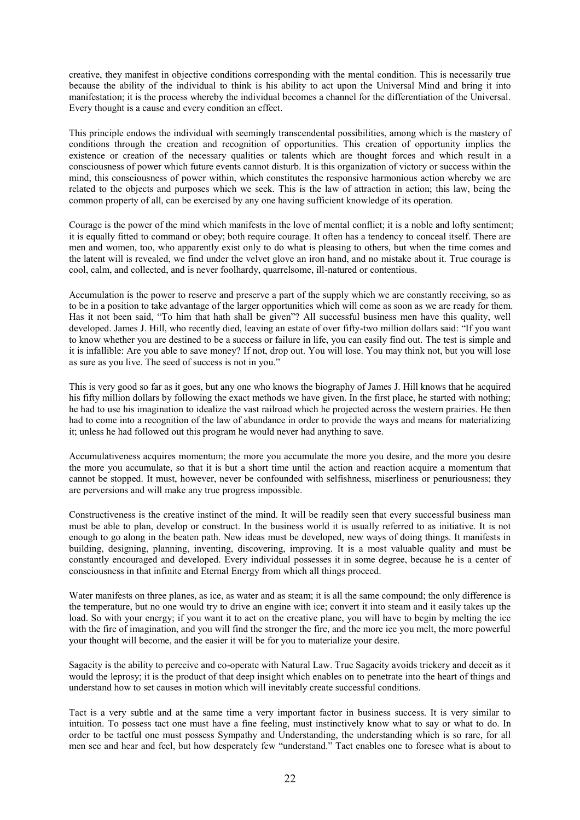creative, they manifest in objective conditions corresponding with the mental condition. This is necessarily true because the ability of the individual to think is his ability to act upon the Universal Mind and bring it into manifestation; it is the process whereby the individual becomes a channel for the differentiation of the Universal. Every thought is a cause and every condition an effect.

This principle endows the individual with seemingly transcendental possibilities, among which is the mastery of conditions through the creation and recognition of opportunities. This creation of opportunity implies the existence or creation of the necessary qualities or talents which are thought forces and which result in a consciousness of power which future events cannot disturb. It is this organization of victory or success within the mind, this consciousness of power within, which constitutes the responsive harmonious action whereby we are related to the objects and purposes which we seek. This is the law of attraction in action; this law, being the common property of all, can be exercised by any one having sufficient knowledge of its operation.

Courage is the power of the mind which manifests in the love of mental conflict; it is a noble and lofty sentiment; it is equally fitted to command or obey; both require courage. It often has a tendency to conceal itself. There are men and women, too, who apparently exist only to do what is pleasing to others, but when the time comes and the latent will is revealed, we find under the velvet glove an iron hand, and no mistake about it. True courage is cool, calm, and collected, and is never foolhardy, quarrelsome, ill-natured or contentious.

Accumulation is the power to reserve and preserve a part of the supply which we are constantly receiving, so as to be in a position to take advantage of the larger opportunities which will come as soon as we are ready for them. Has it not been said, "To him that hath shall be given"? All successful business men have this quality, well developed. James J. Hill, who recently died, leaving an estate of over fifty-two million dollars said: "If you want to know whether you are destined to be a success or failure in life, you can easily find out. The test is simple and it is infallible: Are you able to save money? If not, drop out. You will lose. You may think not, but you will lose as sure as you live. The seed of success is not in you."

This is very good so far as it goes, but any one who knows the biography of James J. Hill knows that he acquired his fifty million dollars by following the exact methods we have given. In the first place, he started with nothing; he had to use his imagination to idealize the vast railroad which he projected across the western prairies. He then had to come into a recognition of the law of abundance in order to provide the ways and means for materializing it; unless he had followed out this program he would never had anything to save.

Accumulativeness acquires momentum; the more you accumulate the more you desire, and the more you desire the more you accumulate, so that it is but a short time until the action and reaction acquire a momentum that cannot be stopped. It must, however, never be confounded with selfishness, miserliness or penuriousness; they are perversions and will make any true progress impossible.

Constructiveness is the creative instinct of the mind. It will be readily seen that every successful business man must be able to plan, develop or construct. In the business world it is usually referred to as initiative. It is not enough to go along in the beaten path. New ideas must be developed, new ways of doing things. It manifests in building, designing, planning, inventing, discovering, improving. It is a most valuable quality and must be constantly encouraged and developed. Every individual possesses it in some degree, because he is a center of consciousness in that infinite and Eternal Energy from which all things proceed.

Water manifests on three planes, as ice, as water and as steam; it is all the same compound; the only difference is the temperature, but no one would try to drive an engine with ice; convert it into steam and it easily takes up the load. So with your energy; if you want it to act on the creative plane, you will have to begin by melting the ice with the fire of imagination, and you will find the stronger the fire, and the more ice you melt, the more powerful your thought will become, and the easier it will be for you to materialize your desire.

Sagacity is the ability to perceive and co-operate with Natural Law. True Sagacity avoids trickery and deceit as it would the leprosy; it is the product of that deep insight which enables on to penetrate into the heart of things and understand how to set causes in motion which will inevitably create successful conditions.

Tact is a very subtle and at the same time a very important factor in business success. It is very similar to intuition. To possess tact one must have a fine feeling, must instinctively know what to say or what to do. In order to be tactful one must possess Sympathy and Understanding, the understanding which is so rare, for all men see and hear and feel, but how desperately few "understand." Tact enables one to foresee what is about to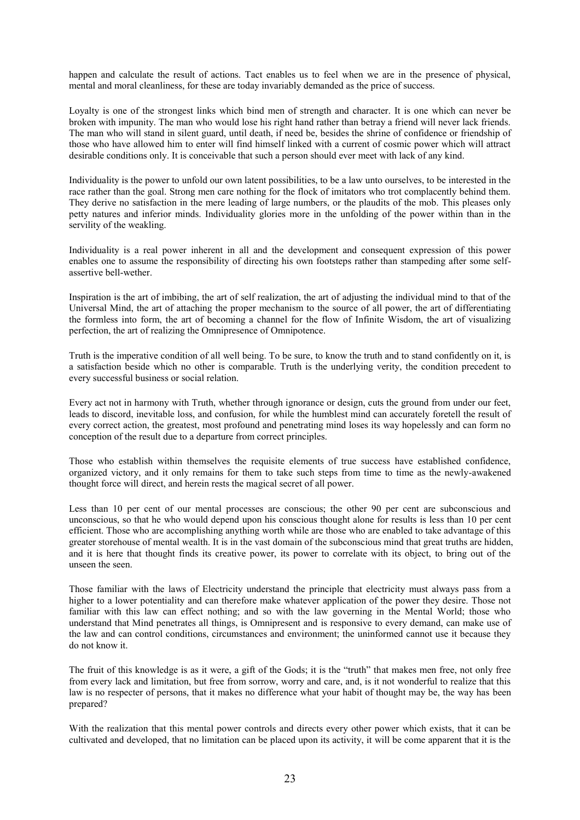happen and calculate the result of actions. Tact enables us to feel when we are in the presence of physical, mental and moral cleanliness, for these are today invariably demanded as the price of success.

Loyalty is one of the strongest links which bind men of strength and character. It is one which can never be broken with impunity. The man who would lose his right hand rather than betray a friend will never lack friends. The man who will stand in silent guard, until death, if need be, besides the shrine of confidence or friendship of those who have allowed him to enter will find himself linked with a current of cosmic power which will attract desirable conditions only. It is conceivable that such a person should ever meet with lack of any kind.

Individuality is the power to unfold our own latent possibilities, to be a law unto ourselves, to be interested in the race rather than the goal. Strong men care nothing for the flock of imitators who trot complacently behind them. They derive no satisfaction in the mere leading of large numbers, or the plaudits of the mob. This pleases only petty natures and inferior minds. Individuality glories more in the unfolding of the power within than in the servility of the weakling.

Individuality is a real power inherent in all and the development and consequent expression of this power enables one to assume the responsibility of directing his own footsteps rather than stampeding after some selfassertive bell-wether.

Inspiration is the art of imbibing, the art of self realization, the art of adjusting the individual mind to that of the Universal Mind, the art of attaching the proper mechanism to the source of all power, the art of differentiating the formless into form, the art of becoming a channel for the flow of Infinite Wisdom, the art of visualizing perfection, the art of realizing the Omnipresence of Omnipotence.

Truth is the imperative condition of all well being. To be sure, to know the truth and to stand confidently on it, is a satisfaction beside which no other is comparable. Truth is the underlying verity, the condition precedent to every successful business or social relation.

Every act not in harmony with Truth, whether through ignorance or design, cuts the ground from under our feet, leads to discord, inevitable loss, and confusion, for while the humblest mind can accurately foretell the result of every correct action, the greatest, most profound and penetrating mind loses its way hopelessly and can form no conception of the result due to a departure from correct principles.

Those who establish within themselves the requisite elements of true success have established confidence, organized victory, and it only remains for them to take such steps from time to time as the newly-awakened thought force will direct, and herein rests the magical secret of all power.

Less than 10 per cent of our mental processes are conscious; the other 90 per cent are subconscious and unconscious, so that he who would depend upon his conscious thought alone for results is less than 10 per cent efficient. Those who are accomplishing anything worth while are those who are enabled to take advantage of this greater storehouse of mental wealth. It is in the vast domain of the subconscious mind that great truths are hidden, and it is here that thought finds its creative power, its power to correlate with its object, to bring out of the unseen the seen.

Those familiar with the laws of Electricity understand the principle that electricity must always pass from a higher to a lower potentiality and can therefore make whatever application of the power they desire. Those not familiar with this law can effect nothing; and so with the law governing in the Mental World; those who understand that Mind penetrates all things, is Omnipresent and is responsive to every demand, can make use of the law and can control conditions, circumstances and environment; the uninformed cannot use it because they do not know it.

The fruit of this knowledge is as it were, a gift of the Gods; it is the "truth" that makes men free, not only free from every lack and limitation, but free from sorrow, worry and care, and, is it not wonderful to realize that this law is no respecter of persons, that it makes no difference what your habit of thought may be, the way has been prepared?

With the realization that this mental power controls and directs every other power which exists, that it can be cultivated and developed, that no limitation can be placed upon its activity, it will be come apparent that it is the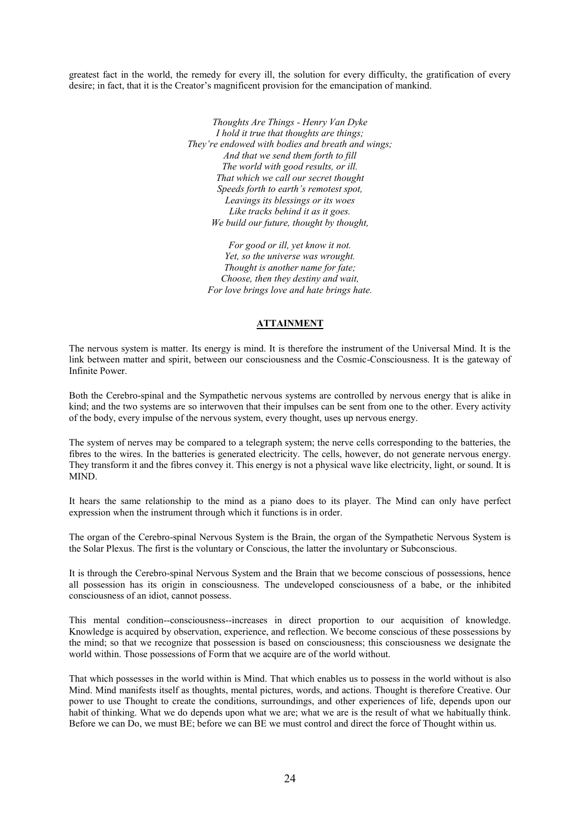greatest fact in the world, the remedy for every ill, the solution for every difficulty, the gratification of every desire; in fact, that it is the Creator's magnificent provision for the emancipation of mankind.

> *Thoughts Are Things - Henry Van Dyke I hold it true that thoughts are things; They're endowed with bodies and breath and wings; And that we send them forth to fill The world with good results, or ill. That which we call our secret thought Speeds forth to earth's remotest spot, Leavings its blessings or its woes Like tracks behind it as it goes. We build our future, thought by thought,*

*For good or ill, yet know it not. Yet, so the universe was wrought. Thought is another name for fate; Choose, then they destiny and wait, For love brings love and hate brings hate.*

## **ATTAINMENT**

The nervous system is matter. Its energy is mind. It is therefore the instrument of the Universal Mind. It is the link between matter and spirit, between our consciousness and the Cosmic-Consciousness. It is the gateway of Infinite Power.

Both the Cerebro-spinal and the Sympathetic nervous systems are controlled by nervous energy that is alike in kind; and the two systems are so interwoven that their impulses can be sent from one to the other. Every activity of the body, every impulse of the nervous system, every thought, uses up nervous energy.

The system of nerves may be compared to a telegraph system; the nerve cells corresponding to the batteries, the fibres to the wires. In the batteries is generated electricity. The cells, however, do not generate nervous energy. They transform it and the fibres convey it. This energy is not a physical wave like electricity, light, or sound. It is MIND.

It hears the same relationship to the mind as a piano does to its player. The Mind can only have perfect expression when the instrument through which it functions is in order.

The organ of the Cerebro-spinal Nervous System is the Brain, the organ of the Sympathetic Nervous System is the Solar Plexus. The first is the voluntary or Conscious, the latter the involuntary or Subconscious.

It is through the Cerebro-spinal Nervous System and the Brain that we become conscious of possessions, hence all possession has its origin in consciousness. The undeveloped consciousness of a babe, or the inhibited consciousness of an idiot, cannot possess.

This mental condition--consciousness--increases in direct proportion to our acquisition of knowledge. Knowledge is acquired by observation, experience, and reflection. We become conscious of these possessions by the mind; so that we recognize that possession is based on consciousness; this consciousness we designate the world within. Those possessions of Form that we acquire are of the world without.

That which possesses in the world within is Mind. That which enables us to possess in the world without is also Mind. Mind manifests itself as thoughts, mental pictures, words, and actions. Thought is therefore Creative. Our power to use Thought to create the conditions, surroundings, and other experiences of life, depends upon our habit of thinking. What we do depends upon what we are; what we are is the result of what we habitually think. Before we can Do, we must BE; before we can BE we must control and direct the force of Thought within us.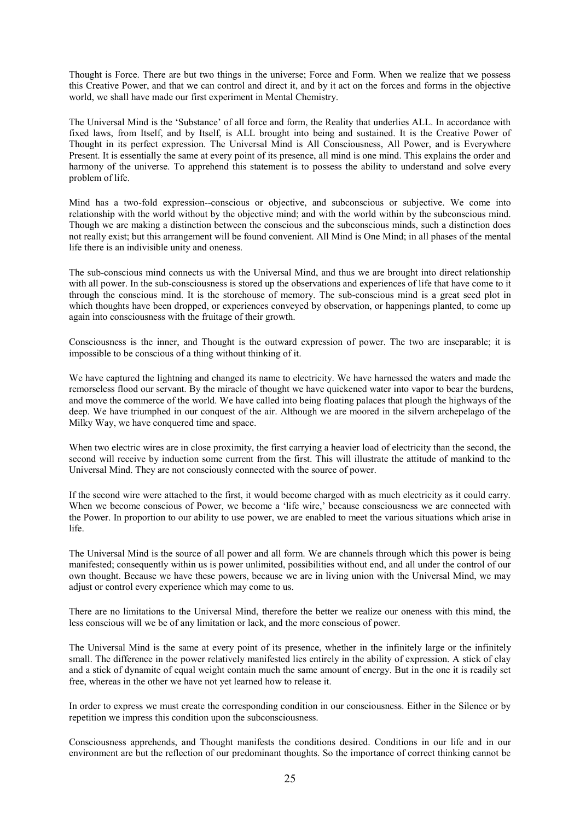Thought is Force. There are but two things in the universe; Force and Form. When we realize that we possess this Creative Power, and that we can control and direct it, and by it act on the forces and forms in the objective world, we shall have made our first experiment in Mental Chemistry.

The Universal Mind is the 'Substance' of all force and form, the Reality that underlies ALL. In accordance with fixed laws, from Itself, and by Itself, is ALL brought into being and sustained. It is the Creative Power of Thought in its perfect expression. The Universal Mind is All Consciousness, All Power, and is Everywhere Present. It is essentially the same at every point of its presence, all mind is one mind. This explains the order and harmony of the universe. To apprehend this statement is to possess the ability to understand and solve every problem of life.

Mind has a two-fold expression--conscious or objective, and subconscious or subjective. We come into relationship with the world without by the objective mind; and with the world within by the subconscious mind. Though we are making a distinction between the conscious and the subconscious minds, such a distinction does not really exist; but this arrangement will be found convenient. All Mind is One Mind; in all phases of the mental life there is an indivisible unity and oneness.

The sub-conscious mind connects us with the Universal Mind, and thus we are brought into direct relationship with all power. In the sub-consciousness is stored up the observations and experiences of life that have come to it through the conscious mind. It is the storehouse of memory. The sub-conscious mind is a great seed plot in which thoughts have been dropped, or experiences conveved by observation, or happenings planted, to come up again into consciousness with the fruitage of their growth.

Consciousness is the inner, and Thought is the outward expression of power. The two are inseparable; it is impossible to be conscious of a thing without thinking of it.

We have captured the lightning and changed its name to electricity. We have harnessed the waters and made the remorseless flood our servant. By the miracle of thought we have quickened water into vapor to bear the burdens, and move the commerce of the world. We have called into being floating palaces that plough the highways of the deep. We have triumphed in our conquest of the air. Although we are moored in the silvern archepelago of the Milky Way, we have conquered time and space.

When two electric wires are in close proximity, the first carrying a heavier load of electricity than the second, the second will receive by induction some current from the first. This will illustrate the attitude of mankind to the Universal Mind. They are not consciously connected with the source of power.

If the second wire were attached to the first, it would become charged with as much electricity as it could carry. When we become conscious of Power, we become a 'life wire,' because consciousness we are connected with the Power. In proportion to our ability to use power, we are enabled to meet the various situations which arise in life.

The Universal Mind is the source of all power and all form. We are channels through which this power is being manifested; consequently within us is power unlimited, possibilities without end, and all under the control of our own thought. Because we have these powers, because we are in living union with the Universal Mind, we may adjust or control every experience which may come to us.

There are no limitations to the Universal Mind, therefore the better we realize our oneness with this mind, the less conscious will we be of any limitation or lack, and the more conscious of power.

The Universal Mind is the same at every point of its presence, whether in the infinitely large or the infinitely small. The difference in the power relatively manifested lies entirely in the ability of expression. A stick of clay and a stick of dynamite of equal weight contain much the same amount of energy. But in the one it is readily set free, whereas in the other we have not yet learned how to release it.

In order to express we must create the corresponding condition in our consciousness. Either in the Silence or by repetition we impress this condition upon the subconsciousness.

Consciousness apprehends, and Thought manifests the conditions desired. Conditions in our life and in our environment are but the reflection of our predominant thoughts. So the importance of correct thinking cannot be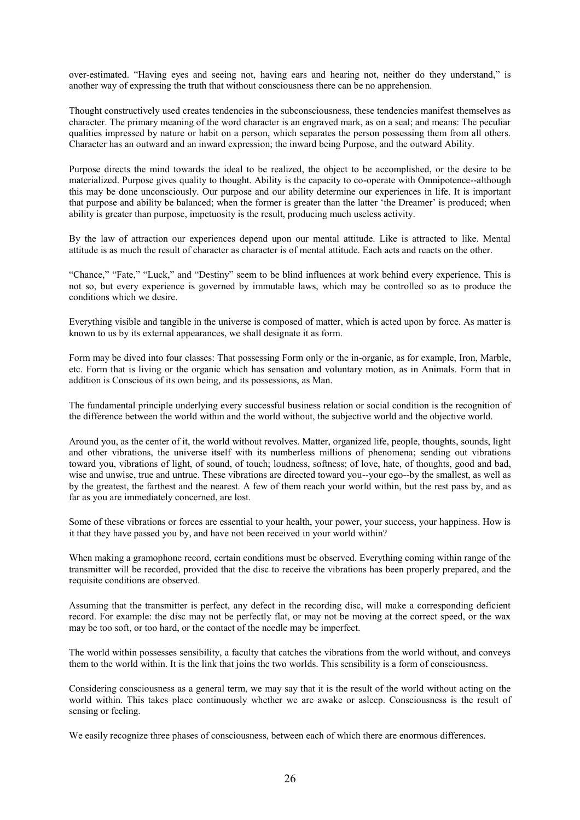over-estimated. "Having eyes and seeing not, having ears and hearing not, neither do they understand," is another way of expressing the truth that without consciousness there can be no apprehension.

Thought constructively used creates tendencies in the subconsciousness, these tendencies manifest themselves as character. The primary meaning of the word character is an engraved mark, as on a seal; and means: The peculiar qualities impressed by nature or habit on a person, which separates the person possessing them from all others. Character has an outward and an inward expression; the inward being Purpose, and the outward Ability.

Purpose directs the mind towards the ideal to be realized, the object to be accomplished, or the desire to be materialized. Purpose gives quality to thought. Ability is the capacity to co-operate with Omnipotence--although this may be done unconsciously. Our purpose and our ability determine our experiences in life. It is important that purpose and ability be balanced; when the former is greater than the latter 'the Dreamer' is produced; when ability is greater than purpose, impetuosity is the result, producing much useless activity.

By the law of attraction our experiences depend upon our mental attitude. Like is attracted to like. Mental attitude is as much the result of character as character is of mental attitude. Each acts and reacts on the other.

"Chance," "Fate," "Luck," and "Destiny" seem to be blind influences at work behind every experience. This is not so, but every experience is governed by immutable laws, which may be controlled so as to produce the conditions which we desire.

Everything visible and tangible in the universe is composed of matter, which is acted upon by force. As matter is known to us by its external appearances, we shall designate it as form.

Form may be dived into four classes: That possessing Form only or the in-organic, as for example, Iron, Marble, etc. Form that is living or the organic which has sensation and voluntary motion, as in Animals. Form that in addition is Conscious of its own being, and its possessions, as Man.

The fundamental principle underlying every successful business relation or social condition is the recognition of the difference between the world within and the world without, the subjective world and the objective world.

Around you, as the center of it, the world without revolves. Matter, organized life, people, thoughts, sounds, light and other vibrations, the universe itself with its numberless millions of phenomena; sending out vibrations toward you, vibrations of light, of sound, of touch; loudness, softness; of love, hate, of thoughts, good and bad, wise and unwise, true and untrue. These vibrations are directed toward you--your ego--by the smallest, as well as by the greatest, the farthest and the nearest. A few of them reach your world within, but the rest pass by, and as far as you are immediately concerned, are lost.

Some of these vibrations or forces are essential to your health, your power, your success, your happiness. How is it that they have passed you by, and have not been received in your world within?

When making a gramophone record, certain conditions must be observed. Everything coming within range of the transmitter will be recorded, provided that the disc to receive the vibrations has been properly prepared, and the requisite conditions are observed.

Assuming that the transmitter is perfect, any defect in the recording disc, will make a corresponding deficient record. For example: the disc may not be perfectly flat, or may not be moving at the correct speed, or the wax may be too soft, or too hard, or the contact of the needle may be imperfect.

The world within possesses sensibility, a faculty that catches the vibrations from the world without, and conveys them to the world within. It is the link that joins the two worlds. This sensibility is a form of consciousness.

Considering consciousness as a general term, we may say that it is the result of the world without acting on the world within. This takes place continuously whether we are awake or asleep. Consciousness is the result of sensing or feeling.

We easily recognize three phases of consciousness, between each of which there are enormous differences.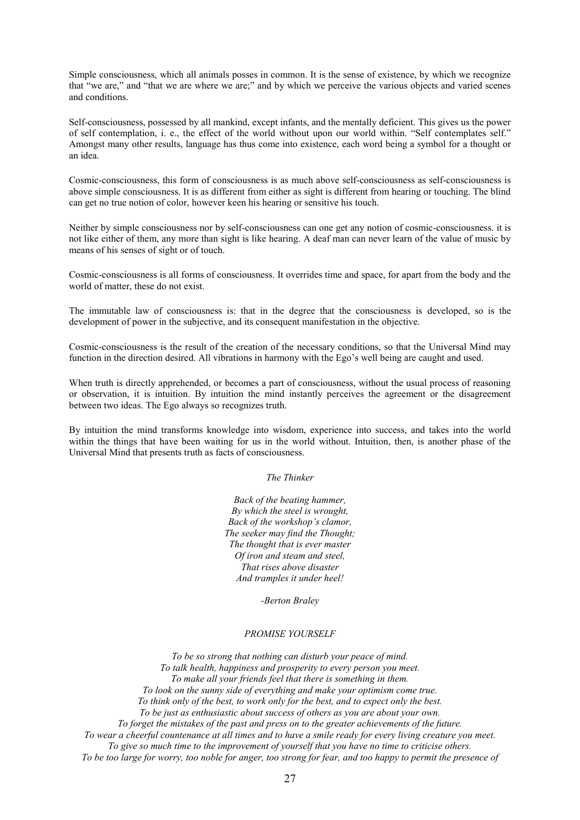Simple consciousness, which all animals posses in common. It is the sense of existence, by which we recognize that "we are," and "that we are where we are;" and by which we perceive the various objects and varied scenes and conditions.

Self-consciousness, possessed by all mankind, except infants, and the mentally deficient. This gives us the power of self contemplation, i. e., the effect of the world without upon our world within. "Self contemplates self." Amongst many other results, language has thus come into existence, each word being a symbol for a thought or an idea.

Cosmic-consciousness, this form of consciousness is as much above self-consciousness as self-consciousness is above simple consciousness. It is as different from either as sight is different from hearing or touching. The blind can get no true notion of color, however keen his hearing or sensitive his touch.

Neither by simple consciousness nor by self-consciousness can one get any notion of cosmic-consciousness. it is not like either of them, any more than sight is like hearing. A deaf man can never learn of the value of music by means of his senses of sight or of touch.

Cosmic-consciousness is all forms of consciousness. It overrides time and space, for apart from the body and the world of matter, these do not exist.

The immutable law of consciousness is: that in the degree that the consciousness is developed, so is the development of power in the subjective, and its consequent manifestation in the objective.

Cosmic-consciousness is the result of the creation of the necessary conditions, so that the Universal Mind may function in the direction desired. All vibrations in harmony with the Ego's well being are caught and used.

When truth is directly apprehended, or becomes a part of consciousness, without the usual process of reasoning or observation, it is intuition. By intuition the mind instantly perceives the agreement or the disagreement between two ideas. The Ego always so recognizes truth.

By intuition the mind transforms knowledge into wisdom, experience into success, and takes into the world within the things that have been waiting for us in the world without. Intuition, then, is another phase of the Universal Mind that presents truth as facts of consciousness.

#### *The Thinker*

*Back of the beating hammer, By which the steel is wrought, Back of the workshop's clamor, The seeker may find the Thought; The thought that is ever master Of iron and steam and steel, That rises above disaster And tramples it under heel!* 

*-Berton Braley*

#### *PROMISE YOURSELF*

*To be so strong that nothing can disturb your peace of mind. To talk health, happiness and prosperity to every person you meet. To make all your friends feel that there is something in them. To look on the sunny side of everything and make your optimism come true. To think only of the best, to work only for the best, and to expect only the best. To be just as enthusiastic about success of others as you are about your own. To forget the mistakes of the past and press on to the greater achievements of the future. To wear a cheerful countenance at all times and to have a smile ready for every living creature you meet. To give so much time to the improvement of yourself that you have no time to criticise others. To be too large for worry, too noble for anger, too strong for fear, and too happy to permit the presence of*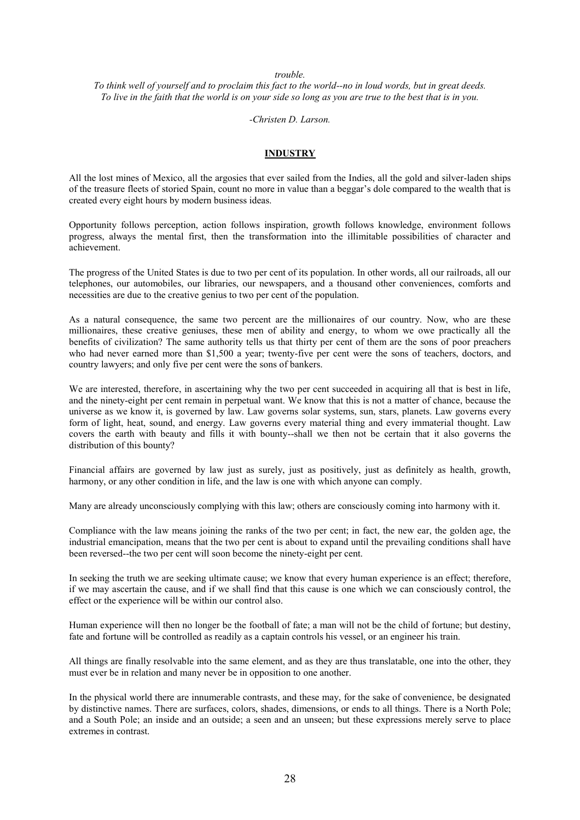*trouble.* 

*To think well of yourself and to proclaim this fact to the world--no in loud words, but in great deeds. To live in the faith that the world is on your side so long as you are true to the best that is in you.* 

*-Christen D. Larson.*

#### **INDUSTRY**

All the lost mines of Mexico, all the argosies that ever sailed from the Indies, all the gold and silver-laden ships of the treasure fleets of storied Spain, count no more in value than a beggar's dole compared to the wealth that is created every eight hours by modern business ideas.

Opportunity follows perception, action follows inspiration, growth follows knowledge, environment follows progress, always the mental first, then the transformation into the illimitable possibilities of character and achievement.

The progress of the United States is due to two per cent of its population. In other words, all our railroads, all our telephones, our automobiles, our libraries, our newspapers, and a thousand other conveniences, comforts and necessities are due to the creative genius to two per cent of the population.

As a natural consequence, the same two percent are the millionaires of our country. Now, who are these millionaires, these creative geniuses, these men of ability and energy, to whom we owe practically all the benefits of civilization? The same authority tells us that thirty per cent of them are the sons of poor preachers who had never earned more than \$1,500 a year; twenty-five per cent were the sons of teachers, doctors, and country lawyers; and only five per cent were the sons of bankers.

We are interested, therefore, in ascertaining why the two per cent succeeded in acquiring all that is best in life, and the ninety-eight per cent remain in perpetual want. We know that this is not a matter of chance, because the universe as we know it, is governed by law. Law governs solar systems, sun, stars, planets. Law governs every form of light, heat, sound, and energy. Law governs every material thing and every immaterial thought. Law covers the earth with beauty and fills it with bounty--shall we then not be certain that it also governs the distribution of this bounty?

Financial affairs are governed by law just as surely, just as positively, just as definitely as health, growth, harmony, or any other condition in life, and the law is one with which anyone can comply.

Many are already unconsciously complying with this law; others are consciously coming into harmony with it.

Compliance with the law means joining the ranks of the two per cent; in fact, the new ear, the golden age, the industrial emancipation, means that the two per cent is about to expand until the prevailing conditions shall have been reversed--the two per cent will soon become the ninety-eight per cent.

In seeking the truth we are seeking ultimate cause; we know that every human experience is an effect; therefore, if we may ascertain the cause, and if we shall find that this cause is one which we can consciously control, the effect or the experience will be within our control also.

Human experience will then no longer be the football of fate; a man will not be the child of fortune; but destiny, fate and fortune will be controlled as readily as a captain controls his vessel, or an engineer his train.

All things are finally resolvable into the same element, and as they are thus translatable, one into the other, they must ever be in relation and many never be in opposition to one another.

In the physical world there are innumerable contrasts, and these may, for the sake of convenience, be designated by distinctive names. There are surfaces, colors, shades, dimensions, or ends to all things. There is a North Pole; and a South Pole; an inside and an outside; a seen and an unseen; but these expressions merely serve to place extremes in contrast.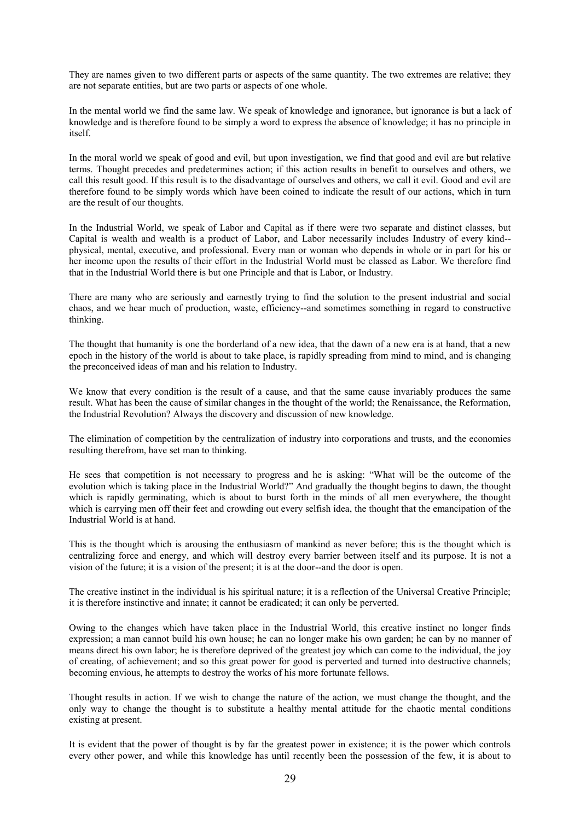They are names given to two different parts or aspects of the same quantity. The two extremes are relative; they are not separate entities, but are two parts or aspects of one whole.

In the mental world we find the same law. We speak of knowledge and ignorance, but ignorance is but a lack of knowledge and is therefore found to be simply a word to express the absence of knowledge; it has no principle in itself.

In the moral world we speak of good and evil, but upon investigation, we find that good and evil are but relative terms. Thought precedes and predetermines action; if this action results in benefit to ourselves and others, we call this result good. If this result is to the disadvantage of ourselves and others, we call it evil. Good and evil are therefore found to be simply words which have been coined to indicate the result of our actions, which in turn are the result of our thoughts.

In the Industrial World, we speak of Labor and Capital as if there were two separate and distinct classes, but Capital is wealth and wealth is a product of Labor, and Labor necessarily includes Industry of every kind- physical, mental, executive, and professional. Every man or woman who depends in whole or in part for his or her income upon the results of their effort in the Industrial World must be classed as Labor. We therefore find that in the Industrial World there is but one Principle and that is Labor, or Industry.

There are many who are seriously and earnestly trying to find the solution to the present industrial and social chaos, and we hear much of production, waste, efficiency--and sometimes something in regard to constructive thinking.

The thought that humanity is one the borderland of a new idea, that the dawn of a new era is at hand, that a new epoch in the history of the world is about to take place, is rapidly spreading from mind to mind, and is changing the preconceived ideas of man and his relation to Industry.

We know that every condition is the result of a cause, and that the same cause invariably produces the same result. What has been the cause of similar changes in the thought of the world; the Renaissance, the Reformation, the Industrial Revolution? Always the discovery and discussion of new knowledge.

The elimination of competition by the centralization of industry into corporations and trusts, and the economies resulting therefrom, have set man to thinking.

He sees that competition is not necessary to progress and he is asking: "What will be the outcome of the evolution which is taking place in the Industrial World?" And gradually the thought begins to dawn, the thought which is rapidly germinating, which is about to burst forth in the minds of all men everywhere, the thought which is carrying men off their feet and crowding out every selfish idea, the thought that the emancipation of the Industrial World is at hand.

This is the thought which is arousing the enthusiasm of mankind as never before; this is the thought which is centralizing force and energy, and which will destroy every barrier between itself and its purpose. It is not a vision of the future; it is a vision of the present; it is at the door--and the door is open.

The creative instinct in the individual is his spiritual nature; it is a reflection of the Universal Creative Principle; it is therefore instinctive and innate; it cannot be eradicated; it can only be perverted.

Owing to the changes which have taken place in the Industrial World, this creative instinct no longer finds expression; a man cannot build his own house; he can no longer make his own garden; he can by no manner of means direct his own labor; he is therefore deprived of the greatest joy which can come to the individual, the joy of creating, of achievement; and so this great power for good is perverted and turned into destructive channels; becoming envious, he attempts to destroy the works of his more fortunate fellows.

Thought results in action. If we wish to change the nature of the action, we must change the thought, and the only way to change the thought is to substitute a healthy mental attitude for the chaotic mental conditions existing at present.

It is evident that the power of thought is by far the greatest power in existence; it is the power which controls every other power, and while this knowledge has until recently been the possession of the few, it is about to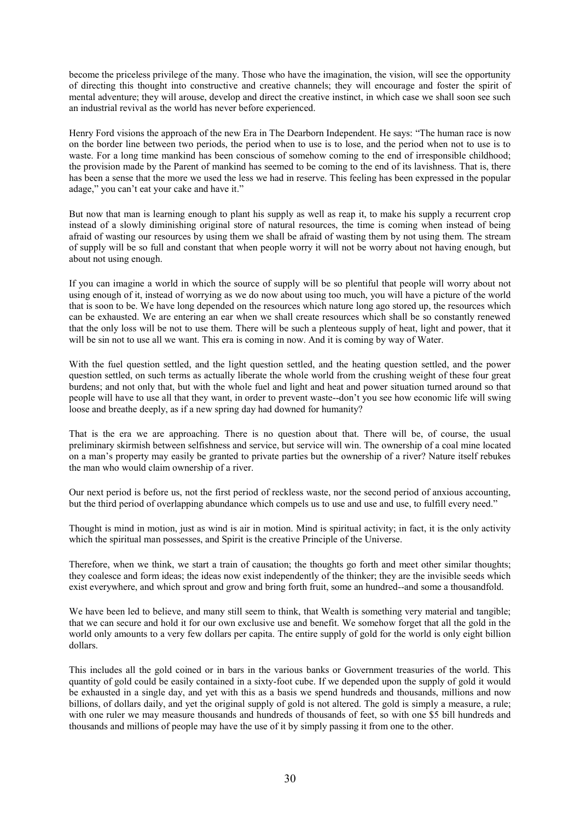become the priceless privilege of the many. Those who have the imagination, the vision, will see the opportunity of directing this thought into constructive and creative channels; they will encourage and foster the spirit of mental adventure; they will arouse, develop and direct the creative instinct, in which case we shall soon see such an industrial revival as the world has never before experienced.

Henry Ford visions the approach of the new Era in The Dearborn Independent. He says: "The human race is now on the border line between two periods, the period when to use is to lose, and the period when not to use is to waste. For a long time mankind has been conscious of somehow coming to the end of irresponsible childhood; the provision made by the Parent of mankind has seemed to be coming to the end of its lavishness. That is, there has been a sense that the more we used the less we had in reserve. This feeling has been expressed in the popular adage," you can't eat your cake and have it."

But now that man is learning enough to plant his supply as well as reap it, to make his supply a recurrent crop instead of a slowly diminishing original store of natural resources, the time is coming when instead of being afraid of wasting our resources by using them we shall be afraid of wasting them by not using them. The stream of supply will be so full and constant that when people worry it will not be worry about not having enough, but about not using enough.

If you can imagine a world in which the source of supply will be so plentiful that people will worry about not using enough of it, instead of worrying as we do now about using too much, you will have a picture of the world that is soon to be. We have long depended on the resources which nature long ago stored up, the resources which can be exhausted. We are entering an ear when we shall create resources which shall be so constantly renewed that the only loss will be not to use them. There will be such a plenteous supply of heat, light and power, that it will be sin not to use all we want. This era is coming in now. And it is coming by way of Water.

With the fuel question settled, and the light question settled, and the heating question settled, and the power question settled, on such terms as actually liberate the whole world from the crushing weight of these four great burdens; and not only that, but with the whole fuel and light and heat and power situation turned around so that people will have to use all that they want, in order to prevent waste--don't you see how economic life will swing loose and breathe deeply, as if a new spring day had downed for humanity?

That is the era we are approaching. There is no question about that. There will be, of course, the usual preliminary skirmish between selfishness and service, but service will win. The ownership of a coal mine located on a man's property may easily be granted to private parties but the ownership of a river? Nature itself rebukes the man who would claim ownership of a river.

Our next period is before us, not the first period of reckless waste, nor the second period of anxious accounting, but the third period of overlapping abundance which compels us to use and use and use, to fulfill every need."

Thought is mind in motion, just as wind is air in motion. Mind is spiritual activity; in fact, it is the only activity which the spiritual man possesses, and Spirit is the creative Principle of the Universe.

Therefore, when we think, we start a train of causation; the thoughts go forth and meet other similar thoughts; they coalesce and form ideas; the ideas now exist independently of the thinker; they are the invisible seeds which exist everywhere, and which sprout and grow and bring forth fruit, some an hundred--and some a thousandfold.

We have been led to believe, and many still seem to think, that Wealth is something very material and tangible; that we can secure and hold it for our own exclusive use and benefit. We somehow forget that all the gold in the world only amounts to a very few dollars per capita. The entire supply of gold for the world is only eight billion dollars.

This includes all the gold coined or in bars in the various banks or Government treasuries of the world. This quantity of gold could be easily contained in a sixty-foot cube. If we depended upon the supply of gold it would be exhausted in a single day, and yet with this as a basis we spend hundreds and thousands, millions and now billions, of dollars daily, and yet the original supply of gold is not altered. The gold is simply a measure, a rule; with one ruler we may measure thousands and hundreds of thousands of feet, so with one \$5 bill hundreds and thousands and millions of people may have the use of it by simply passing it from one to the other.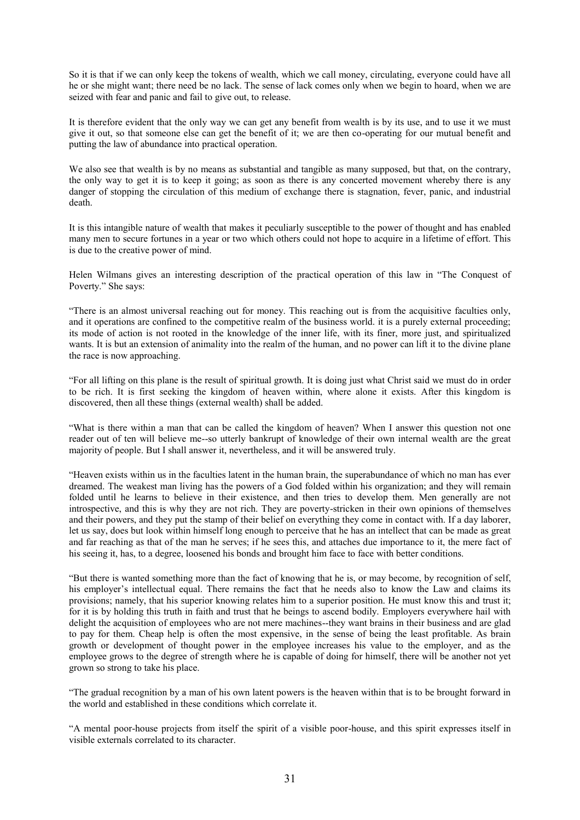So it is that if we can only keep the tokens of wealth, which we call money, circulating, everyone could have all he or she might want; there need be no lack. The sense of lack comes only when we begin to hoard, when we are seized with fear and panic and fail to give out, to release.

It is therefore evident that the only way we can get any benefit from wealth is by its use, and to use it we must give it out, so that someone else can get the benefit of it; we are then co-operating for our mutual benefit and putting the law of abundance into practical operation.

We also see that wealth is by no means as substantial and tangible as many supposed, but that, on the contrary, the only way to get it is to keep it going; as soon as there is any concerted movement whereby there is any danger of stopping the circulation of this medium of exchange there is stagnation, fever, panic, and industrial death.

It is this intangible nature of wealth that makes it peculiarly susceptible to the power of thought and has enabled many men to secure fortunes in a year or two which others could not hope to acquire in a lifetime of effort. This is due to the creative power of mind.

Helen Wilmans gives an interesting description of the practical operation of this law in "The Conquest of Poverty." She says:

"There is an almost universal reaching out for money. This reaching out is from the acquisitive faculties only, and it operations are confined to the competitive realm of the business world. it is a purely external proceeding; its mode of action is not rooted in the knowledge of the inner life, with its finer, more just, and spiritualized wants. It is but an extension of animality into the realm of the human, and no power can lift it to the divine plane the race is now approaching.

"For all lifting on this plane is the result of spiritual growth. It is doing just what Christ said we must do in order to be rich. It is first seeking the kingdom of heaven within, where alone it exists. After this kingdom is discovered, then all these things (external wealth) shall be added.

"What is there within a man that can be called the kingdom of heaven? When I answer this question not one reader out of ten will believe me--so utterly bankrupt of knowledge of their own internal wealth are the great majority of people. But I shall answer it, nevertheless, and it will be answered truly.

"Heaven exists within us in the faculties latent in the human brain, the superabundance of which no man has ever dreamed. The weakest man living has the powers of a God folded within his organization; and they will remain folded until he learns to believe in their existence, and then tries to develop them. Men generally are not introspective, and this is why they are not rich. They are poverty-stricken in their own opinions of themselves and their powers, and they put the stamp of their belief on everything they come in contact with. If a day laborer, let us say, does but look within himself long enough to perceive that he has an intellect that can be made as great and far reaching as that of the man he serves; if he sees this, and attaches due importance to it, the mere fact of his seeing it, has, to a degree, loosened his bonds and brought him face to face with better conditions.

"But there is wanted something more than the fact of knowing that he is, or may become, by recognition of self, his employer's intellectual equal. There remains the fact that he needs also to know the Law and claims its provisions; namely, that his superior knowing relates him to a superior position. He must know this and trust it; for it is by holding this truth in faith and trust that he beings to ascend bodily. Employers everywhere hail with delight the acquisition of employees who are not mere machines--they want brains in their business and are glad to pay for them. Cheap help is often the most expensive, in the sense of being the least profitable. As brain growth or development of thought power in the employee increases his value to the employer, and as the employee grows to the degree of strength where he is capable of doing for himself, there will be another not yet grown so strong to take his place.

"The gradual recognition by a man of his own latent powers is the heaven within that is to be brought forward in the world and established in these conditions which correlate it.

"A mental poor-house projects from itself the spirit of a visible poor-house, and this spirit expresses itself in visible externals correlated to its character.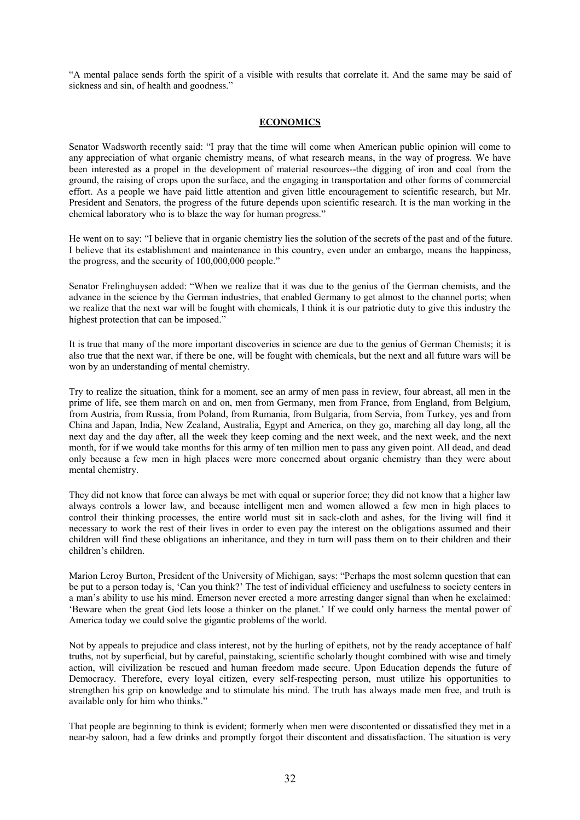"A mental palace sends forth the spirit of a visible with results that correlate it. And the same may be said of sickness and sin, of health and goodness."

## **ECONOMICS**

Senator Wadsworth recently said: "I pray that the time will come when American public opinion will come to any appreciation of what organic chemistry means, of what research means, in the way of progress. We have been interested as a propel in the development of material resources--the digging of iron and coal from the ground, the raising of crops upon the surface, and the engaging in transportation and other forms of commercial effort. As a people we have paid little attention and given little encouragement to scientific research, but Mr. President and Senators, the progress of the future depends upon scientific research. It is the man working in the chemical laboratory who is to blaze the way for human progress."

He went on to say: "I believe that in organic chemistry lies the solution of the secrets of the past and of the future. I believe that its establishment and maintenance in this country, even under an embargo, means the happiness, the progress, and the security of 100,000,000 people."

Senator Frelinghuysen added: "When we realize that it was due to the genius of the German chemists, and the advance in the science by the German industries, that enabled Germany to get almost to the channel ports; when we realize that the next war will be fought with chemicals, I think it is our patriotic duty to give this industry the highest protection that can be imposed."

It is true that many of the more important discoveries in science are due to the genius of German Chemists; it is also true that the next war, if there be one, will be fought with chemicals, but the next and all future wars will be won by an understanding of mental chemistry.

Try to realize the situation, think for a moment, see an army of men pass in review, four abreast, all men in the prime of life, see them march on and on, men from Germany, men from France, from England, from Belgium, from Austria, from Russia, from Poland, from Rumania, from Bulgaria, from Servia, from Turkey, yes and from China and Japan, India, New Zealand, Australia, Egypt and America, on they go, marching all day long, all the next day and the day after, all the week they keep coming and the next week, and the next week, and the next month, for if we would take months for this army of ten million men to pass any given point. All dead, and dead only because a few men in high places were more concerned about organic chemistry than they were about mental chemistry.

They did not know that force can always be met with equal or superior force; they did not know that a higher law always controls a lower law, and because intelligent men and women allowed a few men in high places to control their thinking processes, the entire world must sit in sack-cloth and ashes, for the living will find it necessary to work the rest of their lives in order to even pay the interest on the obligations assumed and their children will find these obligations an inheritance, and they in turn will pass them on to their children and their children's children.

Marion Leroy Burton, President of the University of Michigan, says: "Perhaps the most solemn question that can be put to a person today is, 'Can you think?' The test of individual efficiency and usefulness to society centers in a man's ability to use his mind. Emerson never erected a more arresting danger signal than when he exclaimed: 'Beware when the great God lets loose a thinker on the planet.' If we could only harness the mental power of America today we could solve the gigantic problems of the world.

Not by appeals to prejudice and class interest, not by the hurling of epithets, not by the ready acceptance of half truths, not by superficial, but by careful, painstaking, scientific scholarly thought combined with wise and timely action, will civilization be rescued and human freedom made secure. Upon Education depends the future of Democracy. Therefore, every loyal citizen, every self-respecting person, must utilize his opportunities to strengthen his grip on knowledge and to stimulate his mind. The truth has always made men free, and truth is available only for him who thinks."

That people are beginning to think is evident; formerly when men were discontented or dissatisfied they met in a near-by saloon, had a few drinks and promptly forgot their discontent and dissatisfaction. The situation is very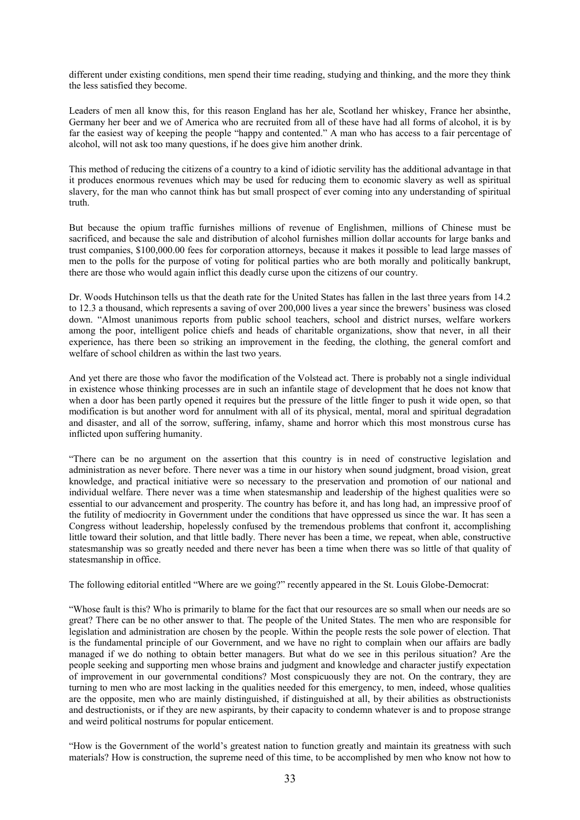different under existing conditions, men spend their time reading, studying and thinking, and the more they think the less satisfied they become.

Leaders of men all know this, for this reason England has her ale, Scotland her whiskey, France her absinthe, Germany her beer and we of America who are recruited from all of these have had all forms of alcohol, it is by far the easiest way of keeping the people "happy and contented." A man who has access to a fair percentage of alcohol, will not ask too many questions, if he does give him another drink.

This method of reducing the citizens of a country to a kind of idiotic servility has the additional advantage in that it produces enormous revenues which may be used for reducing them to economic slavery as well as spiritual slavery, for the man who cannot think has but small prospect of ever coming into any understanding of spiritual truth.

But because the opium traffic furnishes millions of revenue of Englishmen, millions of Chinese must be sacrificed, and because the sale and distribution of alcohol furnishes million dollar accounts for large banks and trust companies, \$100,000.00 fees for corporation attorneys, because it makes it possible to lead large masses of men to the polls for the purpose of voting for political parties who are both morally and politically bankrupt, there are those who would again inflict this deadly curse upon the citizens of our country.

Dr. Woods Hutchinson tells us that the death rate for the United States has fallen in the last three years from 14.2 to 12.3 a thousand, which represents a saving of over 200,000 lives a year since the brewers' business was closed down. "Almost unanimous reports from public school teachers, school and district nurses, welfare workers among the poor, intelligent police chiefs and heads of charitable organizations, show that never, in all their experience, has there been so striking an improvement in the feeding, the clothing, the general comfort and welfare of school children as within the last two years.

And yet there are those who favor the modification of the Volstead act. There is probably not a single individual in existence whose thinking processes are in such an infantile stage of development that he does not know that when a door has been partly opened it requires but the pressure of the little finger to push it wide open, so that modification is but another word for annulment with all of its physical, mental, moral and spiritual degradation and disaster, and all of the sorrow, suffering, infamy, shame and horror which this most monstrous curse has inflicted upon suffering humanity.

"There can be no argument on the assertion that this country is in need of constructive legislation and administration as never before. There never was a time in our history when sound judgment, broad vision, great knowledge, and practical initiative were so necessary to the preservation and promotion of our national and individual welfare. There never was a time when statesmanship and leadership of the highest qualities were so essential to our advancement and prosperity. The country has before it, and has long had, an impressive proof of the futility of mediocrity in Government under the conditions that have oppressed us since the war. It has seen a Congress without leadership, hopelessly confused by the tremendous problems that confront it, accomplishing little toward their solution, and that little badly. There never has been a time, we repeat, when able, constructive statesmanship was so greatly needed and there never has been a time when there was so little of that quality of statesmanship in office.

The following editorial entitled "Where are we going?" recently appeared in the St. Louis Globe-Democrat:

"Whose fault is this? Who is primarily to blame for the fact that our resources are so small when our needs are so great? There can be no other answer to that. The people of the United States. The men who are responsible for legislation and administration are chosen by the people. Within the people rests the sole power of election. That is the fundamental principle of our Government, and we have no right to complain when our affairs are badly managed if we do nothing to obtain better managers. But what do we see in this perilous situation? Are the people seeking and supporting men whose brains and judgment and knowledge and character justify expectation of improvement in our governmental conditions? Most conspicuously they are not. On the contrary, they are turning to men who are most lacking in the qualities needed for this emergency, to men, indeed, whose qualities are the opposite, men who are mainly distinguished, if distinguished at all, by their abilities as obstructionists and destructionists, or if they are new aspirants, by their capacity to condemn whatever is and to propose strange and weird political nostrums for popular enticement.

"How is the Government of the world's greatest nation to function greatly and maintain its greatness with such materials? How is construction, the supreme need of this time, to be accomplished by men who know not how to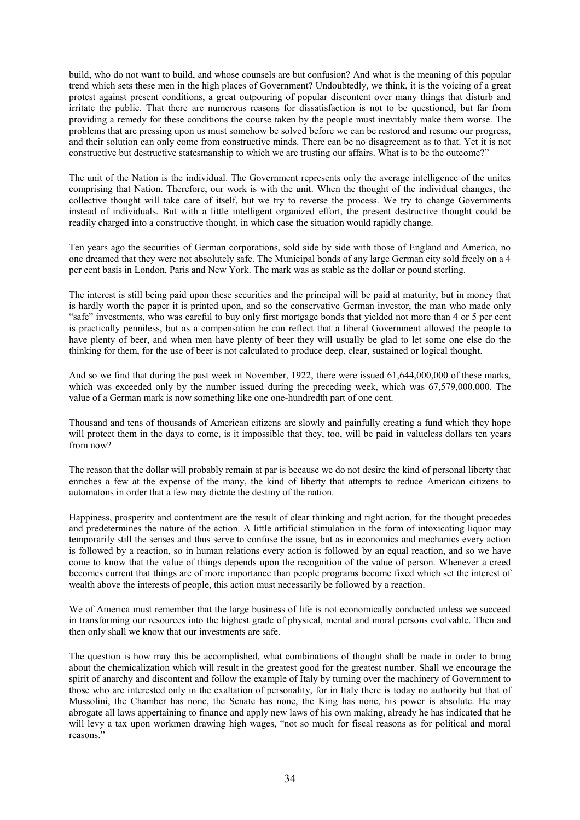build, who do not want to build, and whose counsels are but confusion? And what is the meaning of this popular trend which sets these men in the high places of Government? Undoubtedly, we think, it is the voicing of a great protest against present conditions, a great outpouring of popular discontent over many things that disturb and irritate the public. That there are numerous reasons for dissatisfaction is not to be questioned, but far from providing a remedy for these conditions the course taken by the people must inevitably make them worse. The problems that are pressing upon us must somehow be solved before we can be restored and resume our progress, and their solution can only come from constructive minds. There can be no disagreement as to that. Yet it is not constructive but destructive statesmanship to which we are trusting our affairs. What is to be the outcome?"

The unit of the Nation is the individual. The Government represents only the average intelligence of the unites comprising that Nation. Therefore, our work is with the unit. When the thought of the individual changes, the collective thought will take care of itself, but we try to reverse the process. We try to change Governments instead of individuals. But with a little intelligent organized effort, the present destructive thought could be readily charged into a constructive thought, in which case the situation would rapidly change.

Ten years ago the securities of German corporations, sold side by side with those of England and America, no one dreamed that they were not absolutely safe. The Municipal bonds of any large German city sold freely on a 4 per cent basis in London, Paris and New York. The mark was as stable as the dollar or pound sterling.

The interest is still being paid upon these securities and the principal will be paid at maturity, but in money that is hardly worth the paper it is printed upon, and so the conservative German investor, the man who made only "safe" investments, who was careful to buy only first mortgage bonds that yielded not more than 4 or 5 per cent is practically penniless, but as a compensation he can reflect that a liberal Government allowed the people to have plenty of beer, and when men have plenty of beer they will usually be glad to let some one else do the thinking for them, for the use of beer is not calculated to produce deep, clear, sustained or logical thought.

And so we find that during the past week in November, 1922, there were issued 61,644,000,000 of these marks, which was exceeded only by the number issued during the preceding week, which was 67,579,000,000. The value of a German mark is now something like one one-hundredth part of one cent.

Thousand and tens of thousands of American citizens are slowly and painfully creating a fund which they hope will protect them in the days to come, is it impossible that they, too, will be paid in valueless dollars ten years from now?

The reason that the dollar will probably remain at par is because we do not desire the kind of personal liberty that enriches a few at the expense of the many, the kind of liberty that attempts to reduce American citizens to automatons in order that a few may dictate the destiny of the nation.

Happiness, prosperity and contentment are the result of clear thinking and right action, for the thought precedes and predetermines the nature of the action. A little artificial stimulation in the form of intoxicating liquor may temporarily still the senses and thus serve to confuse the issue, but as in economics and mechanics every action is followed by a reaction, so in human relations every action is followed by an equal reaction, and so we have come to know that the value of things depends upon the recognition of the value of person. Whenever a creed becomes current that things are of more importance than people programs become fixed which set the interest of wealth above the interests of people, this action must necessarily be followed by a reaction.

We of America must remember that the large business of life is not economically conducted unless we succeed in transforming our resources into the highest grade of physical, mental and moral persons evolvable. Then and then only shall we know that our investments are safe.

The question is how may this be accomplished, what combinations of thought shall be made in order to bring about the chemicalization which will result in the greatest good for the greatest number. Shall we encourage the spirit of anarchy and discontent and follow the example of Italy by turning over the machinery of Government to those who are interested only in the exaltation of personality, for in Italy there is today no authority but that of Mussolini, the Chamber has none, the Senate has none, the King has none, his power is absolute. He may abrogate all laws appertaining to finance and apply new laws of his own making, already he has indicated that he will levy a tax upon workmen drawing high wages, "not so much for fiscal reasons as for political and moral reasons."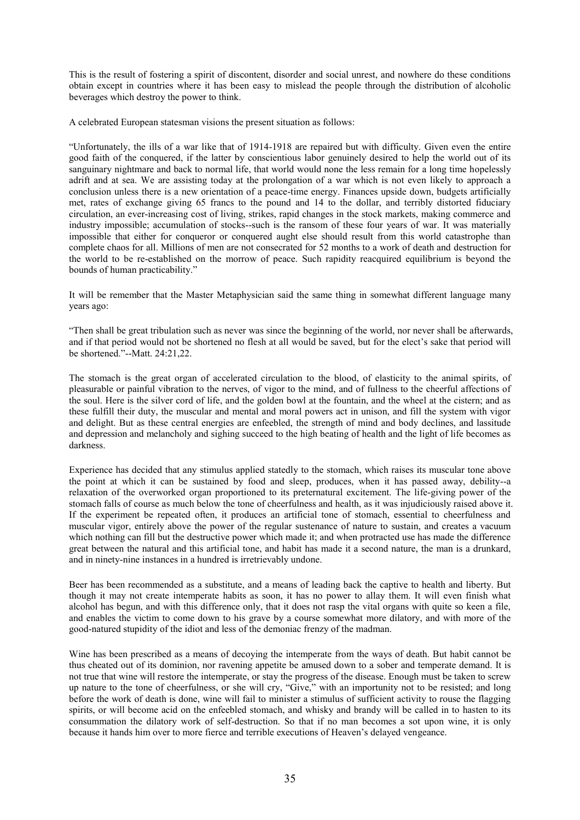This is the result of fostering a spirit of discontent, disorder and social unrest, and nowhere do these conditions obtain except in countries where it has been easy to mislead the people through the distribution of alcoholic beverages which destroy the power to think.

A celebrated European statesman visions the present situation as follows:

"Unfortunately, the ills of a war like that of 1914-1918 are repaired but with difficulty. Given even the entire good faith of the conquered, if the latter by conscientious labor genuinely desired to help the world out of its sanguinary nightmare and back to normal life, that world would none the less remain for a long time hopelessly adrift and at sea. We are assisting today at the prolongation of a war which is not even likely to approach a conclusion unless there is a new orientation of a peace-time energy. Finances upside down, budgets artificially met, rates of exchange giving 65 francs to the pound and 14 to the dollar, and terribly distorted fiduciary circulation, an ever-increasing cost of living, strikes, rapid changes in the stock markets, making commerce and industry impossible; accumulation of stocks--such is the ransom of these four years of war. It was materially impossible that either for conqueror or conquered aught else should result from this world catastrophe than complete chaos for all. Millions of men are not consecrated for 52 months to a work of death and destruction for the world to be re-established on the morrow of peace. Such rapidity reacquired equilibrium is beyond the bounds of human practicability."

It will be remember that the Master Metaphysician said the same thing in somewhat different language many years ago:

"Then shall be great tribulation such as never was since the beginning of the world, nor never shall be afterwards, and if that period would not be shortened no flesh at all would be saved, but for the elect's sake that period will be shortened."--Matt. 24:21,22.

The stomach is the great organ of accelerated circulation to the blood, of elasticity to the animal spirits, of pleasurable or painful vibration to the nerves, of vigor to the mind, and of fullness to the cheerful affections of the soul. Here is the silver cord of life, and the golden bowl at the fountain, and the wheel at the cistern; and as these fulfill their duty, the muscular and mental and moral powers act in unison, and fill the system with vigor and delight. But as these central energies are enfeebled, the strength of mind and body declines, and lassitude and depression and melancholy and sighing succeed to the high beating of health and the light of life becomes as darkness.

Experience has decided that any stimulus applied statedly to the stomach, which raises its muscular tone above the point at which it can be sustained by food and sleep, produces, when it has passed away, debility--a relaxation of the overworked organ proportioned to its preternatural excitement. The life-giving power of the stomach falls of course as much below the tone of cheerfulness and health, as it was injudiciously raised above it. If the experiment be repeated often, it produces an artificial tone of stomach, essential to cheerfulness and muscular vigor, entirely above the power of the regular sustenance of nature to sustain, and creates a vacuum which nothing can fill but the destructive power which made it; and when protracted use has made the difference great between the natural and this artificial tone, and habit has made it a second nature, the man is a drunkard, and in ninety-nine instances in a hundred is irretrievably undone.

Beer has been recommended as a substitute, and a means of leading back the captive to health and liberty. But though it may not create intemperate habits as soon, it has no power to allay them. It will even finish what alcohol has begun, and with this difference only, that it does not rasp the vital organs with quite so keen a file, and enables the victim to come down to his grave by a course somewhat more dilatory, and with more of the good-natured stupidity of the idiot and less of the demoniac frenzy of the madman.

Wine has been prescribed as a means of decoying the intemperate from the ways of death. But habit cannot be thus cheated out of its dominion, nor ravening appetite be amused down to a sober and temperate demand. It is not true that wine will restore the intemperate, or stay the progress of the disease. Enough must be taken to screw up nature to the tone of cheerfulness, or she will cry, "Give," with an importunity not to be resisted; and long before the work of death is done, wine will fail to minister a stimulus of sufficient activity to rouse the flagging spirits, or will become acid on the enfeebled stomach, and whisky and brandy will be called in to hasten to its consummation the dilatory work of self-destruction. So that if no man becomes a sot upon wine, it is only because it hands him over to more fierce and terrible executions of Heaven's delayed vengeance.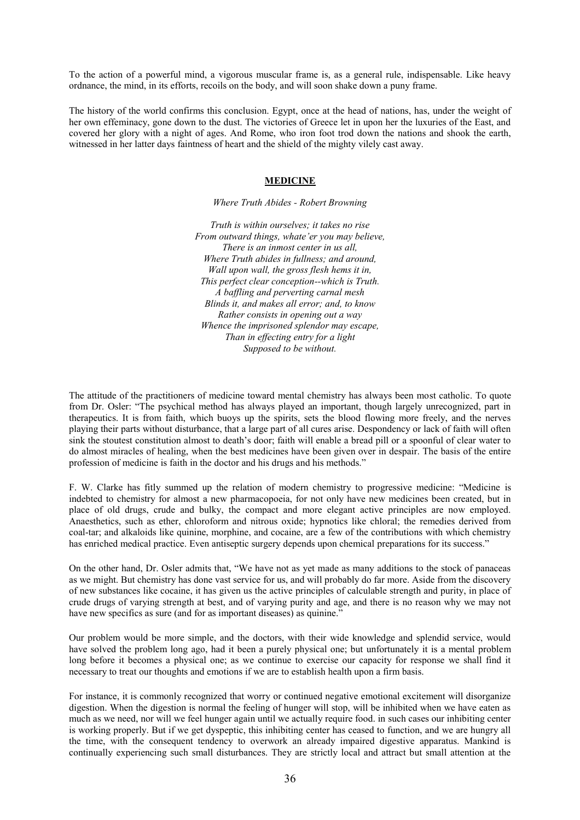To the action of a powerful mind, a vigorous muscular frame is, as a general rule, indispensable. Like heavy ordnance, the mind, in its efforts, recoils on the body, and will soon shake down a puny frame.

The history of the world confirms this conclusion. Egypt, once at the head of nations, has, under the weight of her own effeminacy, gone down to the dust. The victories of Greece let in upon her the luxuries of the East, and covered her glory with a night of ages. And Rome, who iron foot trod down the nations and shook the earth, witnessed in her latter days faintness of heart and the shield of the mighty vilely cast away.

## **MEDICINE**

#### *Where Truth Abides - Robert Browning*

*Truth is within ourselves; it takes no rise From outward things, whate'er you may believe, There is an inmost center in us all, Where Truth abides in fullness; and around, Wall upon wall, the gross flesh hems it in, This perfect clear conception--which is Truth. A baffling and perverting carnal mesh Blinds it, and makes all error; and, to know Rather consists in opening out a way Whence the imprisoned splendor may escape, Than in effecting entry for a light Supposed to be without.* 

The attitude of the practitioners of medicine toward mental chemistry has always been most catholic. To quote from Dr. Osler: "The psychical method has always played an important, though largely unrecognized, part in therapeutics. It is from faith, which buoys up the spirits, sets the blood flowing more freely, and the nerves playing their parts without disturbance, that a large part of all cures arise. Despondency or lack of faith will often sink the stoutest constitution almost to death's door; faith will enable a bread pill or a spoonful of clear water to do almost miracles of healing, when the best medicines have been given over in despair. The basis of the entire profession of medicine is faith in the doctor and his drugs and his methods."

F. W. Clarke has fitly summed up the relation of modern chemistry to progressive medicine: "Medicine is indebted to chemistry for almost a new pharmacopoeia, for not only have new medicines been created, but in place of old drugs, crude and bulky, the compact and more elegant active principles are now employed. Anaesthetics, such as ether, chloroform and nitrous oxide; hypnotics like chloral; the remedies derived from coal-tar; and alkaloids like quinine, morphine, and cocaine, are a few of the contributions with which chemistry has enriched medical practice. Even antiseptic surgery depends upon chemical preparations for its success."

On the other hand, Dr. Osler admits that, "We have not as yet made as many additions to the stock of panaceas as we might. But chemistry has done vast service for us, and will probably do far more. Aside from the discovery of new substances like cocaine, it has given us the active principles of calculable strength and purity, in place of crude drugs of varying strength at best, and of varying purity and age, and there is no reason why we may not have new specifics as sure (and for as important diseases) as quinine."

Our problem would be more simple, and the doctors, with their wide knowledge and splendid service, would have solved the problem long ago, had it been a purely physical one; but unfortunately it is a mental problem long before it becomes a physical one; as we continue to exercise our capacity for response we shall find it necessary to treat our thoughts and emotions if we are to establish health upon a firm basis.

For instance, it is commonly recognized that worry or continued negative emotional excitement will disorganize digestion. When the digestion is normal the feeling of hunger will stop, will be inhibited when we have eaten as much as we need, nor will we feel hunger again until we actually require food. in such cases our inhibiting center is working properly. But if we get dyspeptic, this inhibiting center has ceased to function, and we are hungry all the time, with the consequent tendency to overwork an already impaired digestive apparatus. Mankind is continually experiencing such small disturbances. They are strictly local and attract but small attention at the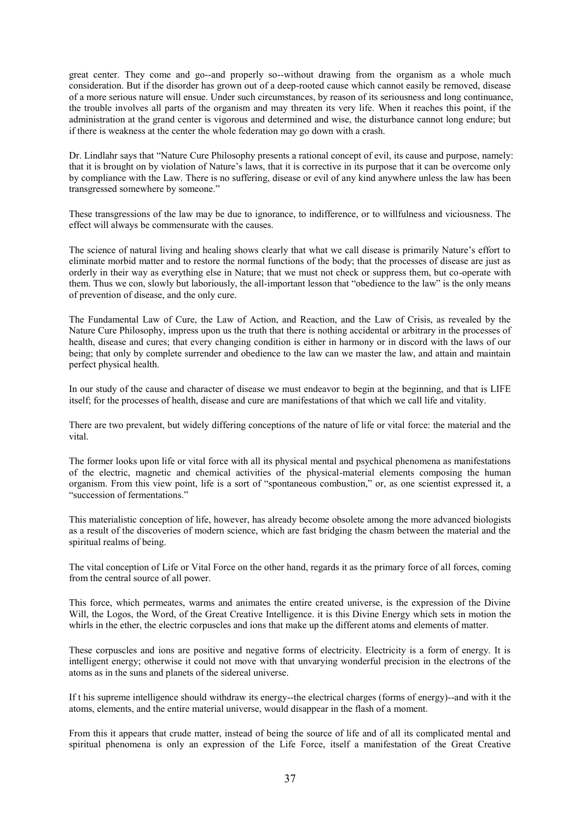great center. They come and go--and properly so--without drawing from the organism as a whole much consideration. But if the disorder has grown out of a deep-rooted cause which cannot easily be removed, disease of a more serious nature will ensue. Under such circumstances, by reason of its seriousness and long continuance, the trouble involves all parts of the organism and may threaten its very life. When it reaches this point, if the administration at the grand center is vigorous and determined and wise, the disturbance cannot long endure; but if there is weakness at the center the whole federation may go down with a crash.

Dr. Lindlahr says that "Nature Cure Philosophy presents a rational concept of evil, its cause and purpose, namely: that it is brought on by violation of Nature's laws, that it is corrective in its purpose that it can be overcome only by compliance with the Law. There is no suffering, disease or evil of any kind anywhere unless the law has been transgressed somewhere by someone."

These transgressions of the law may be due to ignorance, to indifference, or to willfulness and viciousness. The effect will always be commensurate with the causes.

The science of natural living and healing shows clearly that what we call disease is primarily Nature's effort to eliminate morbid matter and to restore the normal functions of the body; that the processes of disease are just as orderly in their way as everything else in Nature; that we must not check or suppress them, but co-operate with them. Thus we con, slowly but laboriously, the all-important lesson that "obedience to the law" is the only means of prevention of disease, and the only cure.

The Fundamental Law of Cure, the Law of Action, and Reaction, and the Law of Crisis, as revealed by the Nature Cure Philosophy, impress upon us the truth that there is nothing accidental or arbitrary in the processes of health, disease and cures; that every changing condition is either in harmony or in discord with the laws of our being; that only by complete surrender and obedience to the law can we master the law, and attain and maintain perfect physical health.

In our study of the cause and character of disease we must endeavor to begin at the beginning, and that is LIFE itself; for the processes of health, disease and cure are manifestations of that which we call life and vitality.

There are two prevalent, but widely differing conceptions of the nature of life or vital force: the material and the vital.

The former looks upon life or vital force with all its physical mental and psychical phenomena as manifestations of the electric, magnetic and chemical activities of the physical-material elements composing the human organism. From this view point, life is a sort of "spontaneous combustion," or, as one scientist expressed it, a "succession of fermentations."

This materialistic conception of life, however, has already become obsolete among the more advanced biologists as a result of the discoveries of modern science, which are fast bridging the chasm between the material and the spiritual realms of being.

The vital conception of Life or Vital Force on the other hand, regards it as the primary force of all forces, coming from the central source of all power.

This force, which permeates, warms and animates the entire created universe, is the expression of the Divine Will, the Logos, the Word, of the Great Creative Intelligence, it is this Divine Energy which sets in motion the whirls in the ether, the electric corpuscles and ions that make up the different atoms and elements of matter.

These corpuscles and ions are positive and negative forms of electricity. Electricity is a form of energy. It is intelligent energy; otherwise it could not move with that unvarying wonderful precision in the electrons of the atoms as in the suns and planets of the sidereal universe.

If t his supreme intelligence should withdraw its energy--the electrical charges (forms of energy)--and with it the atoms, elements, and the entire material universe, would disappear in the flash of a moment.

From this it appears that crude matter, instead of being the source of life and of all its complicated mental and spiritual phenomena is only an expression of the Life Force, itself a manifestation of the Great Creative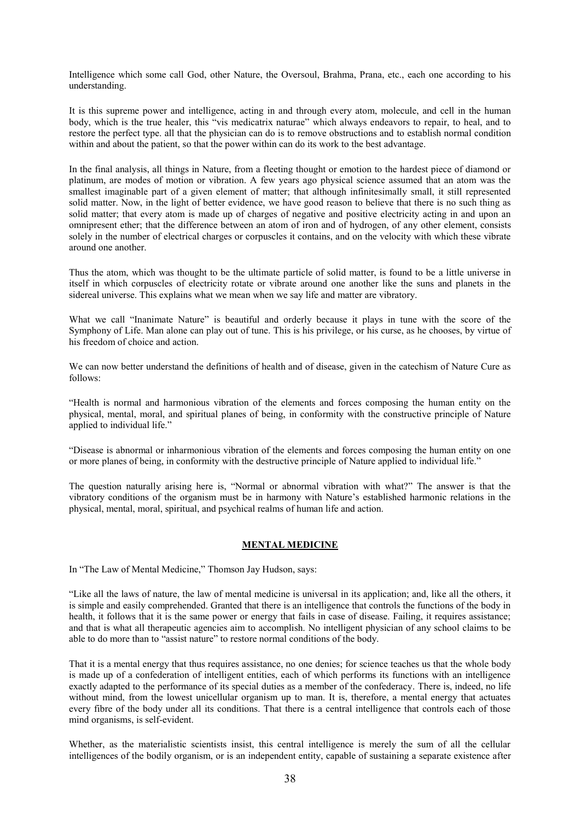Intelligence which some call God, other Nature, the Oversoul, Brahma, Prana, etc., each one according to his understanding.

It is this supreme power and intelligence, acting in and through every atom, molecule, and cell in the human body, which is the true healer, this "vis medicatrix naturae" which always endeavors to repair, to heal, and to restore the perfect type. all that the physician can do is to remove obstructions and to establish normal condition within and about the patient, so that the power within can do its work to the best advantage.

In the final analysis, all things in Nature, from a fleeting thought or emotion to the hardest piece of diamond or platinum, are modes of motion or vibration. A few years ago physical science assumed that an atom was the smallest imaginable part of a given element of matter; that although infinitesimally small, it still represented solid matter. Now, in the light of better evidence, we have good reason to believe that there is no such thing as solid matter; that every atom is made up of charges of negative and positive electricity acting in and upon an omnipresent ether; that the difference between an atom of iron and of hydrogen, of any other element, consists solely in the number of electrical charges or corpuscles it contains, and on the velocity with which these vibrate around one another.

Thus the atom, which was thought to be the ultimate particle of solid matter, is found to be a little universe in itself in which corpuscles of electricity rotate or vibrate around one another like the suns and planets in the sidereal universe. This explains what we mean when we say life and matter are vibratory.

What we call "Inanimate Nature" is beautiful and orderly because it plays in tune with the score of the Symphony of Life. Man alone can play out of tune. This is his privilege, or his curse, as he chooses, by virtue of his freedom of choice and action.

We can now better understand the definitions of health and of disease, given in the catechism of Nature Cure as follows:

"Health is normal and harmonious vibration of the elements and forces composing the human entity on the physical, mental, moral, and spiritual planes of being, in conformity with the constructive principle of Nature applied to individual life."

"Disease is abnormal or inharmonious vibration of the elements and forces composing the human entity on one or more planes of being, in conformity with the destructive principle of Nature applied to individual life."

The question naturally arising here is, "Normal or abnormal vibration with what?" The answer is that the vibratory conditions of the organism must be in harmony with Nature's established harmonic relations in the physical, mental, moral, spiritual, and psychical realms of human life and action.

## **MENTAL MEDICINE**

In "The Law of Mental Medicine," Thomson Jay Hudson, says:

"Like all the laws of nature, the law of mental medicine is universal in its application; and, like all the others, it is simple and easily comprehended. Granted that there is an intelligence that controls the functions of the body in health, it follows that it is the same power or energy that fails in case of disease. Failing, it requires assistance; and that is what all therapeutic agencies aim to accomplish. No intelligent physician of any school claims to be able to do more than to "assist nature" to restore normal conditions of the body.

That it is a mental energy that thus requires assistance, no one denies; for science teaches us that the whole body is made up of a confederation of intelligent entities, each of which performs its functions with an intelligence exactly adapted to the performance of its special duties as a member of the confederacy. There is, indeed, no life without mind, from the lowest unicellular organism up to man. It is, therefore, a mental energy that actuates every fibre of the body under all its conditions. That there is a central intelligence that controls each of those mind organisms, is self-evident.

Whether, as the materialistic scientists insist, this central intelligence is merely the sum of all the cellular intelligences of the bodily organism, or is an independent entity, capable of sustaining a separate existence after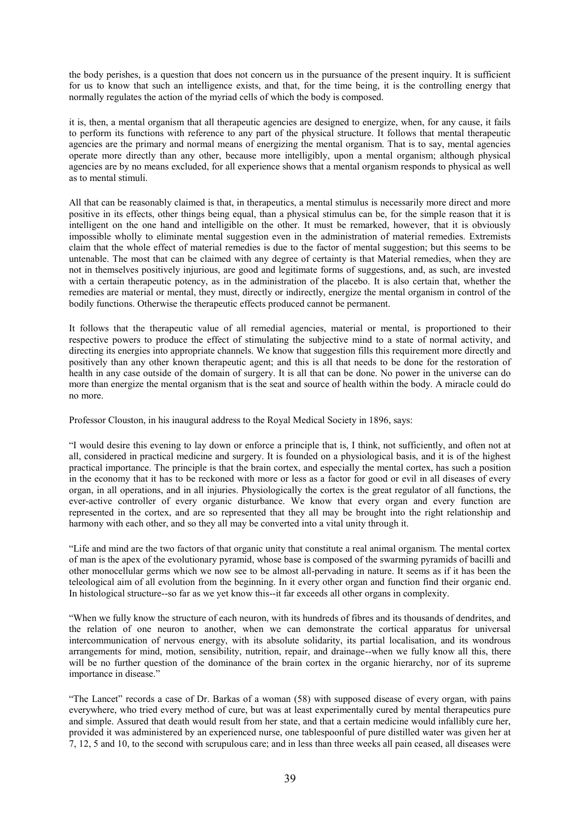the body perishes, is a question that does not concern us in the pursuance of the present inquiry. It is sufficient for us to know that such an intelligence exists, and that, for the time being, it is the controlling energy that normally regulates the action of the myriad cells of which the body is composed.

it is, then, a mental organism that all therapeutic agencies are designed to energize, when, for any cause, it fails to perform its functions with reference to any part of the physical structure. It follows that mental therapeutic agencies are the primary and normal means of energizing the mental organism. That is to say, mental agencies operate more directly than any other, because more intelligibly, upon a mental organism; although physical agencies are by no means excluded, for all experience shows that a mental organism responds to physical as well as to mental stimuli.

All that can be reasonably claimed is that, in therapeutics, a mental stimulus is necessarily more direct and more positive in its effects, other things being equal, than a physical stimulus can be, for the simple reason that it is intelligent on the one hand and intelligible on the other. It must be remarked, however, that it is obviously impossible wholly to eliminate mental suggestion even in the administration of material remedies. Extremists claim that the whole effect of material remedies is due to the factor of mental suggestion; but this seems to be untenable. The most that can be claimed with any degree of certainty is that Material remedies, when they are not in themselves positively injurious, are good and legitimate forms of suggestions, and, as such, are invested with a certain therapeutic potency, as in the administration of the placebo. It is also certain that, whether the remedies are material or mental, they must, directly or indirectly, energize the mental organism in control of the bodily functions. Otherwise the therapeutic effects produced cannot be permanent.

It follows that the therapeutic value of all remedial agencies, material or mental, is proportioned to their respective powers to produce the effect of stimulating the subjective mind to a state of normal activity, and directing its energies into appropriate channels. We know that suggestion fills this requirement more directly and positively than any other known therapeutic agent; and this is all that needs to be done for the restoration of health in any case outside of the domain of surgery. It is all that can be done. No power in the universe can do more than energize the mental organism that is the seat and source of health within the body. A miracle could do no more.

Professor Clouston, in his inaugural address to the Royal Medical Society in 1896, says:

"I would desire this evening to lay down or enforce a principle that is, I think, not sufficiently, and often not at all, considered in practical medicine and surgery. It is founded on a physiological basis, and it is of the highest practical importance. The principle is that the brain cortex, and especially the mental cortex, has such a position in the economy that it has to be reckoned with more or less as a factor for good or evil in all diseases of every organ, in all operations, and in all injuries. Physiologically the cortex is the great regulator of all functions, the ever-active controller of every organic disturbance. We know that every organ and every function are represented in the cortex, and are so represented that they all may be brought into the right relationship and harmony with each other, and so they all may be converted into a vital unity through it.

"Life and mind are the two factors of that organic unity that constitute a real animal organism. The mental cortex of man is the apex of the evolutionary pyramid, whose base is composed of the swarming pyramids of bacilli and other monocellular germs which we now see to be almost all-pervading in nature. It seems as if it has been the teleological aim of all evolution from the beginning. In it every other organ and function find their organic end. In histological structure--so far as we yet know this--it far exceeds all other organs in complexity.

"When we fully know the structure of each neuron, with its hundreds of fibres and its thousands of dendrites, and the relation of one neuron to another, when we can demonstrate the cortical apparatus for universal intercommunication of nervous energy, with its absolute solidarity, its partial localisation, and its wondrous arrangements for mind, motion, sensibility, nutrition, repair, and drainage--when we fully know all this, there will be no further question of the dominance of the brain cortex in the organic hierarchy, nor of its supreme importance in disease."

"The Lancet" records a case of Dr. Barkas of a woman (58) with supposed disease of every organ, with pains everywhere, who tried every method of cure, but was at least experimentally cured by mental therapeutics pure and simple. Assured that death would result from her state, and that a certain medicine would infallibly cure her, provided it was administered by an experienced nurse, one tablespoonful of pure distilled water was given her at 7, 12, 5 and 10, to the second with scrupulous care; and in less than three weeks all pain ceased, all diseases were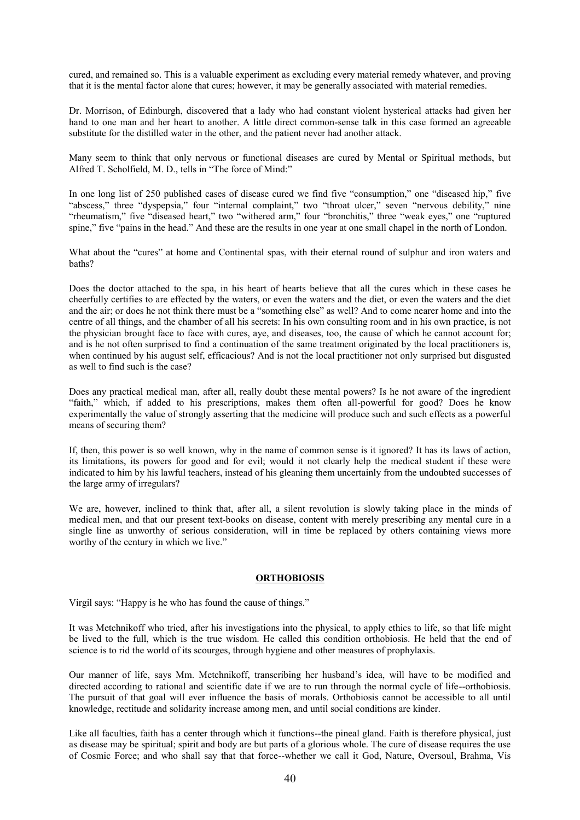cured, and remained so. This is a valuable experiment as excluding every material remedy whatever, and proving that it is the mental factor alone that cures; however, it may be generally associated with material remedies.

Dr. Morrison, of Edinburgh, discovered that a lady who had constant violent hysterical attacks had given her hand to one man and her heart to another. A little direct common-sense talk in this case formed an agreeable substitute for the distilled water in the other, and the patient never had another attack.

Many seem to think that only nervous or functional diseases are cured by Mental or Spiritual methods, but Alfred T. Scholfield, M. D., tells in "The force of Mind:"

In one long list of 250 published cases of disease cured we find five "consumption," one "diseased hip," five "abscess," three "dyspepsia," four "internal complaint," two "throat ulcer," seven "nervous debility," nine "rheumatism," five "diseased heart," two "withered arm," four "bronchitis," three "weak eyes," one "ruptured spine," five "pains in the head." And these are the results in one year at one small chapel in the north of London.

What about the "cures" at home and Continental spas, with their eternal round of sulphur and iron waters and baths?

Does the doctor attached to the spa, in his heart of hearts believe that all the cures which in these cases he cheerfully certifies to are effected by the waters, or even the waters and the diet, or even the waters and the diet and the air; or does he not think there must be a "something else" as well? And to come nearer home and into the centre of all things, and the chamber of all his secrets: In his own consulting room and in his own practice, is not the physician brought face to face with cures, aye, and diseases, too, the cause of which he cannot account for; and is he not often surprised to find a continuation of the same treatment originated by the local practitioners is, when continued by his august self, efficacious? And is not the local practitioner not only surprised but disgusted as well to find such is the case?

Does any practical medical man, after all, really doubt these mental powers? Is he not aware of the ingredient "faith," which, if added to his prescriptions, makes them often all-powerful for good? Does he know experimentally the value of strongly asserting that the medicine will produce such and such effects as a powerful means of securing them?

If, then, this power is so well known, why in the name of common sense is it ignored? It has its laws of action, its limitations, its powers for good and for evil; would it not clearly help the medical student if these were indicated to him by his lawful teachers, instead of his gleaning them uncertainly from the undoubted successes of the large army of irregulars?

We are, however, inclined to think that, after all, a silent revolution is slowly taking place in the minds of medical men, and that our present text-books on disease, content with merely prescribing any mental cure in a single line as unworthy of serious consideration, will in time be replaced by others containing views more worthy of the century in which we live."

## **ORTHOBIOSIS**

Virgil says: "Happy is he who has found the cause of things."

It was Metchnikoff who tried, after his investigations into the physical, to apply ethics to life, so that life might be lived to the full, which is the true wisdom. He called this condition orthobiosis. He held that the end of science is to rid the world of its scourges, through hygiene and other measures of prophylaxis.

Our manner of life, says Mm. Metchnikoff, transcribing her husband's idea, will have to be modified and directed according to rational and scientific date if we are to run through the normal cycle of life--orthobiosis. The pursuit of that goal will ever influence the basis of morals. Orthobiosis cannot be accessible to all until knowledge, rectitude and solidarity increase among men, and until social conditions are kinder.

Like all faculties, faith has a center through which it functions--the pineal gland. Faith is therefore physical, just as disease may be spiritual; spirit and body are but parts of a glorious whole. The cure of disease requires the use of Cosmic Force; and who shall say that that force--whether we call it God, Nature, Oversoul, Brahma, Vis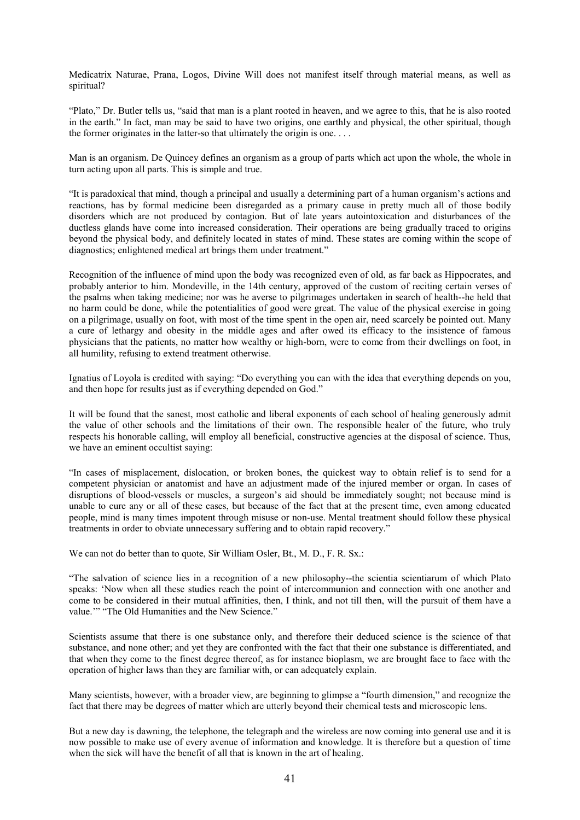Medicatrix Naturae, Prana, Logos, Divine Will does not manifest itself through material means, as well as spiritual?

"Plato," Dr. Butler tells us, "said that man is a plant rooted in heaven, and we agree to this, that he is also rooted in the earth." In fact, man may be said to have two origins, one earthly and physical, the other spiritual, though the former originates in the latter-so that ultimately the origin is one. . . .

Man is an organism. De Quincey defines an organism as a group of parts which act upon the whole, the whole in turn acting upon all parts. This is simple and true.

"It is paradoxical that mind, though a principal and usually a determining part of a human organism's actions and reactions, has by formal medicine been disregarded as a primary cause in pretty much all of those bodily disorders which are not produced by contagion. But of late years autointoxication and disturbances of the ductless glands have come into increased consideration. Their operations are being gradually traced to origins beyond the physical body, and definitely located in states of mind. These states are coming within the scope of diagnostics; enlightened medical art brings them under treatment."

Recognition of the influence of mind upon the body was recognized even of old, as far back as Hippocrates, and probably anterior to him. Mondeville, in the 14th century, approved of the custom of reciting certain verses of the psalms when taking medicine; nor was he averse to pilgrimages undertaken in search of health--he held that no harm could be done, while the potentialities of good were great. The value of the physical exercise in going on a pilgrimage, usually on foot, with most of the time spent in the open air, need scarcely be pointed out. Many a cure of lethargy and obesity in the middle ages and after owed its efficacy to the insistence of famous physicians that the patients, no matter how wealthy or high-born, were to come from their dwellings on foot, in all humility, refusing to extend treatment otherwise.

Ignatius of Loyola is credited with saying: "Do everything you can with the idea that everything depends on you, and then hope for results just as if everything depended on God."

It will be found that the sanest, most catholic and liberal exponents of each school of healing generously admit the value of other schools and the limitations of their own. The responsible healer of the future, who truly respects his honorable calling, will employ all beneficial, constructive agencies at the disposal of science. Thus, we have an eminent occultist saying:

"In cases of misplacement, dislocation, or broken bones, the quickest way to obtain relief is to send for a competent physician or anatomist and have an adjustment made of the injured member or organ. In cases of disruptions of blood-vessels or muscles, a surgeon's aid should be immediately sought; not because mind is unable to cure any or all of these cases, but because of the fact that at the present time, even among educated people, mind is many times impotent through misuse or non-use. Mental treatment should follow these physical treatments in order to obviate unnecessary suffering and to obtain rapid recovery."

We can not do better than to quote, Sir William Osler, Bt., M. D., F. R. Sx.:

"The salvation of science lies in a recognition of a new philosophy--the scientia scientiarum of which Plato speaks: 'Now when all these studies reach the point of intercommunion and connection with one another and come to be considered in their mutual affinities, then, I think, and not till then, will the pursuit of them have a value." "The Old Humanities and the New Science."

Scientists assume that there is one substance only, and therefore their deduced science is the science of that substance, and none other; and yet they are confronted with the fact that their one substance is differentiated, and that when they come to the finest degree thereof, as for instance bioplasm, we are brought face to face with the operation of higher laws than they are familiar with, or can adequately explain.

Many scientists, however, with a broader view, are beginning to glimpse a "fourth dimension," and recognize the fact that there may be degrees of matter which are utterly beyond their chemical tests and microscopic lens.

But a new day is dawning, the telephone, the telegraph and the wireless are now coming into general use and it is now possible to make use of every avenue of information and knowledge. It is therefore but a question of time when the sick will have the benefit of all that is known in the art of healing.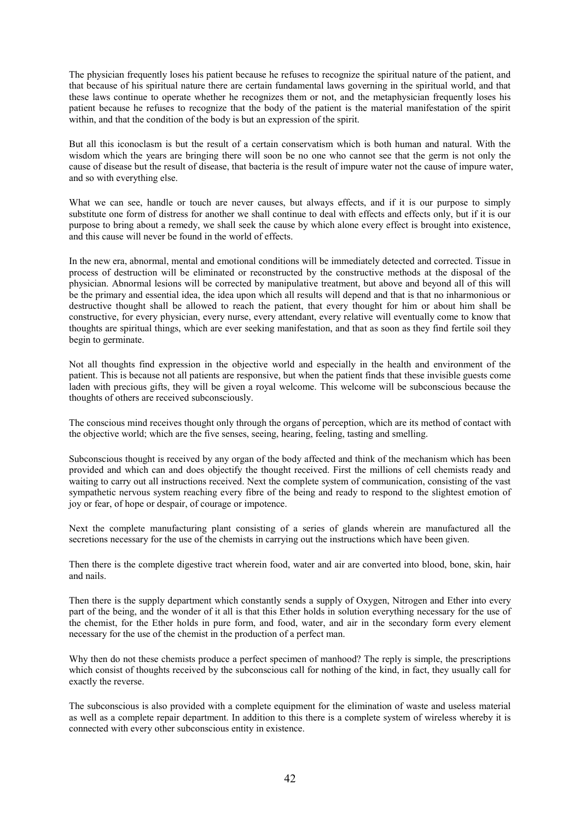The physician frequently loses his patient because he refuses to recognize the spiritual nature of the patient, and that because of his spiritual nature there are certain fundamental laws governing in the spiritual world, and that these laws continue to operate whether he recognizes them or not, and the metaphysician frequently loses his patient because he refuses to recognize that the body of the patient is the material manifestation of the spirit within, and that the condition of the body is but an expression of the spirit.

But all this iconoclasm is but the result of a certain conservatism which is both human and natural. With the wisdom which the years are bringing there will soon be no one who cannot see that the germ is not only the cause of disease but the result of disease, that bacteria is the result of impure water not the cause of impure water, and so with everything else.

What we can see, handle or touch are never causes, but always effects, and if it is our purpose to simply substitute one form of distress for another we shall continue to deal with effects and effects only, but if it is our purpose to bring about a remedy, we shall seek the cause by which alone every effect is brought into existence, and this cause will never be found in the world of effects.

In the new era, abnormal, mental and emotional conditions will be immediately detected and corrected. Tissue in process of destruction will be eliminated or reconstructed by the constructive methods at the disposal of the physician. Abnormal lesions will be corrected by manipulative treatment, but above and beyond all of this will be the primary and essential idea, the idea upon which all results will depend and that is that no inharmonious or destructive thought shall be allowed to reach the patient, that every thought for him or about him shall be constructive, for every physician, every nurse, every attendant, every relative will eventually come to know that thoughts are spiritual things, which are ever seeking manifestation, and that as soon as they find fertile soil they begin to germinate.

Not all thoughts find expression in the objective world and especially in the health and environment of the patient. This is because not all patients are responsive, but when the patient finds that these invisible guests come laden with precious gifts, they will be given a royal welcome. This welcome will be subconscious because the thoughts of others are received subconsciously.

The conscious mind receives thought only through the organs of perception, which are its method of contact with the objective world; which are the five senses, seeing, hearing, feeling, tasting and smelling.

Subconscious thought is received by any organ of the body affected and think of the mechanism which has been provided and which can and does objectify the thought received. First the millions of cell chemists ready and waiting to carry out all instructions received. Next the complete system of communication, consisting of the vast sympathetic nervous system reaching every fibre of the being and ready to respond to the slightest emotion of joy or fear, of hope or despair, of courage or impotence.

Next the complete manufacturing plant consisting of a series of glands wherein are manufactured all the secretions necessary for the use of the chemists in carrying out the instructions which have been given.

Then there is the complete digestive tract wherein food, water and air are converted into blood, bone, skin, hair and nails.

Then there is the supply department which constantly sends a supply of Oxygen, Nitrogen and Ether into every part of the being, and the wonder of it all is that this Ether holds in solution everything necessary for the use of the chemist, for the Ether holds in pure form, and food, water, and air in the secondary form every element necessary for the use of the chemist in the production of a perfect man.

Why then do not these chemists produce a perfect specimen of manhood? The reply is simple, the prescriptions which consist of thoughts received by the subconscious call for nothing of the kind, in fact, they usually call for exactly the reverse.

The subconscious is also provided with a complete equipment for the elimination of waste and useless material as well as a complete repair department. In addition to this there is a complete system of wireless whereby it is connected with every other subconscious entity in existence.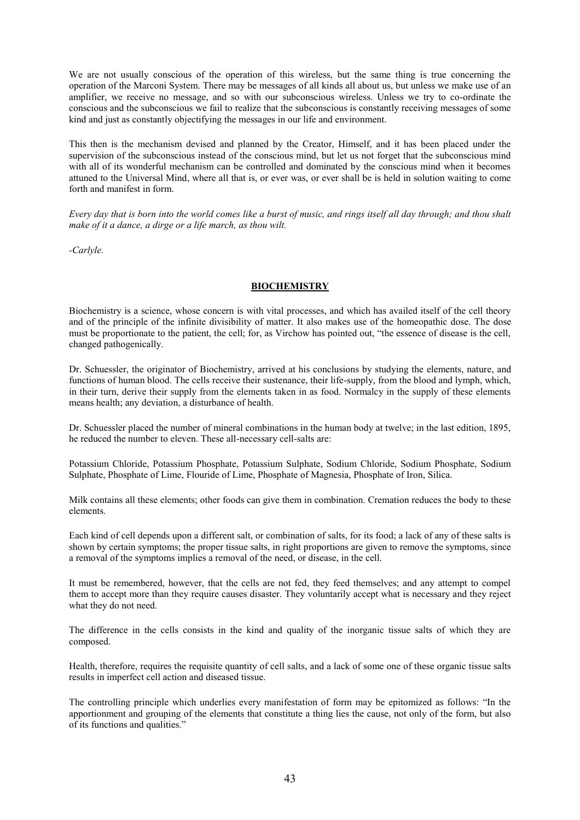We are not usually conscious of the operation of this wireless, but the same thing is true concerning the operation of the Marconi System. There may be messages of all kinds all about us, but unless we make use of an amplifier, we receive no message, and so with our subconscious wireless. Unless we try to co-ordinate the conscious and the subconscious we fail to realize that the subconscious is constantly receiving messages of some kind and just as constantly objectifying the messages in our life and environment.

This then is the mechanism devised and planned by the Creator, Himself, and it has been placed under the supervision of the subconscious instead of the conscious mind, but let us not forget that the subconscious mind with all of its wonderful mechanism can be controlled and dominated by the conscious mind when it becomes attuned to the Universal Mind, where all that is, or ever was, or ever shall be is held in solution waiting to come forth and manifest in form.

*Every day that is born into the world comes like a burst of music, and rings itself all day through; and thou shalt make of it a dance, a dirge or a life march, as thou wilt.* 

*-Carlyle.* 

## **BIOCHEMISTRY**

Biochemistry is a science, whose concern is with vital processes, and which has availed itself of the cell theory and of the principle of the infinite divisibility of matter. It also makes use of the homeopathic dose. The dose must be proportionate to the patient, the cell; for, as Virchow has pointed out, "the essence of disease is the cell, changed pathogenically.

Dr. Schuessler, the originator of Biochemistry, arrived at his conclusions by studying the elements, nature, and functions of human blood. The cells receive their sustenance, their life-supply, from the blood and lymph, which, in their turn, derive their supply from the elements taken in as food. Normalcy in the supply of these elements means health; any deviation, a disturbance of health.

Dr. Schuessler placed the number of mineral combinations in the human body at twelve; in the last edition, 1895, he reduced the number to eleven. These all-necessary cell-salts are:

Potassium Chloride, Potassium Phosphate, Potassium Sulphate, Sodium Chloride, Sodium Phosphate, Sodium Sulphate, Phosphate of Lime, Flouride of Lime, Phosphate of Magnesia, Phosphate of Iron, Silica.

Milk contains all these elements; other foods can give them in combination. Cremation reduces the body to these elements.

Each kind of cell depends upon a different salt, or combination of salts, for its food; a lack of any of these salts is shown by certain symptoms; the proper tissue salts, in right proportions are given to remove the symptoms, since a removal of the symptoms implies a removal of the need, or disease, in the cell.

It must be remembered, however, that the cells are not fed, they feed themselves; and any attempt to compel them to accept more than they require causes disaster. They voluntarily accept what is necessary and they reject what they do not need.

The difference in the cells consists in the kind and quality of the inorganic tissue salts of which they are composed.

Health, therefore, requires the requisite quantity of cell salts, and a lack of some one of these organic tissue salts results in imperfect cell action and diseased tissue.

The controlling principle which underlies every manifestation of form may be epitomized as follows: "In the apportionment and grouping of the elements that constitute a thing lies the cause, not only of the form, but also of its functions and qualities."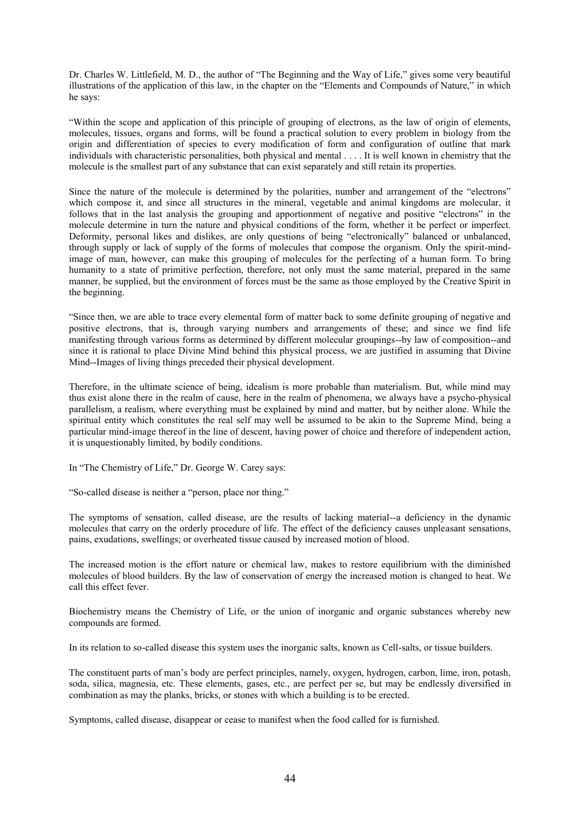Dr. Charles W. Littlefield, M. D., the author of "The Beginning and the Way of Life," gives some very beautiful illustrations of the application of this law, in the chapter on the "Elements and Compounds of Nature," in which he says:

"Within the scope and application of this principle of grouping of electrons, as the law of origin of elements, molecules, tissues, organs and forms, will be found a practical solution to every problem in biology from the origin and differentiation of species to every modification of form and configuration of outline that mark individuals with characteristic personalities, both physical and mental . . . . It is well known in chemistry that the molecule is the smallest part of any substance that can exist separately and still retain its properties.

Since the nature of the molecule is determined by the polarities, number and arrangement of the "electrons" which compose it, and since all structures in the mineral, vegetable and animal kingdoms are molecular, it follows that in the last analysis the grouping and apportionment of negative and positive "electrons" in the molecule determine in turn the nature and physical conditions of the form, whether it be perfect or imperfect. Deformity, personal likes and dislikes, are only questions of being "electronically" balanced or unbalanced, through supply or lack of supply of the forms of molecules that compose the organism. Only the spirit-mindimage of man, however, can make this grouping of molecules for the perfecting of a human form. To bring humanity to a state of primitive perfection, therefore, not only must the same material, prepared in the same manner, be supplied, but the environment of forces must be the same as those employed by the Creative Spirit in the beginning.

"Since then, we are able to trace every elemental form of matter back to some definite grouping of negative and positive electrons, that is, through varying numbers and arrangements of these; and since we find life manifesting through various forms as determined by different molecular groupings--by law of composition--and since it is rational to place Divine Mind behind this physical process, we are justified in assuming that Divine Mind--Images of living things preceded their physical development.

Therefore, in the ultimate science of being, idealism is more probable than materialism. But, while mind may thus exist alone there in the realm of cause, here in the realm of phenomena, we always have a psycho-physical parallelism, a realism, where everything must be explained by mind and matter, but by neither alone. While the spiritual entity which constitutes the real self may well be assumed to be akin to the Supreme Mind, being a particular mind-image thereof in the line of descent, having power of choice and therefore of independent action, it is unquestionably limited, by bodily conditions.

In "The Chemistry of Life," Dr. George W. Carey says:

"So-called disease is neither a "person, place nor thing."

The symptoms of sensation, called disease, are the results of lacking material--a deficiency in the dynamic molecules that carry on the orderly procedure of life. The effect of the deficiency causes unpleasant sensations, pains, exudations, swellings; or overheated tissue caused by increased motion of blood.

The increased motion is the effort nature or chemical law, makes to restore equilibrium with the diminished molecules of blood builders. By the law of conservation of energy the increased motion is changed to heat. We call this effect fever.

Biochemistry means the Chemistry of Life, or the union of inorganic and organic substances whereby new compounds are formed.

In its relation to so-called disease this system uses the inorganic salts, known as Cell-salts, or tissue builders.

The constituent parts of man's body are perfect principles, namely, oxygen, hydrogen, carbon, lime, iron, potash, soda, silica, magnesia, etc. These elements, gases, etc., are perfect per se, but may be endlessly diversified in combination as may the planks, bricks, or stones with which a building is to be erected.

Symptoms, called disease, disappear or cease to manifest when the food called for is furnished.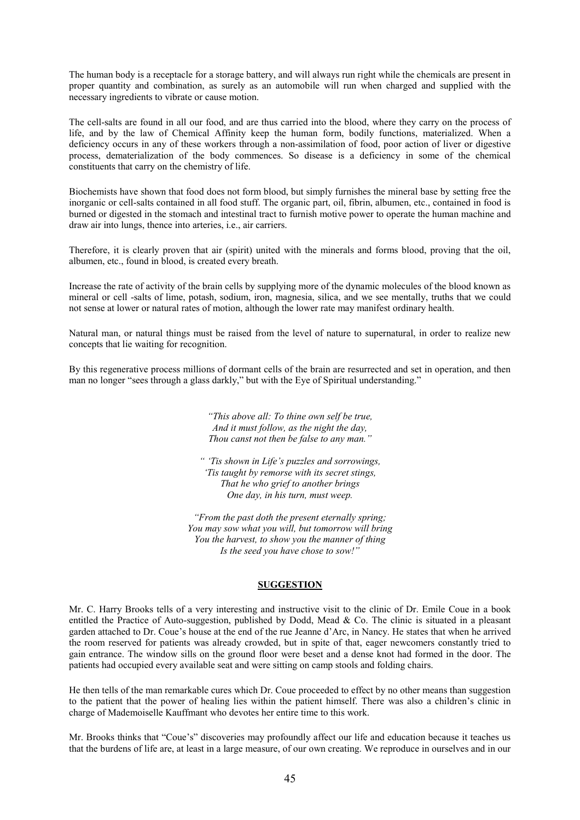The human body is a receptacle for a storage battery, and will always run right while the chemicals are present in proper quantity and combination, as surely as an automobile will run when charged and supplied with the necessary ingredients to vibrate or cause motion.

The cell-salts are found in all our food, and are thus carried into the blood, where they carry on the process of life, and by the law of Chemical Affinity keep the human form, bodily functions, materialized. When a deficiency occurs in any of these workers through a non-assimilation of food, poor action of liver or digestive process, dematerialization of the body commences. So disease is a deficiency in some of the chemical constituents that carry on the chemistry of life.

Biochemists have shown that food does not form blood, but simply furnishes the mineral base by setting free the inorganic or cell-salts contained in all food stuff. The organic part, oil, fibrin, albumen, etc., contained in food is burned or digested in the stomach and intestinal tract to furnish motive power to operate the human machine and draw air into lungs, thence into arteries, i.e., air carriers.

Therefore, it is clearly proven that air (spirit) united with the minerals and forms blood, proving that the oil, albumen, etc., found in blood, is created every breath.

Increase the rate of activity of the brain cells by supplying more of the dynamic molecules of the blood known as mineral or cell -salts of lime, potash, sodium, iron, magnesia, silica, and we see mentally, truths that we could not sense at lower or natural rates of motion, although the lower rate may manifest ordinary health.

Natural man, or natural things must be raised from the level of nature to supernatural, in order to realize new concepts that lie waiting for recognition.

By this regenerative process millions of dormant cells of the brain are resurrected and set in operation, and then man no longer "sees through a glass darkly," but with the Eye of Spiritual understanding."

> *"This above all: To thine own self be true, And it must follow, as the night the day, Thou canst not then be false to any man."*

*" 'Tis shown in Life's puzzles and sorrowings, 'Tis taught by remorse with its secret stings, That he who grief to another brings One day, in his turn, must weep.* 

*"From the past doth the present eternally spring; You may sow what you will, but tomorrow will bring You the harvest, to show you the manner of thing Is the seed you have chose to sow!"*

## **SUGGESTION**

Mr. C. Harry Brooks tells of a very interesting and instructive visit to the clinic of Dr. Emile Coue in a book entitled the Practice of Auto-suggestion, published by Dodd, Mead  $& Co$ . The clinic is situated in a pleasant garden attached to Dr. Coue's house at the end of the rue Jeanne d'Arc, in Nancy. He states that when he arrived the room reserved for patients was already crowded, but in spite of that, eager newcomers constantly tried to gain entrance. The window sills on the ground floor were beset and a dense knot had formed in the door. The patients had occupied every available seat and were sitting on camp stools and folding chairs.

He then tells of the man remarkable cures which Dr. Coue proceeded to effect by no other means than suggestion to the patient that the power of healing lies within the patient himself. There was also a children's clinic in charge of Mademoiselle Kauffmant who devotes her entire time to this work.

Mr. Brooks thinks that "Coue's" discoveries may profoundly affect our life and education because it teaches us that the burdens of life are, at least in a large measure, of our own creating. We reproduce in ourselves and in our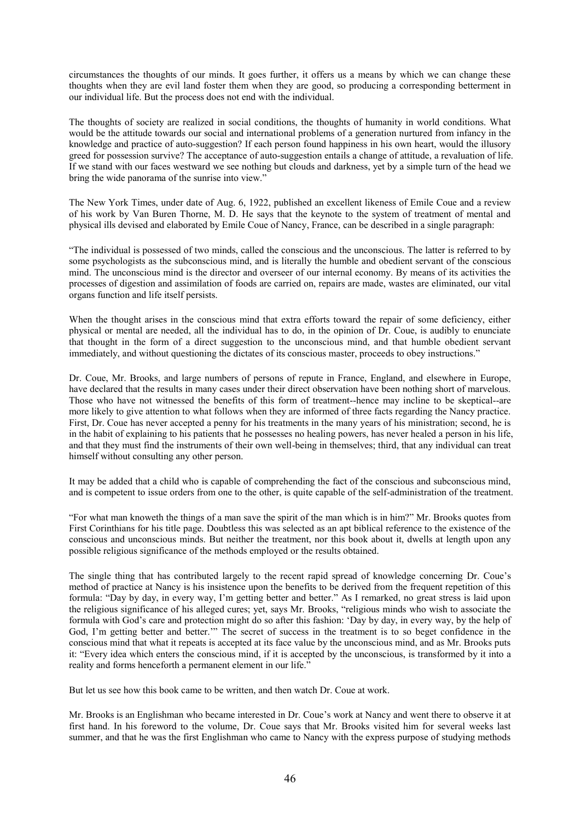circumstances the thoughts of our minds. It goes further, it offers us a means by which we can change these thoughts when they are evil land foster them when they are good, so producing a corresponding betterment in our individual life. But the process does not end with the individual.

The thoughts of society are realized in social conditions, the thoughts of humanity in world conditions. What would be the attitude towards our social and international problems of a generation nurtured from infancy in the knowledge and practice of auto-suggestion? If each person found happiness in his own heart, would the illusory greed for possession survive? The acceptance of auto-suggestion entails a change of attitude, a revaluation of life. If we stand with our faces westward we see nothing but clouds and darkness, yet by a simple turn of the head we bring the wide panorama of the sunrise into view."

The New York Times, under date of Aug. 6, 1922, published an excellent likeness of Emile Coue and a review of his work by Van Buren Thorne, M. D. He says that the keynote to the system of treatment of mental and physical ills devised and elaborated by Emile Coue of Nancy, France, can be described in a single paragraph:

"The individual is possessed of two minds, called the conscious and the unconscious. The latter is referred to by some psychologists as the subconscious mind, and is literally the humble and obedient servant of the conscious mind. The unconscious mind is the director and overseer of our internal economy. By means of its activities the processes of digestion and assimilation of foods are carried on, repairs are made, wastes are eliminated, our vital organs function and life itself persists.

When the thought arises in the conscious mind that extra efforts toward the repair of some deficiency, either physical or mental are needed, all the individual has to do, in the opinion of Dr. Coue, is audibly to enunciate that thought in the form of a direct suggestion to the unconscious mind, and that humble obedient servant immediately, and without questioning the dictates of its conscious master, proceeds to obey instructions."

Dr. Coue, Mr. Brooks, and large numbers of persons of repute in France, England, and elsewhere in Europe, have declared that the results in many cases under their direct observation have been nothing short of marvelous. Those who have not witnessed the benefits of this form of treatment--hence may incline to be skeptical--are more likely to give attention to what follows when they are informed of three facts regarding the Nancy practice. First, Dr. Coue has never accepted a penny for his treatments in the many years of his ministration; second, he is in the habit of explaining to his patients that he possesses no healing powers, has never healed a person in his life, and that they must find the instruments of their own well-being in themselves; third, that any individual can treat himself without consulting any other person.

It may be added that a child who is capable of comprehending the fact of the conscious and subconscious mind, and is competent to issue orders from one to the other, is quite capable of the self-administration of the treatment.

"For what man knoweth the things of a man save the spirit of the man which is in him?" Mr. Brooks quotes from First Corinthians for his title page. Doubtless this was selected as an apt biblical reference to the existence of the conscious and unconscious minds. But neither the treatment, nor this book about it, dwells at length upon any possible religious significance of the methods employed or the results obtained.

The single thing that has contributed largely to the recent rapid spread of knowledge concerning Dr. Coue's method of practice at Nancy is his insistence upon the benefits to be derived from the frequent repetition of this formula: "Day by day, in every way, I'm getting better and better." As I remarked, no great stress is laid upon the religious significance of his alleged cures; yet, says Mr. Brooks, "religious minds who wish to associate the formula with God's care and protection might do so after this fashion: 'Day by day, in every way, by the help of God, I'm getting better and better.'" The secret of success in the treatment is to so beget confidence in the conscious mind that what it repeats is accepted at its face value by the unconscious mind, and as Mr. Brooks puts it: "Every idea which enters the conscious mind, if it is accepted by the unconscious, is transformed by it into a reality and forms henceforth a permanent element in our life."

But let us see how this book came to be written, and then watch Dr. Coue at work.

Mr. Brooks is an Englishman who became interested in Dr. Coue's work at Nancy and went there to observe it at first hand. In his foreword to the volume, Dr. Coue says that Mr. Brooks visited him for several weeks last summer, and that he was the first Englishman who came to Nancy with the express purpose of studying methods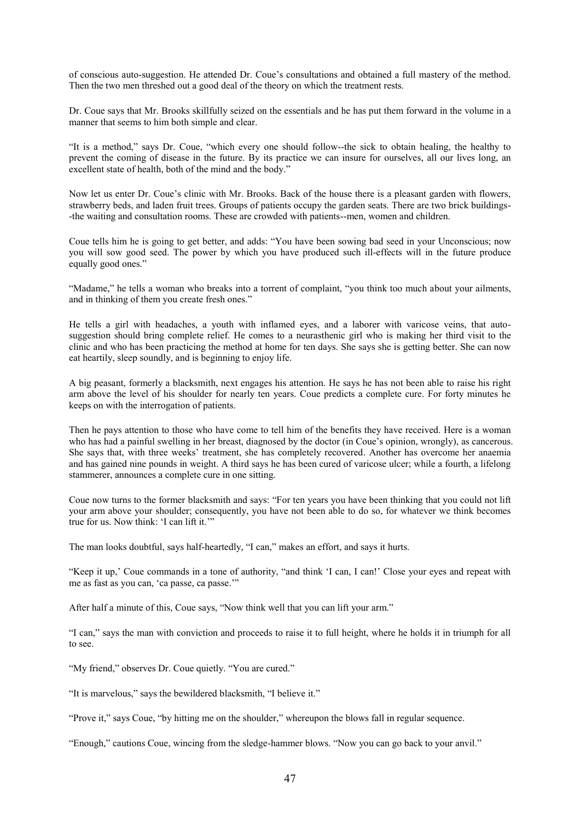of conscious auto-suggestion. He attended Dr. Coue's consultations and obtained a full mastery of the method. Then the two men threshed out a good deal of the theory on which the treatment rests.

Dr. Coue says that Mr. Brooks skillfully seized on the essentials and he has put them forward in the volume in a manner that seems to him both simple and clear.

"It is a method," says Dr. Coue, "which every one should follow--the sick to obtain healing, the healthy to prevent the coming of disease in the future. By its practice we can insure for ourselves, all our lives long, an excellent state of health, both of the mind and the body."

Now let us enter Dr. Coue's clinic with Mr. Brooks. Back of the house there is a pleasant garden with flowers, strawberry beds, and laden fruit trees. Groups of patients occupy the garden seats. There are two brick buildings- -the waiting and consultation rooms. These are crowded with patients--men, women and children.

Coue tells him he is going to get better, and adds: "You have been sowing bad seed in your Unconscious; now you will sow good seed. The power by which you have produced such ill-effects will in the future produce equally good ones."

"Madame," he tells a woman who breaks into a torrent of complaint, "you think too much about your ailments, and in thinking of them you create fresh ones."

He tells a girl with headaches, a youth with inflamed eyes, and a laborer with varicose veins, that autosuggestion should bring complete relief. He comes to a neurasthenic girl who is making her third visit to the clinic and who has been practicing the method at home for ten days. She says she is getting better. She can now eat heartily, sleep soundly, and is beginning to enjoy life.

A big peasant, formerly a blacksmith, next engages his attention. He says he has not been able to raise his right arm above the level of his shoulder for nearly ten years. Coue predicts a complete cure. For forty minutes he keeps on with the interrogation of patients.

Then he pays attention to those who have come to tell him of the benefits they have received. Here is a woman who has had a painful swelling in her breast, diagnosed by the doctor (in Coue's opinion, wrongly), as cancerous. She says that, with three weeks' treatment, she has completely recovered. Another has overcome her anaemia and has gained nine pounds in weight. A third says he has been cured of varicose ulcer; while a fourth, a lifelong stammerer, announces a complete cure in one sitting.

Coue now turns to the former blacksmith and says: "For ten years you have been thinking that you could not lift your arm above your shoulder; consequently, you have not been able to do so, for whatever we think becomes true for us. Now think: 'I can lift it.'"

The man looks doubtful, says half-heartedly, "I can," makes an effort, and says it hurts.

"Keep it up,' Coue commands in a tone of authority, "and think 'I can, I can!' Close your eyes and repeat with me as fast as you can, 'ca passe, ca passe.'"

After half a minute of this, Coue says, "Now think well that you can lift your arm."

"I can," says the man with conviction and proceeds to raise it to full height, where he holds it in triumph for all to see.

"My friend," observes Dr. Coue quietly. "You are cured."

"It is marvelous," says the bewildered blacksmith, "I believe it."

"Prove it," says Coue, "by hitting me on the shoulder," whereupon the blows fall in regular sequence.

"Enough," cautions Coue, wincing from the sledge-hammer blows. "Now you can go back to your anvil."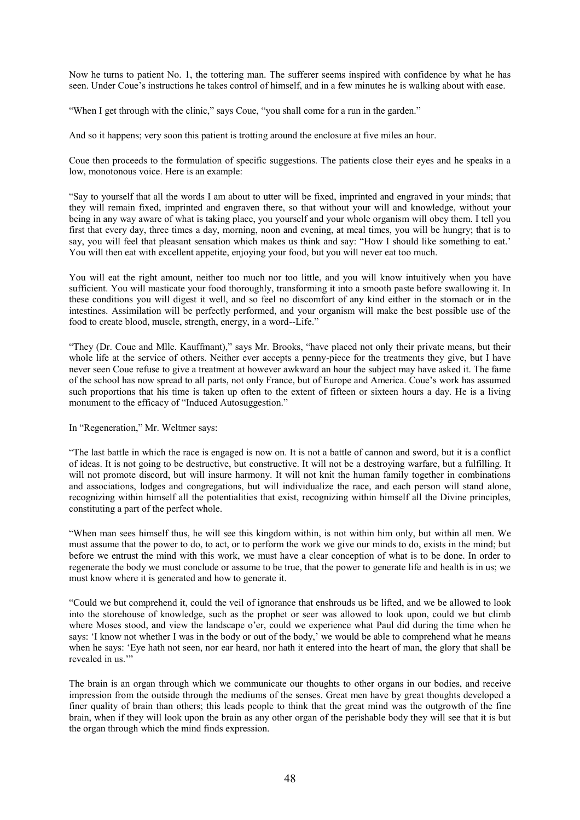Now he turns to patient No. 1, the tottering man. The sufferer seems inspired with confidence by what he has seen. Under Coue's instructions he takes control of himself, and in a few minutes he is walking about with ease.

"When I get through with the clinic," says Coue, "you shall come for a run in the garden."

And so it happens; very soon this patient is trotting around the enclosure at five miles an hour.

Coue then proceeds to the formulation of specific suggestions. The patients close their eyes and he speaks in a low, monotonous voice. Here is an example:

"Say to yourself that all the words I am about to utter will be fixed, imprinted and engraved in your minds; that they will remain fixed, imprinted and engraven there, so that without your will and knowledge, without your being in any way aware of what is taking place, you yourself and your whole organism will obey them. I tell you first that every day, three times a day, morning, noon and evening, at meal times, you will be hungry; that is to say, you will feel that pleasant sensation which makes us think and say: "How I should like something to eat.' You will then eat with excellent appetite, enjoying your food, but you will never eat too much.

You will eat the right amount, neither too much nor too little, and you will know intuitively when you have sufficient. You will masticate your food thoroughly, transforming it into a smooth paste before swallowing it. In these conditions you will digest it well, and so feel no discomfort of any kind either in the stomach or in the intestines. Assimilation will be perfectly performed, and your organism will make the best possible use of the food to create blood, muscle, strength, energy, in a word--Life."

"They (Dr. Coue and Mlle. Kauffmant)," says Mr. Brooks, "have placed not only their private means, but their whole life at the service of others. Neither ever accepts a penny-piece for the treatments they give, but I have never seen Coue refuse to give a treatment at however awkward an hour the subject may have asked it. The fame of the school has now spread to all parts, not only France, but of Europe and America. Coue's work has assumed such proportions that his time is taken up often to the extent of fifteen or sixteen hours a day. He is a living monument to the efficacy of "Induced Autosuggestion."

In "Regeneration," Mr. Weltmer says:

"The last battle in which the race is engaged is now on. It is not a battle of cannon and sword, but it is a conflict of ideas. It is not going to be destructive, but constructive. It will not be a destroying warfare, but a fulfilling. It will not promote discord, but will insure harmony. It will not knit the human family together in combinations and associations, lodges and congregations, but will individualize the race, and each person will stand alone, recognizing within himself all the potentialities that exist, recognizing within himself all the Divine principles, constituting a part of the perfect whole.

"When man sees himself thus, he will see this kingdom within, is not within him only, but within all men. We must assume that the power to do, to act, or to perform the work we give our minds to do, exists in the mind; but before we entrust the mind with this work, we must have a clear conception of what is to be done. In order to regenerate the body we must conclude or assume to be true, that the power to generate life and health is in us; we must know where it is generated and how to generate it.

"Could we but comprehend it, could the veil of ignorance that enshrouds us be lifted, and we be allowed to look into the storehouse of knowledge, such as the prophet or seer was allowed to look upon, could we but climb where Moses stood, and view the landscape o'er, could we experience what Paul did during the time when he says: 'I know not whether I was in the body or out of the body,' we would be able to comprehend what he means when he says: 'Eye hath not seen, nor ear heard, nor hath it entered into the heart of man, the glory that shall be revealed in us."

The brain is an organ through which we communicate our thoughts to other organs in our bodies, and receive impression from the outside through the mediums of the senses. Great men have by great thoughts developed a finer quality of brain than others; this leads people to think that the great mind was the outgrowth of the fine brain, when if they will look upon the brain as any other organ of the perishable body they will see that it is but the organ through which the mind finds expression.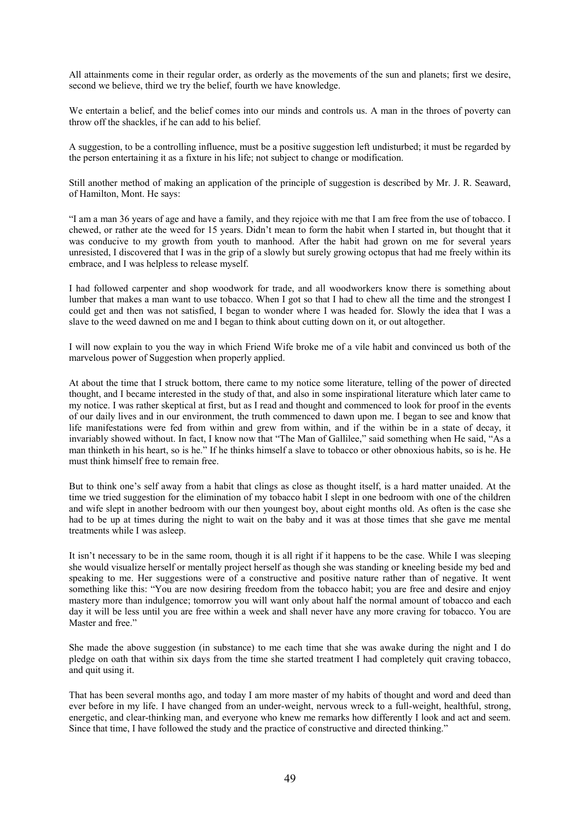All attainments come in their regular order, as orderly as the movements of the sun and planets; first we desire, second we believe, third we try the belief, fourth we have knowledge.

We entertain a belief, and the belief comes into our minds and controls us. A man in the throes of poverty can throw off the shackles, if he can add to his belief.

A suggestion, to be a controlling influence, must be a positive suggestion left undisturbed; it must be regarded by the person entertaining it as a fixture in his life; not subject to change or modification.

Still another method of making an application of the principle of suggestion is described by Mr. J. R. Seaward, of Hamilton, Mont. He says:

"I am a man 36 years of age and have a family, and they rejoice with me that I am free from the use of tobacco. I chewed, or rather ate the weed for 15 years. Didn't mean to form the habit when I started in, but thought that it was conducive to my growth from youth to manhood. After the habit had grown on me for several years unresisted, I discovered that I was in the grip of a slowly but surely growing octopus that had me freely within its embrace, and I was helpless to release myself.

I had followed carpenter and shop woodwork for trade, and all woodworkers know there is something about lumber that makes a man want to use tobacco. When I got so that I had to chew all the time and the strongest I could get and then was not satisfied, I began to wonder where I was headed for. Slowly the idea that I was a slave to the weed dawned on me and I began to think about cutting down on it, or out altogether.

I will now explain to you the way in which Friend Wife broke me of a vile habit and convinced us both of the marvelous power of Suggestion when properly applied.

At about the time that I struck bottom, there came to my notice some literature, telling of the power of directed thought, and I became interested in the study of that, and also in some inspirational literature which later came to my notice. I was rather skeptical at first, but as I read and thought and commenced to look for proof in the events of our daily lives and in our environment, the truth commenced to dawn upon me. I began to see and know that life manifestations were fed from within and grew from within, and if the within be in a state of decay, it invariably showed without. In fact, I know now that "The Man of Gallilee," said something when He said, "As a man thinketh in his heart, so is he." If he thinks himself a slave to tobacco or other obnoxious habits, so is he. He must think himself free to remain free.

But to think one's self away from a habit that clings as close as thought itself, is a hard matter unaided. At the time we tried suggestion for the elimination of my tobacco habit I slept in one bedroom with one of the children and wife slept in another bedroom with our then youngest boy, about eight months old. As often is the case she had to be up at times during the night to wait on the baby and it was at those times that she gave me mental treatments while I was asleep.

It isn't necessary to be in the same room, though it is all right if it happens to be the case. While I was sleeping she would visualize herself or mentally project herself as though she was standing or kneeling beside my bed and speaking to me. Her suggestions were of a constructive and positive nature rather than of negative. It went something like this: "You are now desiring freedom from the tobacco habit; you are free and desire and enjoy mastery more than indulgence; tomorrow you will want only about half the normal amount of tobacco and each day it will be less until you are free within a week and shall never have any more craving for tobacco. You are Master and free."

She made the above suggestion (in substance) to me each time that she was awake during the night and I do pledge on oath that within six days from the time she started treatment I had completely quit craving tobacco, and quit using it.

That has been several months ago, and today I am more master of my habits of thought and word and deed than ever before in my life. I have changed from an under-weight, nervous wreck to a full-weight, healthful, strong, energetic, and clear-thinking man, and everyone who knew me remarks how differently I look and act and seem. Since that time, I have followed the study and the practice of constructive and directed thinking."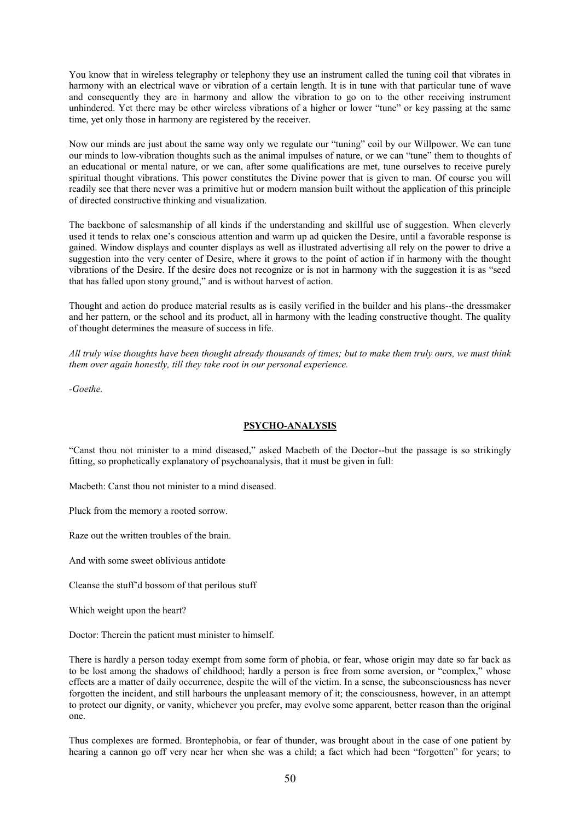You know that in wireless telegraphy or telephony they use an instrument called the tuning coil that vibrates in harmony with an electrical wave or vibration of a certain length. It is in tune with that particular tune of wave and consequently they are in harmony and allow the vibration to go on to the other receiving instrument unhindered. Yet there may be other wireless vibrations of a higher or lower "tune" or key passing at the same time, yet only those in harmony are registered by the receiver.

Now our minds are just about the same way only we regulate our "tuning" coil by our Willpower. We can tune our minds to low-vibration thoughts such as the animal impulses of nature, or we can "tune" them to thoughts of an educational or mental nature, or we can, after some qualifications are met, tune ourselves to receive purely spiritual thought vibrations. This power constitutes the Divine power that is given to man. Of course you will readily see that there never was a primitive hut or modern mansion built without the application of this principle of directed constructive thinking and visualization.

The backbone of salesmanship of all kinds if the understanding and skillful use of suggestion. When cleverly used it tends to relax one's conscious attention and warm up ad quicken the Desire, until a favorable response is gained. Window displays and counter displays as well as illustrated advertising all rely on the power to drive a suggestion into the very center of Desire, where it grows to the point of action if in harmony with the thought vibrations of the Desire. If the desire does not recognize or is not in harmony with the suggestion it is as "seed that has falled upon stony ground," and is without harvest of action.

Thought and action do produce material results as is easily verified in the builder and his plans--the dressmaker and her pattern, or the school and its product, all in harmony with the leading constructive thought. The quality of thought determines the measure of success in life.

*All truly wise thoughts have been thought already thousands of times; but to make them truly ours, we must think them over again honestly, till they take root in our personal experience.* 

*-Goethe.* 

# **PSYCHO-ANALYSIS**

"Canst thou not minister to a mind diseased," asked Macbeth of the Doctor--but the passage is so strikingly fitting, so prophetically explanatory of psychoanalysis, that it must be given in full:

Macbeth: Canst thou not minister to a mind diseased.

Pluck from the memory a rooted sorrow.

Raze out the written troubles of the brain.

And with some sweet oblivious antidote

Cleanse the stuff'd bossom of that perilous stuff

Which weight upon the heart?

Doctor: Therein the patient must minister to himself.

There is hardly a person today exempt from some form of phobia, or fear, whose origin may date so far back as to be lost among the shadows of childhood; hardly a person is free from some aversion, or "complex," whose effects are a matter of daily occurrence, despite the will of the victim. In a sense, the subconsciousness has never forgotten the incident, and still harbours the unpleasant memory of it; the consciousness, however, in an attempt to protect our dignity, or vanity, whichever you prefer, may evolve some apparent, better reason than the original one.

Thus complexes are formed. Brontephobia, or fear of thunder, was brought about in the case of one patient by hearing a cannon go off very near her when she was a child; a fact which had been "forgotten" for years; to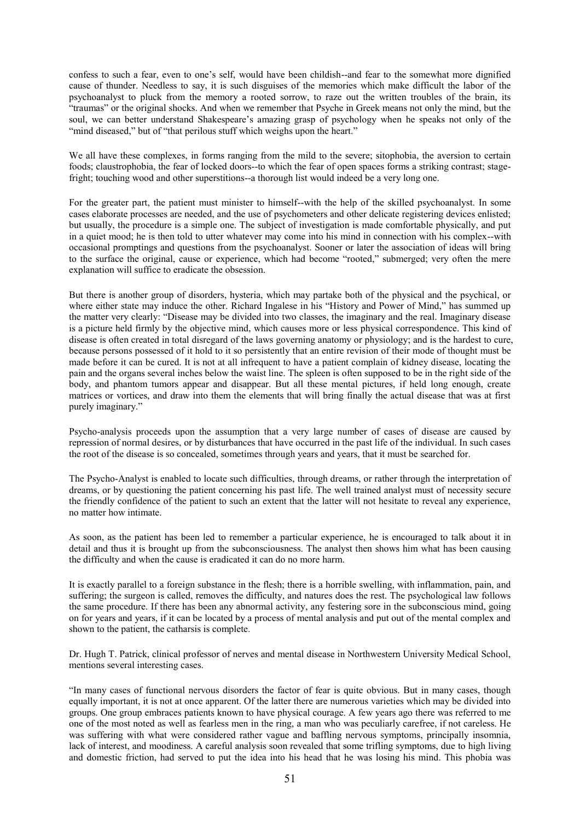confess to such a fear, even to one's self, would have been childish--and fear to the somewhat more dignified cause of thunder. Needless to say, it is such disguises of the memories which make difficult the labor of the psychoanalyst to pluck from the memory a rooted sorrow, to raze out the written troubles of the brain, its "traumas" or the original shocks. And when we remember that Psyche in Greek means not only the mind, but the soul, we can better understand Shakespeare's amazing grasp of psychology when he speaks not only of the "mind diseased," but of "that perilous stuff which weighs upon the heart."

We all have these complexes, in forms ranging from the mild to the severe; sitophobia, the aversion to certain foods; claustrophobia, the fear of locked doors--to which the fear of open spaces forms a striking contrast; stagefright; touching wood and other superstitions--a thorough list would indeed be a very long one.

For the greater part, the patient must minister to himself--with the help of the skilled psychoanalyst. In some cases elaborate processes are needed, and the use of psychometers and other delicate registering devices enlisted; but usually, the procedure is a simple one. The subject of investigation is made comfortable physically, and put in a quiet mood; he is then told to utter whatever may come into his mind in connection with his complex--with occasional promptings and questions from the psychoanalyst. Sooner or later the association of ideas will bring to the surface the original, cause or experience, which had become "rooted," submerged; very often the mere explanation will suffice to eradicate the obsession.

But there is another group of disorders, hysteria, which may partake both of the physical and the psychical, or where either state may induce the other. Richard Ingalese in his "History and Power of Mind," has summed up the matter very clearly: "Disease may be divided into two classes, the imaginary and the real. Imaginary disease is a picture held firmly by the objective mind, which causes more or less physical correspondence. This kind of disease is often created in total disregard of the laws governing anatomy or physiology; and is the hardest to cure, because persons possessed of it hold to it so persistently that an entire revision of their mode of thought must be made before it can be cured. It is not at all infrequent to have a patient complain of kidney disease, locating the pain and the organs several inches below the waist line. The spleen is often supposed to be in the right side of the body, and phantom tumors appear and disappear. But all these mental pictures, if held long enough, create matrices or vortices, and draw into them the elements that will bring finally the actual disease that was at first purely imaginary."

Psycho-analysis proceeds upon the assumption that a very large number of cases of disease are caused by repression of normal desires, or by disturbances that have occurred in the past life of the individual. In such cases the root of the disease is so concealed, sometimes through years and years, that it must be searched for.

The Psycho-Analyst is enabled to locate such difficulties, through dreams, or rather through the interpretation of dreams, or by questioning the patient concerning his past life. The well trained analyst must of necessity secure the friendly confidence of the patient to such an extent that the latter will not hesitate to reveal any experience, no matter how intimate.

As soon, as the patient has been led to remember a particular experience, he is encouraged to talk about it in detail and thus it is brought up from the subconsciousness. The analyst then shows him what has been causing the difficulty and when the cause is eradicated it can do no more harm.

It is exactly parallel to a foreign substance in the flesh; there is a horrible swelling, with inflammation, pain, and suffering; the surgeon is called, removes the difficulty, and natures does the rest. The psychological law follows the same procedure. If there has been any abnormal activity, any festering sore in the subconscious mind, going on for years and years, if it can be located by a process of mental analysis and put out of the mental complex and shown to the patient, the catharsis is complete.

Dr. Hugh T. Patrick, clinical professor of nerves and mental disease in Northwestern University Medical School, mentions several interesting cases.

"In many cases of functional nervous disorders the factor of fear is quite obvious. But in many cases, though equally important, it is not at once apparent. Of the latter there are numerous varieties which may be divided into groups. One group embraces patients known to have physical courage. A few years ago there was referred to me one of the most noted as well as fearless men in the ring, a man who was peculiarly carefree, if not careless. He was suffering with what were considered rather vague and baffling nervous symptoms, principally insomnia, lack of interest, and moodiness. A careful analysis soon revealed that some trifling symptoms, due to high living and domestic friction, had served to put the idea into his head that he was losing his mind. This phobia was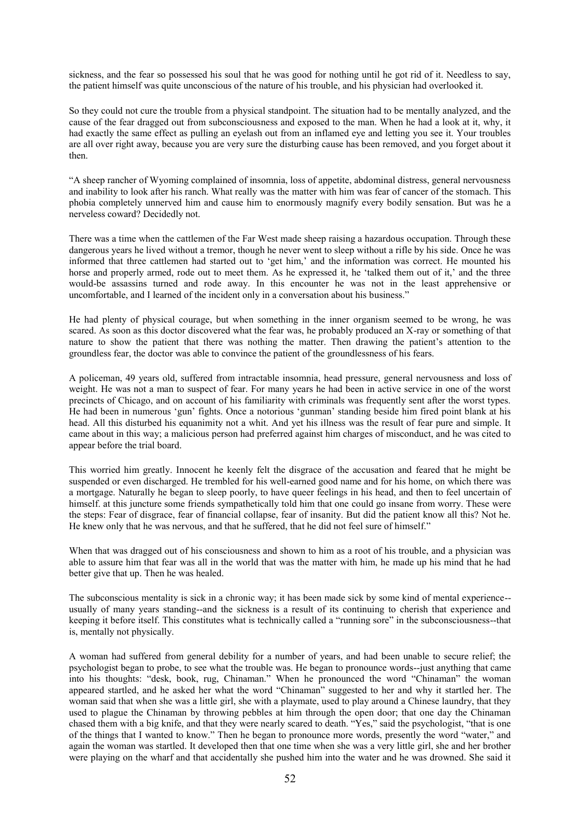sickness, and the fear so possessed his soul that he was good for nothing until he got rid of it. Needless to say, the patient himself was quite unconscious of the nature of his trouble, and his physician had overlooked it.

So they could not cure the trouble from a physical standpoint. The situation had to be mentally analyzed, and the cause of the fear dragged out from subconsciousness and exposed to the man. When he had a look at it, why, it had exactly the same effect as pulling an eyelash out from an inflamed eye and letting you see it. Your troubles are all over right away, because you are very sure the disturbing cause has been removed, and you forget about it then.

"A sheep rancher of Wyoming complained of insomnia, loss of appetite, abdominal distress, general nervousness and inability to look after his ranch. What really was the matter with him was fear of cancer of the stomach. This phobia completely unnerved him and cause him to enormously magnify every bodily sensation. But was he a nerveless coward? Decidedly not.

There was a time when the cattlemen of the Far West made sheep raising a hazardous occupation. Through these dangerous years he lived without a tremor, though he never went to sleep without a rifle by his side. Once he was informed that three cattlemen had started out to 'get him,' and the information was correct. He mounted his horse and properly armed, rode out to meet them. As he expressed it, he 'talked them out of it,' and the three would-be assassins turned and rode away. In this encounter he was not in the least apprehensive or uncomfortable, and I learned of the incident only in a conversation about his business."

He had plenty of physical courage, but when something in the inner organism seemed to be wrong, he was scared. As soon as this doctor discovered what the fear was, he probably produced an X-ray or something of that nature to show the patient that there was nothing the matter. Then drawing the patient's attention to the groundless fear, the doctor was able to convince the patient of the groundlessness of his fears.

A policeman, 49 years old, suffered from intractable insomnia, head pressure, general nervousness and loss of weight. He was not a man to suspect of fear. For many years he had been in active service in one of the worst precincts of Chicago, and on account of his familiarity with criminals was frequently sent after the worst types. He had been in numerous 'gun' fights. Once a notorious 'gunman' standing beside him fired point blank at his head. All this disturbed his equanimity not a whit. And yet his illness was the result of fear pure and simple. It came about in this way; a malicious person had preferred against him charges of misconduct, and he was cited to appear before the trial board.

This worried him greatly. Innocent he keenly felt the disgrace of the accusation and feared that he might be suspended or even discharged. He trembled for his well-earned good name and for his home, on which there was a mortgage. Naturally he began to sleep poorly, to have queer feelings in his head, and then to feel uncertain of himself. at this juncture some friends sympathetically told him that one could go insane from worry. These were the steps: Fear of disgrace, fear of financial collapse, fear of insanity. But did the patient know all this? Not he. He knew only that he was nervous, and that he suffered, that he did not feel sure of himself."

When that was dragged out of his consciousness and shown to him as a root of his trouble, and a physician was able to assure him that fear was all in the world that was the matter with him, he made up his mind that he had better give that up. Then he was healed.

The subconscious mentality is sick in a chronic way; it has been made sick by some kind of mental experience- usually of many years standing--and the sickness is a result of its continuing to cherish that experience and keeping it before itself. This constitutes what is technically called a "running sore" in the subconsciousness--that is, mentally not physically.

A woman had suffered from general debility for a number of years, and had been unable to secure relief; the psychologist began to probe, to see what the trouble was. He began to pronounce words--just anything that came into his thoughts: "desk, book, rug, Chinaman." When he pronounced the word "Chinaman" the woman appeared startled, and he asked her what the word "Chinaman" suggested to her and why it startled her. The woman said that when she was a little girl, she with a playmate, used to play around a Chinese laundry, that they used to plague the Chinaman by throwing pebbles at him through the open door; that one day the Chinaman chased them with a big knife, and that they were nearly scared to death. "Yes," said the psychologist, "that is one of the things that I wanted to know." Then he began to pronounce more words, presently the word "water," and again the woman was startled. It developed then that one time when she was a very little girl, she and her brother were playing on the wharf and that accidentally she pushed him into the water and he was drowned. She said it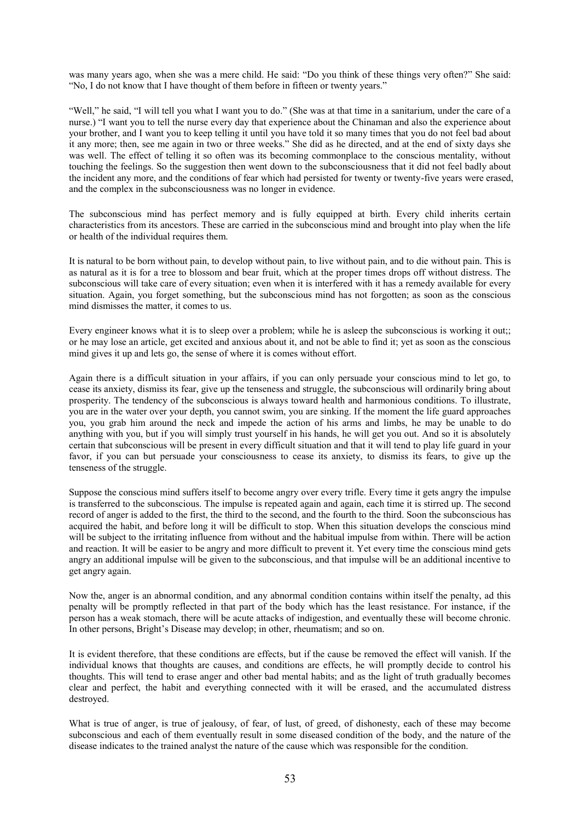was many years ago, when she was a mere child. He said: "Do you think of these things very often?" She said: "No, I do not know that I have thought of them before in fifteen or twenty years."

"Well," he said, "I will tell you what I want you to do." (She was at that time in a sanitarium, under the care of a nurse.) "I want you to tell the nurse every day that experience about the Chinaman and also the experience about your brother, and I want you to keep telling it until you have told it so many times that you do not feel bad about it any more; then, see me again in two or three weeks." She did as he directed, and at the end of sixty days she was well. The effect of telling it so often was its becoming commonplace to the conscious mentality, without touching the feelings. So the suggestion then went down to the subconsciousness that it did not feel badly about the incident any more, and the conditions of fear which had persisted for twenty or twenty-five years were erased, and the complex in the subconsciousness was no longer in evidence.

The subconscious mind has perfect memory and is fully equipped at birth. Every child inherits certain characteristics from its ancestors. These are carried in the subconscious mind and brought into play when the life or health of the individual requires them.

It is natural to be born without pain, to develop without pain, to live without pain, and to die without pain. This is as natural as it is for a tree to blossom and bear fruit, which at the proper times drops off without distress. The subconscious will take care of every situation; even when it is interfered with it has a remedy available for every situation. Again, you forget something, but the subconscious mind has not forgotten; as soon as the conscious mind dismisses the matter, it comes to us.

Every engineer knows what it is to sleep over a problem; while he is asleep the subconscious is working it out: or he may lose an article, get excited and anxious about it, and not be able to find it; yet as soon as the conscious mind gives it up and lets go, the sense of where it is comes without effort.

Again there is a difficult situation in your affairs, if you can only persuade your conscious mind to let go, to cease its anxiety, dismiss its fear, give up the tenseness and struggle, the subconscious will ordinarily bring about prosperity. The tendency of the subconscious is always toward health and harmonious conditions. To illustrate, you are in the water over your depth, you cannot swim, you are sinking. If the moment the life guard approaches you, you grab him around the neck and impede the action of his arms and limbs, he may be unable to do anything with you, but if you will simply trust yourself in his hands, he will get you out. And so it is absolutely certain that subconscious will be present in every difficult situation and that it will tend to play life guard in your favor, if you can but persuade your consciousness to cease its anxiety, to dismiss its fears, to give up the tenseness of the struggle.

Suppose the conscious mind suffers itself to become angry over every trifle. Every time it gets angry the impulse is transferred to the subconscious. The impulse is repeated again and again, each time it is stirred up. The second record of anger is added to the first, the third to the second, and the fourth to the third. Soon the subconscious has acquired the habit, and before long it will be difficult to stop. When this situation develops the conscious mind will be subject to the irritating influence from without and the habitual impulse from within. There will be action and reaction. It will be easier to be angry and more difficult to prevent it. Yet every time the conscious mind gets angry an additional impulse will be given to the subconscious, and that impulse will be an additional incentive to get angry again.

Now the, anger is an abnormal condition, and any abnormal condition contains within itself the penalty, ad this penalty will be promptly reflected in that part of the body which has the least resistance. For instance, if the person has a weak stomach, there will be acute attacks of indigestion, and eventually these will become chronic. In other persons, Bright's Disease may develop; in other, rheumatism; and so on.

It is evident therefore, that these conditions are effects, but if the cause be removed the effect will vanish. If the individual knows that thoughts are causes, and conditions are effects, he will promptly decide to control his thoughts. This will tend to erase anger and other bad mental habits; and as the light of truth gradually becomes clear and perfect, the habit and everything connected with it will be erased, and the accumulated distress destroyed.

What is true of anger, is true of jealousy, of fear, of lust, of greed, of dishonesty, each of these may become subconscious and each of them eventually result in some diseased condition of the body, and the nature of the disease indicates to the trained analyst the nature of the cause which was responsible for the condition.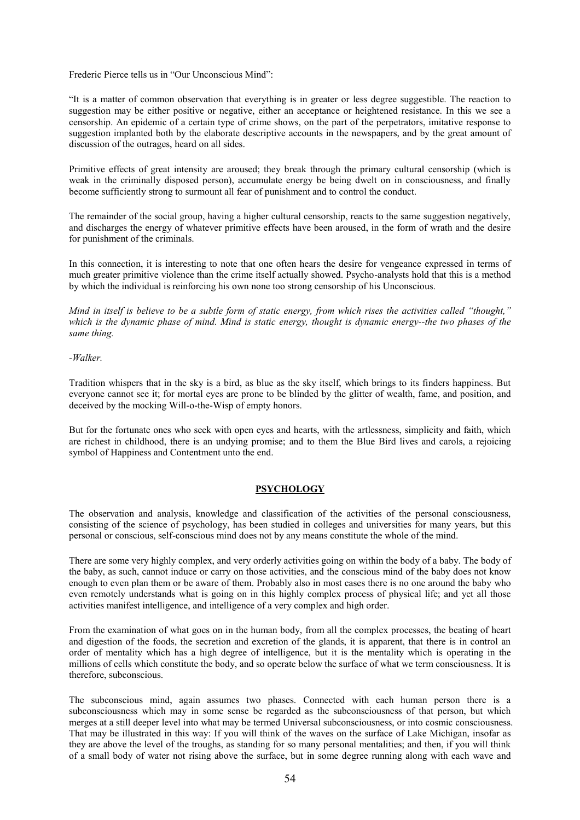Frederic Pierce tells us in "Our Unconscious Mind":

"It is a matter of common observation that everything is in greater or less degree suggestible. The reaction to suggestion may be either positive or negative, either an acceptance or heightened resistance. In this we see a censorship. An epidemic of a certain type of crime shows, on the part of the perpetrators, imitative response to suggestion implanted both by the elaborate descriptive accounts in the newspapers, and by the great amount of discussion of the outrages, heard on all sides.

Primitive effects of great intensity are aroused; they break through the primary cultural censorship (which is weak in the criminally disposed person), accumulate energy be being dwelt on in consciousness, and finally become sufficiently strong to surmount all fear of punishment and to control the conduct.

The remainder of the social group, having a higher cultural censorship, reacts to the same suggestion negatively, and discharges the energy of whatever primitive effects have been aroused, in the form of wrath and the desire for punishment of the criminals.

In this connection, it is interesting to note that one often hears the desire for vengeance expressed in terms of much greater primitive violence than the crime itself actually showed. Psycho-analysts hold that this is a method by which the individual is reinforcing his own none too strong censorship of his Unconscious.

*Mind in itself is believe to be a subtle form of static energy, from which rises the activities called "thought," which is the dynamic phase of mind. Mind is static energy, thought is dynamic energy--the two phases of the same thing.* 

#### *-Walker.*

Tradition whispers that in the sky is a bird, as blue as the sky itself, which brings to its finders happiness. But everyone cannot see it; for mortal eyes are prone to be blinded by the glitter of wealth, fame, and position, and deceived by the mocking Will-o-the-Wisp of empty honors.

But for the fortunate ones who seek with open eyes and hearts, with the artlessness, simplicity and faith, which are richest in childhood, there is an undying promise; and to them the Blue Bird lives and carols, a rejoicing symbol of Happiness and Contentment unto the end.

## **PSYCHOLOGY**

The observation and analysis, knowledge and classification of the activities of the personal consciousness, consisting of the science of psychology, has been studied in colleges and universities for many years, but this personal or conscious, self-conscious mind does not by any means constitute the whole of the mind.

There are some very highly complex, and very orderly activities going on within the body of a baby. The body of the baby, as such, cannot induce or carry on those activities, and the conscious mind of the baby does not know enough to even plan them or be aware of them. Probably also in most cases there is no one around the baby who even remotely understands what is going on in this highly complex process of physical life; and yet all those activities manifest intelligence, and intelligence of a very complex and high order.

From the examination of what goes on in the human body, from all the complex processes, the beating of heart and digestion of the foods, the secretion and excretion of the glands, it is apparent, that there is in control an order of mentality which has a high degree of intelligence, but it is the mentality which is operating in the millions of cells which constitute the body, and so operate below the surface of what we term consciousness. It is therefore, subconscious.

The subconscious mind, again assumes two phases. Connected with each human person there is a subconsciousness which may in some sense be regarded as the subconsciousness of that person, but which merges at a still deeper level into what may be termed Universal subconsciousness, or into cosmic consciousness. That may be illustrated in this way: If you will think of the waves on the surface of Lake Michigan, insofar as they are above the level of the troughs, as standing for so many personal mentalities; and then, if you will think of a small body of water not rising above the surface, but in some degree running along with each wave and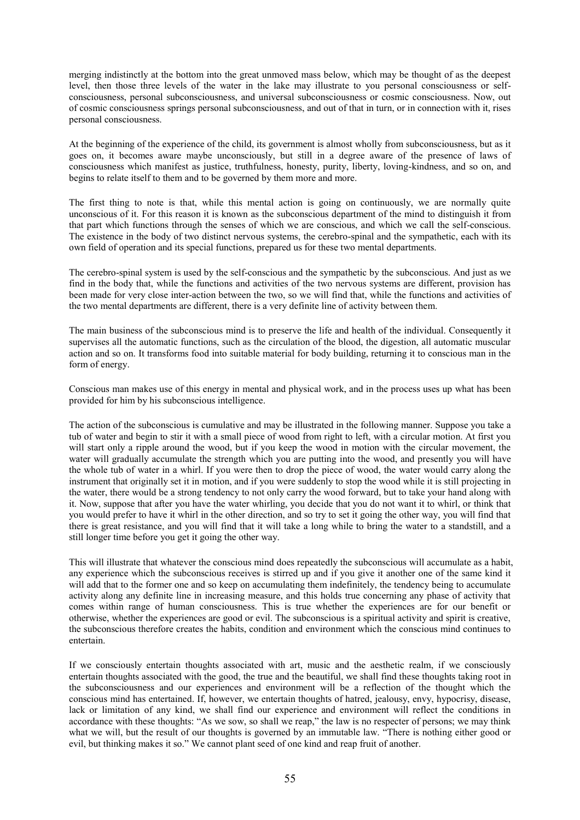merging indistinctly at the bottom into the great unmoved mass below, which may be thought of as the deepest level, then those three levels of the water in the lake may illustrate to you personal consciousness or selfconsciousness, personal subconsciousness, and universal subconsciousness or cosmic consciousness. Now, out of cosmic consciousness springs personal subconsciousness, and out of that in turn, or in connection with it, rises personal consciousness.

At the beginning of the experience of the child, its government is almost wholly from subconsciousness, but as it goes on, it becomes aware maybe unconsciously, but still in a degree aware of the presence of laws of consciousness which manifest as justice, truthfulness, honesty, purity, liberty, loving-kindness, and so on, and begins to relate itself to them and to be governed by them more and more.

The first thing to note is that, while this mental action is going on continuously, we are normally quite unconscious of it. For this reason it is known as the subconscious department of the mind to distinguish it from that part which functions through the senses of which we are conscious, and which we call the self-conscious. The existence in the body of two distinct nervous systems, the cerebro-spinal and the sympathetic, each with its own field of operation and its special functions, prepared us for these two mental departments.

The cerebro-spinal system is used by the self-conscious and the sympathetic by the subconscious. And just as we find in the body that, while the functions and activities of the two nervous systems are different, provision has been made for very close inter-action between the two, so we will find that, while the functions and activities of the two mental departments are different, there is a very definite line of activity between them.

The main business of the subconscious mind is to preserve the life and health of the individual. Consequently it supervises all the automatic functions, such as the circulation of the blood, the digestion, all automatic muscular action and so on. It transforms food into suitable material for body building, returning it to conscious man in the form of energy.

Conscious man makes use of this energy in mental and physical work, and in the process uses up what has been provided for him by his subconscious intelligence.

The action of the subconscious is cumulative and may be illustrated in the following manner. Suppose you take a tub of water and begin to stir it with a small piece of wood from right to left, with a circular motion. At first you will start only a ripple around the wood, but if you keep the wood in motion with the circular movement, the water will gradually accumulate the strength which you are putting into the wood, and presently you will have the whole tub of water in a whirl. If you were then to drop the piece of wood, the water would carry along the instrument that originally set it in motion, and if you were suddenly to stop the wood while it is still projecting in the water, there would be a strong tendency to not only carry the wood forward, but to take your hand along with it. Now, suppose that after you have the water whirling, you decide that you do not want it to whirl, or think that you would prefer to have it whirl in the other direction, and so try to set it going the other way, you will find that there is great resistance, and you will find that it will take a long while to bring the water to a standstill, and a still longer time before you get it going the other way.

This will illustrate that whatever the conscious mind does repeatedly the subconscious will accumulate as a habit, any experience which the subconscious receives is stirred up and if you give it another one of the same kind it will add that to the former one and so keep on accumulating them indefinitely, the tendency being to accumulate activity along any definite line in increasing measure, and this holds true concerning any phase of activity that comes within range of human consciousness. This is true whether the experiences are for our benefit or otherwise, whether the experiences are good or evil. The subconscious is a spiritual activity and spirit is creative, the subconscious therefore creates the habits, condition and environment which the conscious mind continues to entertain.

If we consciously entertain thoughts associated with art, music and the aesthetic realm, if we consciously entertain thoughts associated with the good, the true and the beautiful, we shall find these thoughts taking root in the subconsciousness and our experiences and environment will be a reflection of the thought which the conscious mind has entertained. If, however, we entertain thoughts of hatred, jealousy, envy, hypocrisy, disease, lack or limitation of any kind, we shall find our experience and environment will reflect the conditions in accordance with these thoughts: "As we sow, so shall we reap," the law is no respecter of persons; we may think what we will, but the result of our thoughts is governed by an immutable law. "There is nothing either good or evil, but thinking makes it so." We cannot plant seed of one kind and reap fruit of another.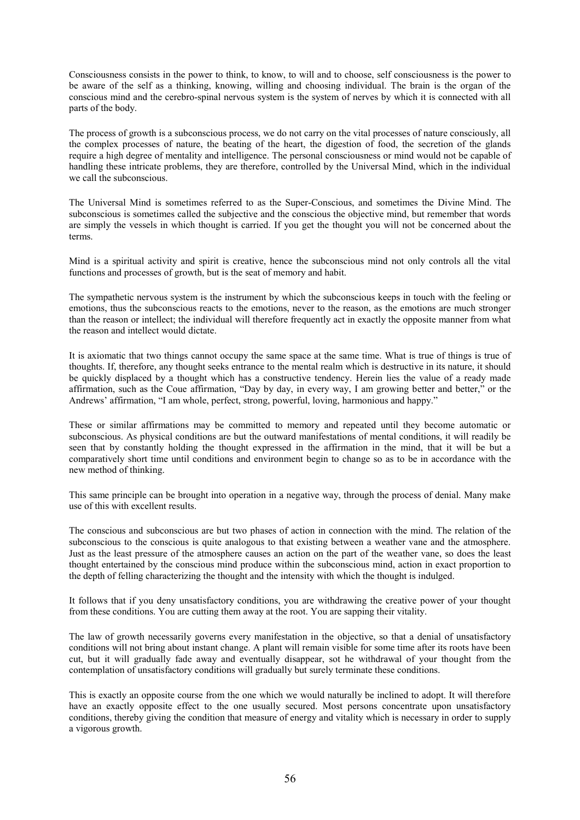Consciousness consists in the power to think, to know, to will and to choose, self consciousness is the power to be aware of the self as a thinking, knowing, willing and choosing individual. The brain is the organ of the conscious mind and the cerebro-spinal nervous system is the system of nerves by which it is connected with all parts of the body.

The process of growth is a subconscious process, we do not carry on the vital processes of nature consciously, all the complex processes of nature, the beating of the heart, the digestion of food, the secretion of the glands require a high degree of mentality and intelligence. The personal consciousness or mind would not be capable of handling these intricate problems, they are therefore, controlled by the Universal Mind, which in the individual we call the subconscious.

The Universal Mind is sometimes referred to as the Super-Conscious, and sometimes the Divine Mind. The subconscious is sometimes called the subjective and the conscious the objective mind, but remember that words are simply the vessels in which thought is carried. If you get the thought you will not be concerned about the terms.

Mind is a spiritual activity and spirit is creative, hence the subconscious mind not only controls all the vital functions and processes of growth, but is the seat of memory and habit.

The sympathetic nervous system is the instrument by which the subconscious keeps in touch with the feeling or emotions, thus the subconscious reacts to the emotions, never to the reason, as the emotions are much stronger than the reason or intellect; the individual will therefore frequently act in exactly the opposite manner from what the reason and intellect would dictate.

It is axiomatic that two things cannot occupy the same space at the same time. What is true of things is true of thoughts. If, therefore, any thought seeks entrance to the mental realm which is destructive in its nature, it should be quickly displaced by a thought which has a constructive tendency. Herein lies the value of a ready made affirmation, such as the Coue affirmation, "Day by day, in every way, I am growing better and better," or the Andrews' affirmation, "I am whole, perfect, strong, powerful, loving, harmonious and happy."

These or similar affirmations may be committed to memory and repeated until they become automatic or subconscious. As physical conditions are but the outward manifestations of mental conditions, it will readily be seen that by constantly holding the thought expressed in the affirmation in the mind, that it will be but a comparatively short time until conditions and environment begin to change so as to be in accordance with the new method of thinking.

This same principle can be brought into operation in a negative way, through the process of denial. Many make use of this with excellent results.

The conscious and subconscious are but two phases of action in connection with the mind. The relation of the subconscious to the conscious is quite analogous to that existing between a weather vane and the atmosphere. Just as the least pressure of the atmosphere causes an action on the part of the weather vane, so does the least thought entertained by the conscious mind produce within the subconscious mind, action in exact proportion to the depth of felling characterizing the thought and the intensity with which the thought is indulged.

It follows that if you deny unsatisfactory conditions, you are withdrawing the creative power of your thought from these conditions. You are cutting them away at the root. You are sapping their vitality.

The law of growth necessarily governs every manifestation in the objective, so that a denial of unsatisfactory conditions will not bring about instant change. A plant will remain visible for some time after its roots have been cut, but it will gradually fade away and eventually disappear, sot he withdrawal of your thought from the contemplation of unsatisfactory conditions will gradually but surely terminate these conditions.

This is exactly an opposite course from the one which we would naturally be inclined to adopt. It will therefore have an exactly opposite effect to the one usually secured. Most persons concentrate upon unsatisfactory conditions, thereby giving the condition that measure of energy and vitality which is necessary in order to supply a vigorous growth.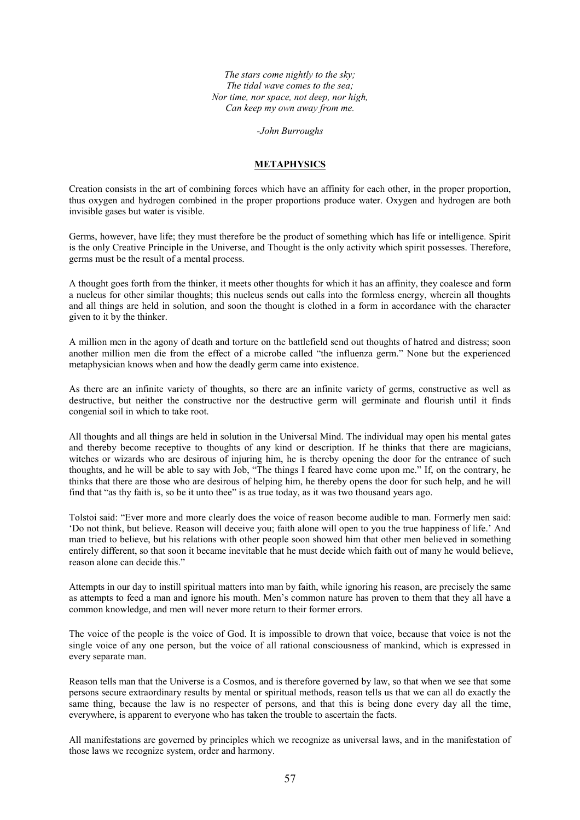*The stars come nightly to the sky; The tidal wave comes to the sea; Nor time, nor space, not deep, nor high, Can keep my own away from me.* 

*-John Burroughs*

#### **METAPHYSICS**

Creation consists in the art of combining forces which have an affinity for each other, in the proper proportion, thus oxygen and hydrogen combined in the proper proportions produce water. Oxygen and hydrogen are both invisible gases but water is visible.

Germs, however, have life; they must therefore be the product of something which has life or intelligence. Spirit is the only Creative Principle in the Universe, and Thought is the only activity which spirit possesses. Therefore, germs must be the result of a mental process.

A thought goes forth from the thinker, it meets other thoughts for which it has an affinity, they coalesce and form a nucleus for other similar thoughts; this nucleus sends out calls into the formless energy, wherein all thoughts and all things are held in solution, and soon the thought is clothed in a form in accordance with the character given to it by the thinker.

A million men in the agony of death and torture on the battlefield send out thoughts of hatred and distress; soon another million men die from the effect of a microbe called "the influenza germ." None but the experienced metaphysician knows when and how the deadly germ came into existence.

As there are an infinite variety of thoughts, so there are an infinite variety of germs, constructive as well as destructive, but neither the constructive nor the destructive germ will germinate and flourish until it finds congenial soil in which to take root.

All thoughts and all things are held in solution in the Universal Mind. The individual may open his mental gates and thereby become receptive to thoughts of any kind or description. If he thinks that there are magicians, witches or wizards who are desirous of injuring him, he is thereby opening the door for the entrance of such thoughts, and he will be able to say with Job, "The things I feared have come upon me." If, on the contrary, he thinks that there are those who are desirous of helping him, he thereby opens the door for such help, and he will find that "as thy faith is, so be it unto thee" is as true today, as it was two thousand years ago.

Tolstoi said: "Ever more and more clearly does the voice of reason become audible to man. Formerly men said: 'Do not think, but believe. Reason will deceive you; faith alone will open to you the true happiness of life.' And man tried to believe, but his relations with other people soon showed him that other men believed in something entirely different, so that soon it became inevitable that he must decide which faith out of many he would believe, reason alone can decide this."

Attempts in our day to instill spiritual matters into man by faith, while ignoring his reason, are precisely the same as attempts to feed a man and ignore his mouth. Men's common nature has proven to them that they all have a common knowledge, and men will never more return to their former errors.

The voice of the people is the voice of God. It is impossible to drown that voice, because that voice is not the single voice of any one person, but the voice of all rational consciousness of mankind, which is expressed in every separate man.

Reason tells man that the Universe is a Cosmos, and is therefore governed by law, so that when we see that some persons secure extraordinary results by mental or spiritual methods, reason tells us that we can all do exactly the same thing, because the law is no respecter of persons, and that this is being done every day all the time, everywhere, is apparent to everyone who has taken the trouble to ascertain the facts.

All manifestations are governed by principles which we recognize as universal laws, and in the manifestation of those laws we recognize system, order and harmony.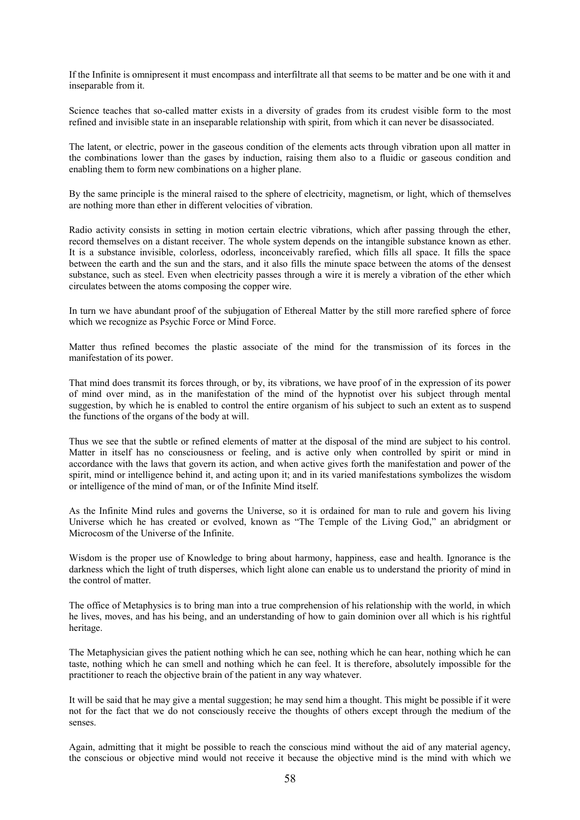If the Infinite is omnipresent it must encompass and interfiltrate all that seems to be matter and be one with it and inseparable from it.

Science teaches that so-called matter exists in a diversity of grades from its crudest visible form to the most refined and invisible state in an inseparable relationship with spirit, from which it can never be disassociated.

The latent, or electric, power in the gaseous condition of the elements acts through vibration upon all matter in the combinations lower than the gases by induction, raising them also to a fluidic or gaseous condition and enabling them to form new combinations on a higher plane.

By the same principle is the mineral raised to the sphere of electricity, magnetism, or light, which of themselves are nothing more than ether in different velocities of vibration.

Radio activity consists in setting in motion certain electric vibrations, which after passing through the ether, record themselves on a distant receiver. The whole system depends on the intangible substance known as ether. It is a substance invisible, colorless, odorless, inconceivably rarefied, which fills all space. It fills the space between the earth and the sun and the stars, and it also fills the minute space between the atoms of the densest substance, such as steel. Even when electricity passes through a wire it is merely a vibration of the ether which circulates between the atoms composing the copper wire.

In turn we have abundant proof of the subjugation of Ethereal Matter by the still more rarefied sphere of force which we recognize as Psychic Force or Mind Force.

Matter thus refined becomes the plastic associate of the mind for the transmission of its forces in the manifestation of its power.

That mind does transmit its forces through, or by, its vibrations, we have proof of in the expression of its power of mind over mind, as in the manifestation of the mind of the hypnotist over his subject through mental suggestion, by which he is enabled to control the entire organism of his subject to such an extent as to suspend the functions of the organs of the body at will.

Thus we see that the subtle or refined elements of matter at the disposal of the mind are subject to his control. Matter in itself has no consciousness or feeling, and is active only when controlled by spirit or mind in accordance with the laws that govern its action, and when active gives forth the manifestation and power of the spirit, mind or intelligence behind it, and acting upon it; and in its varied manifestations symbolizes the wisdom or intelligence of the mind of man, or of the Infinite Mind itself.

As the Infinite Mind rules and governs the Universe, so it is ordained for man to rule and govern his living Universe which he has created or evolved, known as "The Temple of the Living God," an abridgment or Microcosm of the Universe of the Infinite.

Wisdom is the proper use of Knowledge to bring about harmony, happiness, ease and health. Ignorance is the darkness which the light of truth disperses, which light alone can enable us to understand the priority of mind in the control of matter.

The office of Metaphysics is to bring man into a true comprehension of his relationship with the world, in which he lives, moves, and has his being, and an understanding of how to gain dominion over all which is his rightful heritage.

The Metaphysician gives the patient nothing which he can see, nothing which he can hear, nothing which he can taste, nothing which he can smell and nothing which he can feel. It is therefore, absolutely impossible for the practitioner to reach the objective brain of the patient in any way whatever.

It will be said that he may give a mental suggestion; he may send him a thought. This might be possible if it were not for the fact that we do not consciously receive the thoughts of others except through the medium of the senses.

Again, admitting that it might be possible to reach the conscious mind without the aid of any material agency, the conscious or objective mind would not receive it because the objective mind is the mind with which we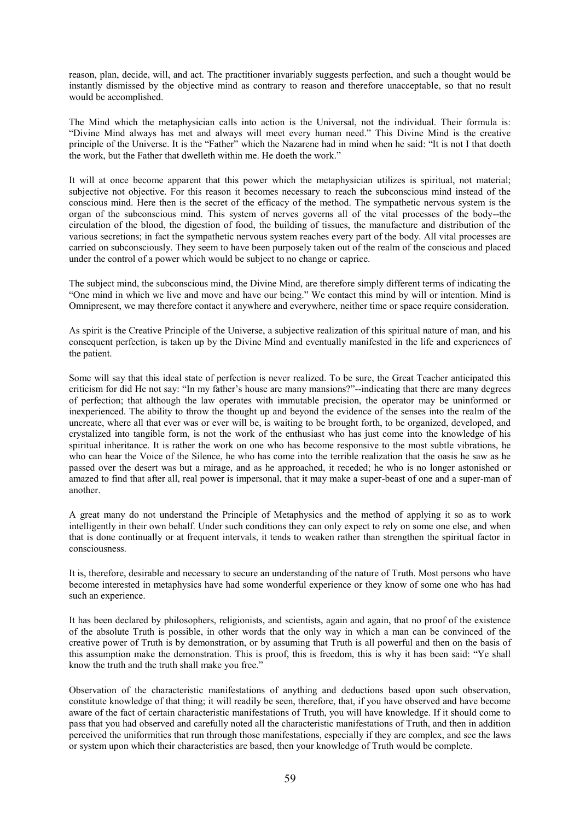reason, plan, decide, will, and act. The practitioner invariably suggests perfection, and such a thought would be instantly dismissed by the objective mind as contrary to reason and therefore unacceptable, so that no result would be accomplished.

The Mind which the metaphysician calls into action is the Universal, not the individual. Their formula is: "Divine Mind always has met and always will meet every human need." This Divine Mind is the creative principle of the Universe. It is the "Father" which the Nazarene had in mind when he said: "It is not I that doeth the work, but the Father that dwelleth within me. He doeth the work."

It will at once become apparent that this power which the metaphysician utilizes is spiritual, not material; subjective not objective. For this reason it becomes necessary to reach the subconscious mind instead of the conscious mind. Here then is the secret of the efficacy of the method. The sympathetic nervous system is the organ of the subconscious mind. This system of nerves governs all of the vital processes of the body--the circulation of the blood, the digestion of food, the building of tissues, the manufacture and distribution of the various secretions; in fact the sympathetic nervous system reaches every part of the body. All vital processes are carried on subconsciously. They seem to have been purposely taken out of the realm of the conscious and placed under the control of a power which would be subject to no change or caprice.

The subject mind, the subconscious mind, the Divine Mind, are therefore simply different terms of indicating the "One mind in which we live and move and have our being." We contact this mind by will or intention. Mind is Omnipresent, we may therefore contact it anywhere and everywhere, neither time or space require consideration.

As spirit is the Creative Principle of the Universe, a subjective realization of this spiritual nature of man, and his consequent perfection, is taken up by the Divine Mind and eventually manifested in the life and experiences of the patient.

Some will say that this ideal state of perfection is never realized. To be sure, the Great Teacher anticipated this criticism for did He not say: "In my father's house are many mansions?"--indicating that there are many degrees of perfection; that although the law operates with immutable precision, the operator may be uninformed or inexperienced. The ability to throw the thought up and beyond the evidence of the senses into the realm of the uncreate, where all that ever was or ever will be, is waiting to be brought forth, to be organized, developed, and crystalized into tangible form, is not the work of the enthusiast who has just come into the knowledge of his spiritual inheritance. It is rather the work on one who has become responsive to the most subtle vibrations, he who can hear the Voice of the Silence, he who has come into the terrible realization that the oasis he saw as he passed over the desert was but a mirage, and as he approached, it receded; he who is no longer astonished or amazed to find that after all, real power is impersonal, that it may make a super-beast of one and a super-man of another.

A great many do not understand the Principle of Metaphysics and the method of applying it so as to work intelligently in their own behalf. Under such conditions they can only expect to rely on some one else, and when that is done continually or at frequent intervals, it tends to weaken rather than strengthen the spiritual factor in consciousness.

It is, therefore, desirable and necessary to secure an understanding of the nature of Truth. Most persons who have become interested in metaphysics have had some wonderful experience or they know of some one who has had such an experience.

It has been declared by philosophers, religionists, and scientists, again and again, that no proof of the existence of the absolute Truth is possible, in other words that the only way in which a man can be convinced of the creative power of Truth is by demonstration, or by assuming that Truth is all powerful and then on the basis of this assumption make the demonstration. This is proof, this is freedom, this is why it has been said: "Ye shall know the truth and the truth shall make you free."

Observation of the characteristic manifestations of anything and deductions based upon such observation, constitute knowledge of that thing; it will readily be seen, therefore, that, if you have observed and have become aware of the fact of certain characteristic manifestations of Truth, you will have knowledge. If it should come to pass that you had observed and carefully noted all the characteristic manifestations of Truth, and then in addition perceived the uniformities that run through those manifestations, especially if they are complex, and see the laws or system upon which their characteristics are based, then your knowledge of Truth would be complete.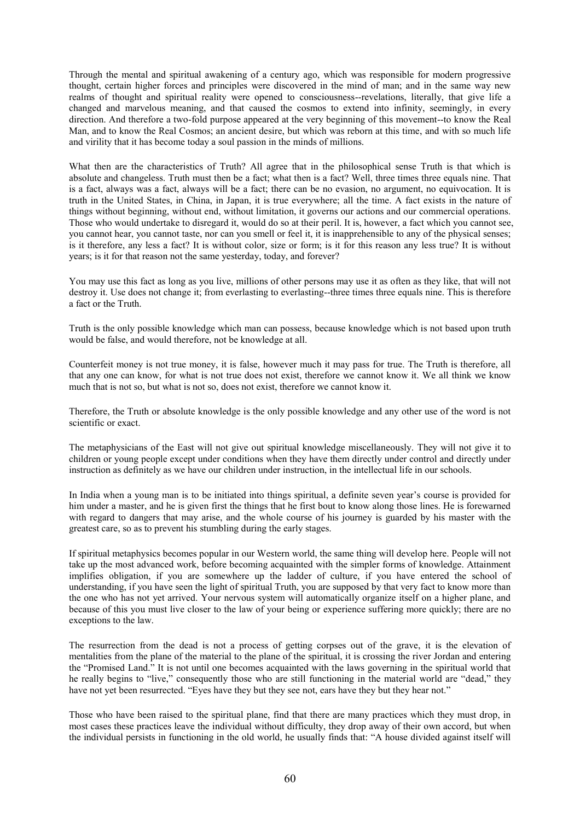Through the mental and spiritual awakening of a century ago, which was responsible for modern progressive thought, certain higher forces and principles were discovered in the mind of man; and in the same way new realms of thought and spiritual reality were opened to consciousness--revelations, literally, that give life a changed and marvelous meaning, and that caused the cosmos to extend into infinity, seemingly, in every direction. And therefore a two-fold purpose appeared at the very beginning of this movement--to know the Real Man, and to know the Real Cosmos; an ancient desire, but which was reborn at this time, and with so much life and virility that it has become today a soul passion in the minds of millions.

What then are the characteristics of Truth? All agree that in the philosophical sense Truth is that which is absolute and changeless. Truth must then be a fact; what then is a fact? Well, three times three equals nine. That is a fact, always was a fact, always will be a fact; there can be no evasion, no argument, no equivocation. It is truth in the United States, in China, in Japan, it is true everywhere; all the time. A fact exists in the nature of things without beginning, without end, without limitation, it governs our actions and our commercial operations. Those who would undertake to disregard it, would do so at their peril. It is, however, a fact which you cannot see, you cannot hear, you cannot taste, nor can you smell or feel it, it is inapprehensible to any of the physical senses; is it therefore, any less a fact? It is without color, size or form; is it for this reason any less true? It is without years; is it for that reason not the same yesterday, today, and forever?

You may use this fact as long as you live, millions of other persons may use it as often as they like, that will not destroy it. Use does not change it; from everlasting to everlasting--three times three equals nine. This is therefore a fact or the Truth.

Truth is the only possible knowledge which man can possess, because knowledge which is not based upon truth would be false, and would therefore, not be knowledge at all.

Counterfeit money is not true money, it is false, however much it may pass for true. The Truth is therefore, all that any one can know, for what is not true does not exist, therefore we cannot know it. We all think we know much that is not so, but what is not so, does not exist, therefore we cannot know it.

Therefore, the Truth or absolute knowledge is the only possible knowledge and any other use of the word is not scientific or exact.

The metaphysicians of the East will not give out spiritual knowledge miscellaneously. They will not give it to children or young people except under conditions when they have them directly under control and directly under instruction as definitely as we have our children under instruction, in the intellectual life in our schools.

In India when a young man is to be initiated into things spiritual, a definite seven year's course is provided for him under a master, and he is given first the things that he first bout to know along those lines. He is forewarned with regard to dangers that may arise, and the whole course of his journey is guarded by his master with the greatest care, so as to prevent his stumbling during the early stages.

If spiritual metaphysics becomes popular in our Western world, the same thing will develop here. People will not take up the most advanced work, before becoming acquainted with the simpler forms of knowledge. Attainment implifies obligation, if you are somewhere up the ladder of culture, if you have entered the school of understanding, if you have seen the light of spiritual Truth, you are supposed by that very fact to know more than the one who has not yet arrived. Your nervous system will automatically organize itself on a higher plane, and because of this you must live closer to the law of your being or experience suffering more quickly; there are no exceptions to the law.

The resurrection from the dead is not a process of getting corpses out of the grave, it is the elevation of mentalities from the plane of the material to the plane of the spiritual, it is crossing the river Jordan and entering the "Promised Land." It is not until one becomes acquainted with the laws governing in the spiritual world that he really begins to "live," consequently those who are still functioning in the material world are "dead," they have not yet been resurrected. "Eyes have they but they see not, ears have they but they hear not."

Those who have been raised to the spiritual plane, find that there are many practices which they must drop, in most cases these practices leave the individual without difficulty, they drop away of their own accord, but when the individual persists in functioning in the old world, he usually finds that: "A house divided against itself will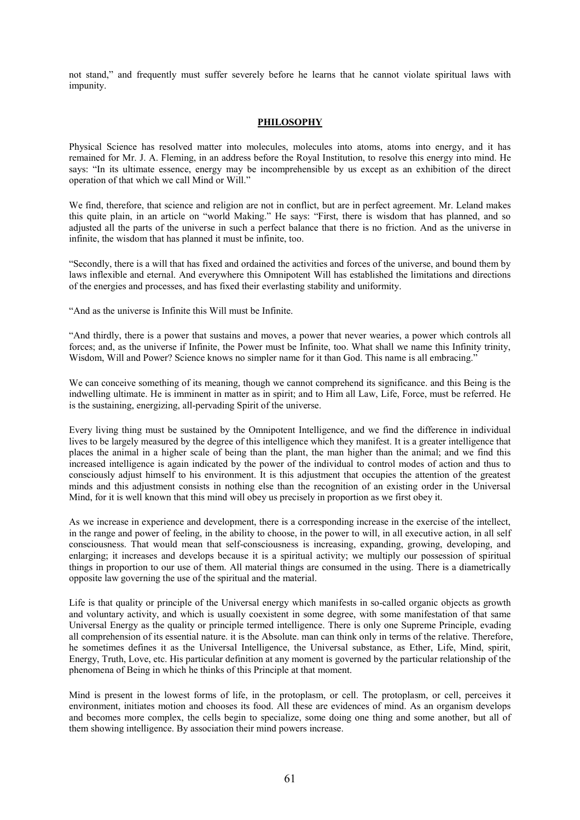not stand," and frequently must suffer severely before he learns that he cannot violate spiritual laws with impunity.

## **PHILOSOPHY**

Physical Science has resolved matter into molecules, molecules into atoms, atoms into energy, and it has remained for Mr. J. A. Fleming, in an address before the Royal Institution, to resolve this energy into mind. He says: "In its ultimate essence, energy may be incomprehensible by us except as an exhibition of the direct operation of that which we call Mind or Will."

We find, therefore, that science and religion are not in conflict, but are in perfect agreement. Mr. Leland makes this quite plain, in an article on "world Making." He says: "First, there is wisdom that has planned, and so adjusted all the parts of the universe in such a perfect balance that there is no friction. And as the universe in infinite, the wisdom that has planned it must be infinite, too.

"Secondly, there is a will that has fixed and ordained the activities and forces of the universe, and bound them by laws inflexible and eternal. And everywhere this Omnipotent Will has established the limitations and directions of the energies and processes, and has fixed their everlasting stability and uniformity.

"And as the universe is Infinite this Will must be Infinite.

"And thirdly, there is a power that sustains and moves, a power that never wearies, a power which controls all forces; and, as the universe if Infinite, the Power must be Infinite, too. What shall we name this Infinity trinity, Wisdom, Will and Power? Science knows no simpler name for it than God. This name is all embracing."

We can conceive something of its meaning, though we cannot comprehend its significance, and this Being is the indwelling ultimate. He is imminent in matter as in spirit; and to Him all Law, Life, Force, must be referred. He is the sustaining, energizing, all-pervading Spirit of the universe.

Every living thing must be sustained by the Omnipotent Intelligence, and we find the difference in individual lives to be largely measured by the degree of this intelligence which they manifest. It is a greater intelligence that places the animal in a higher scale of being than the plant, the man higher than the animal; and we find this increased intelligence is again indicated by the power of the individual to control modes of action and thus to consciously adjust himself to his environment. It is this adjustment that occupies the attention of the greatest minds and this adjustment consists in nothing else than the recognition of an existing order in the Universal Mind, for it is well known that this mind will obey us precisely in proportion as we first obey it.

As we increase in experience and development, there is a corresponding increase in the exercise of the intellect, in the range and power of feeling, in the ability to choose, in the power to will, in all executive action, in all self consciousness. That would mean that self-consciousness is increasing, expanding, growing, developing, and enlarging; it increases and develops because it is a spiritual activity; we multiply our possession of spiritual things in proportion to our use of them. All material things are consumed in the using. There is a diametrically opposite law governing the use of the spiritual and the material.

Life is that quality or principle of the Universal energy which manifests in so-called organic objects as growth and voluntary activity, and which is usually coexistent in some degree, with some manifestation of that same Universal Energy as the quality or principle termed intelligence. There is only one Supreme Principle, evading all comprehension of its essential nature. it is the Absolute. man can think only in terms of the relative. Therefore, he sometimes defines it as the Universal Intelligence, the Universal substance, as Ether, Life, Mind, spirit, Energy, Truth, Love, etc. His particular definition at any moment is governed by the particular relationship of the phenomena of Being in which he thinks of this Principle at that moment.

Mind is present in the lowest forms of life, in the protoplasm, or cell. The protoplasm, or cell, perceives it environment, initiates motion and chooses its food. All these are evidences of mind. As an organism develops and becomes more complex, the cells begin to specialize, some doing one thing and some another, but all of them showing intelligence. By association their mind powers increase.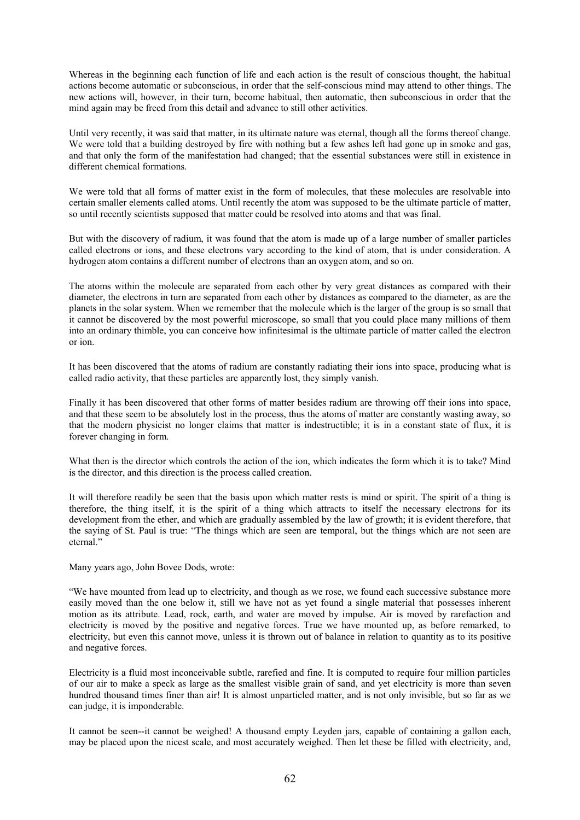Whereas in the beginning each function of life and each action is the result of conscious thought, the habitual actions become automatic or subconscious, in order that the self-conscious mind may attend to other things. The new actions will, however, in their turn, become habitual, then automatic, then subconscious in order that the mind again may be freed from this detail and advance to still other activities.

Until very recently, it was said that matter, in its ultimate nature was eternal, though all the forms thereof change. We were told that a building destroyed by fire with nothing but a few ashes left had gone up in smoke and gas, and that only the form of the manifestation had changed; that the essential substances were still in existence in different chemical formations.

We were told that all forms of matter exist in the form of molecules, that these molecules are resolvable into certain smaller elements called atoms. Until recently the atom was supposed to be the ultimate particle of matter, so until recently scientists supposed that matter could be resolved into atoms and that was final.

But with the discovery of radium, it was found that the atom is made up of a large number of smaller particles called electrons or ions, and these electrons vary according to the kind of atom, that is under consideration. A hydrogen atom contains a different number of electrons than an oxygen atom, and so on.

The atoms within the molecule are separated from each other by very great distances as compared with their diameter, the electrons in turn are separated from each other by distances as compared to the diameter, as are the planets in the solar system. When we remember that the molecule which is the larger of the group is so small that it cannot be discovered by the most powerful microscope, so small that you could place many millions of them into an ordinary thimble, you can conceive how infinitesimal is the ultimate particle of matter called the electron or ion.

It has been discovered that the atoms of radium are constantly radiating their ions into space, producing what is called radio activity, that these particles are apparently lost, they simply vanish.

Finally it has been discovered that other forms of matter besides radium are throwing off their ions into space, and that these seem to be absolutely lost in the process, thus the atoms of matter are constantly wasting away, so that the modern physicist no longer claims that matter is indestructible; it is in a constant state of flux, it is forever changing in form.

What then is the director which controls the action of the ion, which indicates the form which it is to take? Mind is the director, and this direction is the process called creation.

It will therefore readily be seen that the basis upon which matter rests is mind or spirit. The spirit of a thing is therefore, the thing itself, it is the spirit of a thing which attracts to itself the necessary electrons for its development from the ether, and which are gradually assembled by the law of growth; it is evident therefore, that the saying of St. Paul is true: "The things which are seen are temporal, but the things which are not seen are eternal<sup>"</sup>

Many years ago, John Bovee Dods, wrote:

"We have mounted from lead up to electricity, and though as we rose, we found each successive substance more easily moved than the one below it, still we have not as yet found a single material that possesses inherent motion as its attribute. Lead, rock, earth, and water are moved by impulse. Air is moved by rarefaction and electricity is moved by the positive and negative forces. True we have mounted up, as before remarked, to electricity, but even this cannot move, unless it is thrown out of balance in relation to quantity as to its positive and negative forces.

Electricity is a fluid most inconceivable subtle, rarefied and fine. It is computed to require four million particles of our air to make a speck as large as the smallest visible grain of sand, and yet electricity is more than seven hundred thousand times finer than air! It is almost unparticled matter, and is not only invisible, but so far as we can judge, it is imponderable.

It cannot be seen--it cannot be weighed! A thousand empty Leyden jars, capable of containing a gallon each, may be placed upon the nicest scale, and most accurately weighed. Then let these be filled with electricity, and,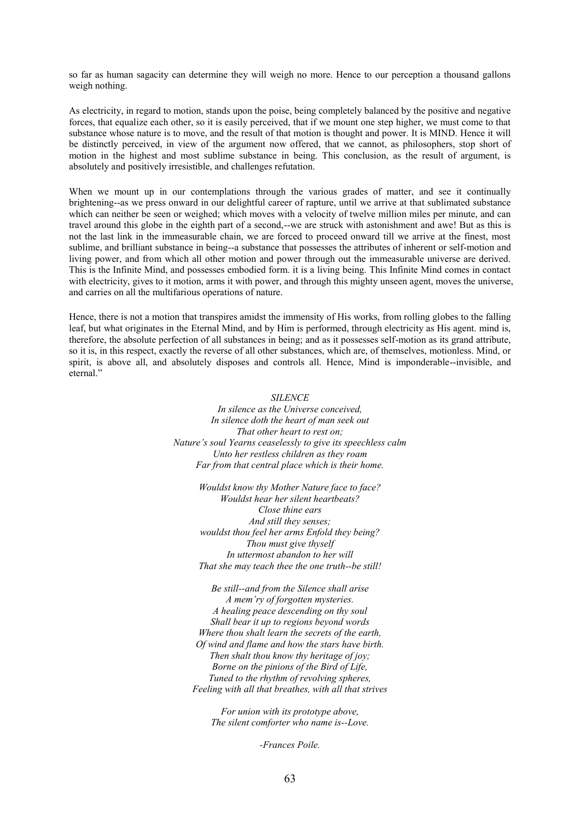so far as human sagacity can determine they will weigh no more. Hence to our perception a thousand gallons weigh nothing.

As electricity, in regard to motion, stands upon the poise, being completely balanced by the positive and negative forces, that equalize each other, so it is easily perceived, that if we mount one step higher, we must come to that substance whose nature is to move, and the result of that motion is thought and power. It is MIND. Hence it will be distinctly perceived, in view of the argument now offered, that we cannot, as philosophers, stop short of motion in the highest and most sublime substance in being. This conclusion, as the result of argument, is absolutely and positively irresistible, and challenges refutation.

When we mount up in our contemplations through the various grades of matter, and see it continually brightening--as we press onward in our delightful career of rapture, until we arrive at that sublimated substance which can neither be seen or weighed; which moves with a velocity of twelve million miles per minute, and can travel around this globe in the eighth part of a second,--we are struck with astonishment and awe! But as this is not the last link in the immeasurable chain, we are forced to proceed onward till we arrive at the finest, most sublime, and brilliant substance in being--a substance that possesses the attributes of inherent or self-motion and living power, and from which all other motion and power through out the immeasurable universe are derived. This is the Infinite Mind, and possesses embodied form. it is a living being. This Infinite Mind comes in contact with electricity, gives to it motion, arms it with power, and through this mighty unseen agent, moves the universe, and carries on all the multifarious operations of nature.

Hence, there is not a motion that transpires amidst the immensity of His works, from rolling globes to the falling leaf, but what originates in the Eternal Mind, and by Him is performed, through electricity as His agent. mind is, therefore, the absolute perfection of all substances in being; and as it possesses self-motion as its grand attribute, so it is, in this respect, exactly the reverse of all other substances, which are, of themselves, motionless. Mind, or spirit, is above all, and absolutely disposes and controls all. Hence, Mind is imponderable--invisible, and eternal<sup>"</sup>

#### *SILENCE*

*In silence as the Universe conceived, In silence doth the heart of man seek out That other heart to rest on; Nature's soul Yearns ceaselessly to give its speechless calm Unto her restless children as they roam Far from that central place which is their home.* 

> *Wouldst know thy Mother Nature face to face? Wouldst hear her silent heartbeats? Close thine ears And still they senses; wouldst thou feel her arms Enfold they being? Thou must give thyself In uttermost abandon to her will That she may teach thee the one truth--be still!*

*Be still--and from the Silence shall arise A mem'ry of forgotten mysteries. A healing peace descending on thy soul Shall bear it up to regions beyond words Where thou shalt learn the secrets of the earth, Of wind and flame and how the stars have birth. Then shalt thou know thy heritage of joy; Borne on the pinions of the Bird of Life, Tuned to the rhythm of revolving spheres, Feeling with all that breathes, with all that strives* 

*For union with its prototype above, The silent comforter who name is--Love.* 

*-Frances Poile.*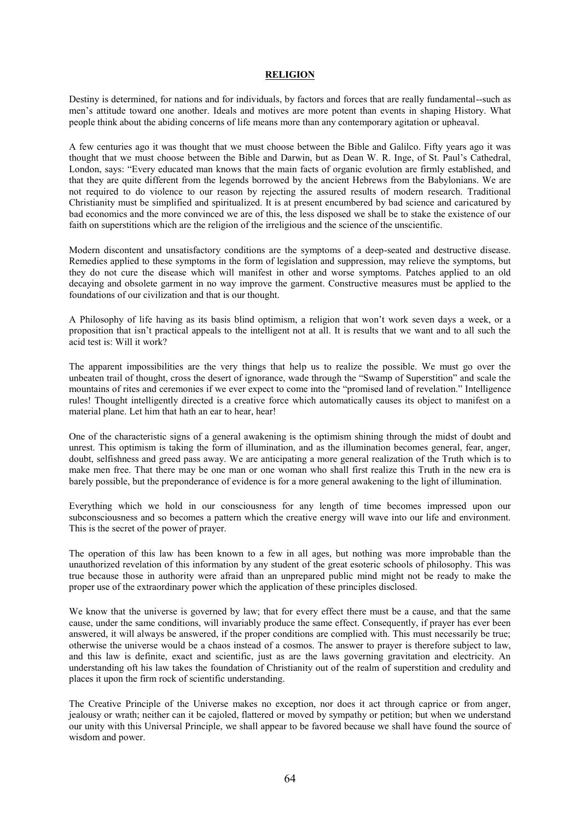#### **RELIGION**

Destiny is determined, for nations and for individuals, by factors and forces that are really fundamental--such as men's attitude toward one another. Ideals and motives are more potent than events in shaping History. What people think about the abiding concerns of life means more than any contemporary agitation or upheaval.

A few centuries ago it was thought that we must choose between the Bible and Galilco. Fifty years ago it was thought that we must choose between the Bible and Darwin, but as Dean W. R. Inge, of St. Paul's Cathedral, London, says: "Every educated man knows that the main facts of organic evolution are firmly established, and that they are quite different from the legends borrowed by the ancient Hebrews from the Babylonians. We are not required to do violence to our reason by rejecting the assured results of modern research. Traditional Christianity must be simplified and spiritualized. It is at present encumbered by bad science and caricatured by bad economics and the more convinced we are of this, the less disposed we shall be to stake the existence of our faith on superstitions which are the religion of the irreligious and the science of the unscientific.

Modern discontent and unsatisfactory conditions are the symptoms of a deep-seated and destructive disease. Remedies applied to these symptoms in the form of legislation and suppression, may relieve the symptoms, but they do not cure the disease which will manifest in other and worse symptoms. Patches applied to an old decaying and obsolete garment in no way improve the garment. Constructive measures must be applied to the foundations of our civilization and that is our thought.

A Philosophy of life having as its basis blind optimism, a religion that won't work seven days a week, or a proposition that isn't practical appeals to the intelligent not at all. It is results that we want and to all such the acid test is: Will it work?

The apparent impossibilities are the very things that help us to realize the possible. We must go over the unbeaten trail of thought, cross the desert of ignorance, wade through the "Swamp of Superstition" and scale the mountains of rites and ceremonies if we ever expect to come into the "promised land of revelation." Intelligence rules! Thought intelligently directed is a creative force which automatically causes its object to manifest on a material plane. Let him that hath an ear to hear, hear!

One of the characteristic signs of a general awakening is the optimism shining through the midst of doubt and unrest. This optimism is taking the form of illumination, and as the illumination becomes general, fear, anger, doubt, selfishness and greed pass away. We are anticipating a more general realization of the Truth which is to make men free. That there may be one man or one woman who shall first realize this Truth in the new era is barely possible, but the preponderance of evidence is for a more general awakening to the light of illumination.

Everything which we hold in our consciousness for any length of time becomes impressed upon our subconsciousness and so becomes a pattern which the creative energy will wave into our life and environment. This is the secret of the power of prayer.

The operation of this law has been known to a few in all ages, but nothing was more improbable than the unauthorized revelation of this information by any student of the great esoteric schools of philosophy. This was true because those in authority were afraid than an unprepared public mind might not be ready to make the proper use of the extraordinary power which the application of these principles disclosed.

We know that the universe is governed by law; that for every effect there must be a cause, and that the same cause, under the same conditions, will invariably produce the same effect. Consequently, if prayer has ever been answered, it will always be answered, if the proper conditions are complied with. This must necessarily be true; otherwise the universe would be a chaos instead of a cosmos. The answer to prayer is therefore subject to law, and this law is definite, exact and scientific, just as are the laws governing gravitation and electricity. An understanding oft his law takes the foundation of Christianity out of the realm of superstition and credulity and places it upon the firm rock of scientific understanding.

The Creative Principle of the Universe makes no exception, nor does it act through caprice or from anger, jealousy or wrath; neither can it be cajoled, flattered or moved by sympathy or petition; but when we understand our unity with this Universal Principle, we shall appear to be favored because we shall have found the source of wisdom and power.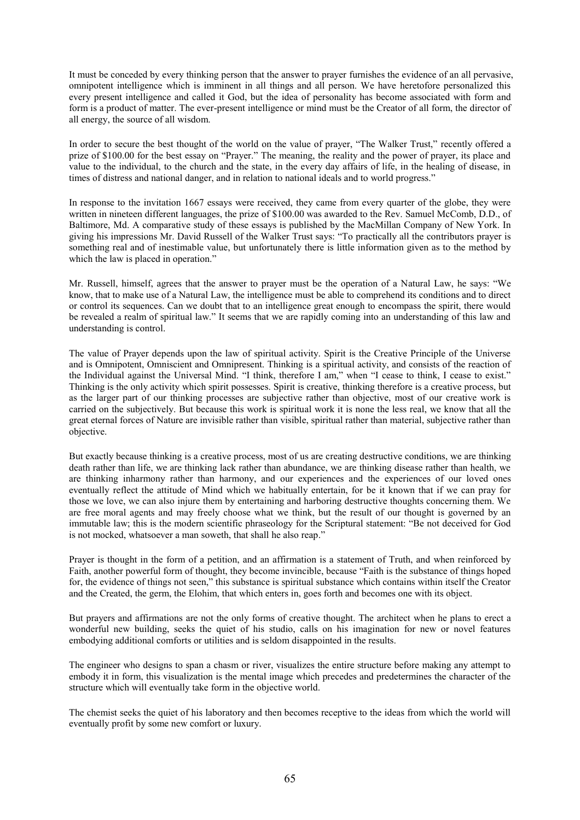It must be conceded by every thinking person that the answer to prayer furnishes the evidence of an all pervasive, omnipotent intelligence which is imminent in all things and all person. We have heretofore personalized this every present intelligence and called it God, but the idea of personality has become associated with form and form is a product of matter. The ever-present intelligence or mind must be the Creator of all form, the director of all energy, the source of all wisdom.

In order to secure the best thought of the world on the value of prayer, "The Walker Trust," recently offered a prize of \$100.00 for the best essay on "Prayer." The meaning, the reality and the power of prayer, its place and value to the individual, to the church and the state, in the every day affairs of life, in the healing of disease, in times of distress and national danger, and in relation to national ideals and to world progress."

In response to the invitation 1667 essays were received, they came from every quarter of the globe, they were written in nineteen different languages, the prize of \$100.00 was awarded to the Rev. Samuel McComb, D.D., of Baltimore, Md. A comparative study of these essays is published by the MacMillan Company of New York. In giving his impressions Mr. David Russell of the Walker Trust says: "To practically all the contributors prayer is something real and of inestimable value, but unfortunately there is little information given as to the method by which the law is placed in operation."

Mr. Russell, himself, agrees that the answer to prayer must be the operation of a Natural Law, he says: "We know, that to make use of a Natural Law, the intelligence must be able to comprehend its conditions and to direct or control its sequences. Can we doubt that to an intelligence great enough to encompass the spirit, there would be revealed a realm of spiritual law." It seems that we are rapidly coming into an understanding of this law and understanding is control.

The value of Prayer depends upon the law of spiritual activity. Spirit is the Creative Principle of the Universe and is Omnipotent, Omniscient and Omnipresent. Thinking is a spiritual activity, and consists of the reaction of the Individual against the Universal Mind. "I think, therefore I am," when "I cease to think, I cease to exist." Thinking is the only activity which spirit possesses. Spirit is creative, thinking therefore is a creative process, but as the larger part of our thinking processes are subjective rather than objective, most of our creative work is carried on the subjectively. But because this work is spiritual work it is none the less real, we know that all the great eternal forces of Nature are invisible rather than visible, spiritual rather than material, subjective rather than objective.

But exactly because thinking is a creative process, most of us are creating destructive conditions, we are thinking death rather than life, we are thinking lack rather than abundance, we are thinking disease rather than health, we are thinking inharmony rather than harmony, and our experiences and the experiences of our loved ones eventually reflect the attitude of Mind which we habitually entertain, for be it known that if we can pray for those we love, we can also injure them by entertaining and harboring destructive thoughts concerning them. We are free moral agents and may freely choose what we think, but the result of our thought is governed by an immutable law; this is the modern scientific phraseology for the Scriptural statement: "Be not deceived for God is not mocked, whatsoever a man soweth, that shall he also reap."

Prayer is thought in the form of a petition, and an affirmation is a statement of Truth, and when reinforced by Faith, another powerful form of thought, they become invincible, because "Faith is the substance of things hoped for, the evidence of things not seen," this substance is spiritual substance which contains within itself the Creator and the Created, the germ, the Elohim, that which enters in, goes forth and becomes one with its object.

But prayers and affirmations are not the only forms of creative thought. The architect when he plans to erect a wonderful new building, seeks the quiet of his studio, calls on his imagination for new or novel features embodying additional comforts or utilities and is seldom disappointed in the results.

The engineer who designs to span a chasm or river, visualizes the entire structure before making any attempt to embody it in form, this visualization is the mental image which precedes and predetermines the character of the structure which will eventually take form in the objective world.

The chemist seeks the quiet of his laboratory and then becomes receptive to the ideas from which the world will eventually profit by some new comfort or luxury.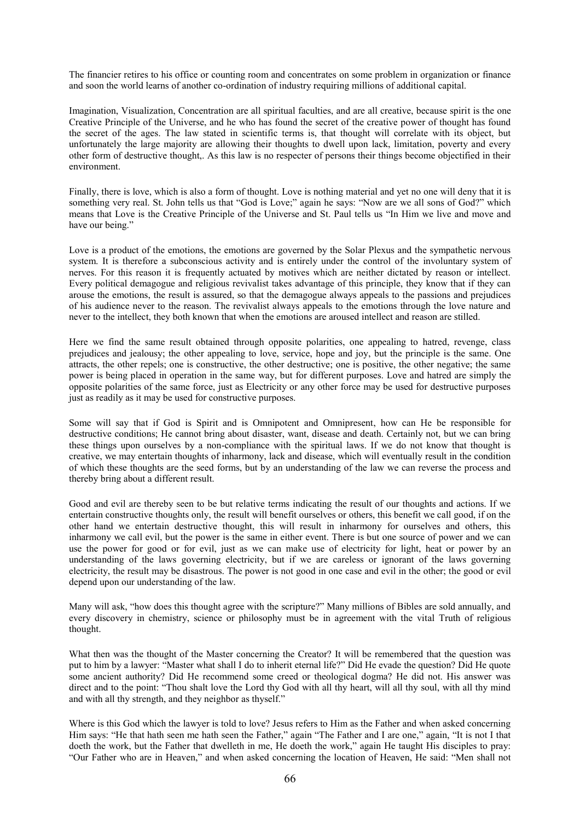The financier retires to his office or counting room and concentrates on some problem in organization or finance and soon the world learns of another co-ordination of industry requiring millions of additional capital.

Imagination, Visualization, Concentration are all spiritual faculties, and are all creative, because spirit is the one Creative Principle of the Universe, and he who has found the secret of the creative power of thought has found the secret of the ages. The law stated in scientific terms is, that thought will correlate with its object, but unfortunately the large majority are allowing their thoughts to dwell upon lack, limitation, poverty and every other form of destructive thought,. As this law is no respecter of persons their things become objectified in their environment.

Finally, there is love, which is also a form of thought. Love is nothing material and yet no one will deny that it is something very real. St. John tells us that "God is Love;" again he says: "Now are we all sons of God?" which means that Love is the Creative Principle of the Universe and St. Paul tells us "In Him we live and move and have our being."

Love is a product of the emotions, the emotions are governed by the Solar Plexus and the sympathetic nervous system. It is therefore a subconscious activity and is entirely under the control of the involuntary system of nerves. For this reason it is frequently actuated by motives which are neither dictated by reason or intellect. Every political demagogue and religious revivalist takes advantage of this principle, they know that if they can arouse the emotions, the result is assured, so that the demagogue always appeals to the passions and prejudices of his audience never to the reason. The revivalist always appeals to the emotions through the love nature and never to the intellect, they both known that when the emotions are aroused intellect and reason are stilled.

Here we find the same result obtained through opposite polarities, one appealing to hatred, revenge, class prejudices and jealousy; the other appealing to love, service, hope and joy, but the principle is the same. One attracts, the other repels; one is constructive, the other destructive; one is positive, the other negative; the same power is being placed in operation in the same way, but for different purposes. Love and hatred are simply the opposite polarities of the same force, just as Electricity or any other force may be used for destructive purposes just as readily as it may be used for constructive purposes.

Some will say that if God is Spirit and is Omnipotent and Omnipresent, how can He be responsible for destructive conditions; He cannot bring about disaster, want, disease and death. Certainly not, but we can bring these things upon ourselves by a non-compliance with the spiritual laws. If we do not know that thought is creative, we may entertain thoughts of inharmony, lack and disease, which will eventually result in the condition of which these thoughts are the seed forms, but by an understanding of the law we can reverse the process and thereby bring about a different result.

Good and evil are thereby seen to be but relative terms indicating the result of our thoughts and actions. If we entertain constructive thoughts only, the result will benefit ourselves or others, this benefit we call good, if on the other hand we entertain destructive thought, this will result in inharmony for ourselves and others, this inharmony we call evil, but the power is the same in either event. There is but one source of power and we can use the power for good or for evil, just as we can make use of electricity for light, heat or power by an understanding of the laws governing electricity, but if we are careless or ignorant of the laws governing electricity, the result may be disastrous. The power is not good in one case and evil in the other; the good or evil depend upon our understanding of the law.

Many will ask, "how does this thought agree with the scripture?" Many millions of Bibles are sold annually, and every discovery in chemistry, science or philosophy must be in agreement with the vital Truth of religious thought.

What then was the thought of the Master concerning the Creator? It will be remembered that the question was put to him by a lawyer: "Master what shall I do to inherit eternal life?" Did He evade the question? Did He quote some ancient authority? Did He recommend some creed or theological dogma? He did not. His answer was direct and to the point: "Thou shalt love the Lord thy God with all thy heart, will all thy soul, with all thy mind and with all thy strength, and they neighbor as thyself."

Where is this God which the lawyer is told to love? Jesus refers to Him as the Father and when asked concerning Him says: "He that hath seen me hath seen the Father," again "The Father and I are one," again, "It is not I that doeth the work, but the Father that dwelleth in me, He doeth the work," again He taught His disciples to pray: "Our Father who are in Heaven," and when asked concerning the location of Heaven, He said: "Men shall not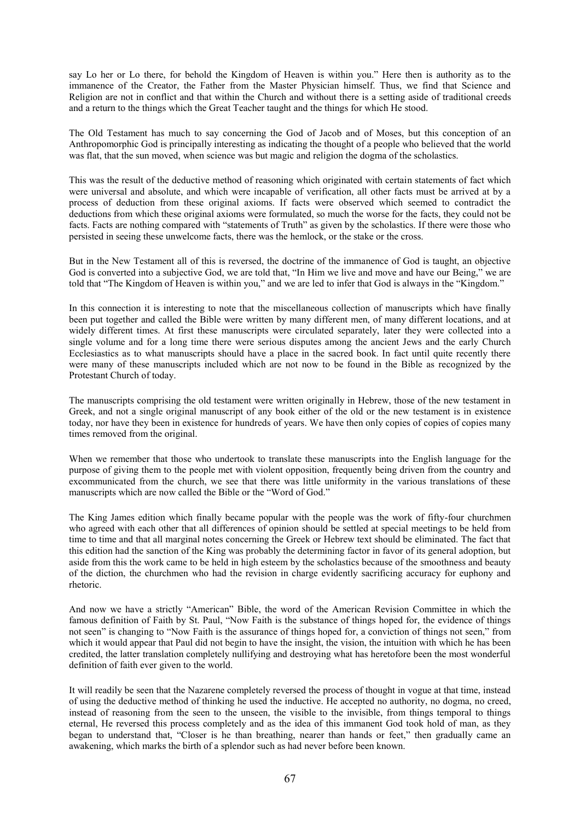say Lo her or Lo there, for behold the Kingdom of Heaven is within you." Here then is authority as to the immanence of the Creator, the Father from the Master Physician himself. Thus, we find that Science and Religion are not in conflict and that within the Church and without there is a setting aside of traditional creeds and a return to the things which the Great Teacher taught and the things for which He stood.

The Old Testament has much to say concerning the God of Jacob and of Moses, but this conception of an Anthropomorphic God is principally interesting as indicating the thought of a people who believed that the world was flat, that the sun moved, when science was but magic and religion the dogma of the scholastics.

This was the result of the deductive method of reasoning which originated with certain statements of fact which were universal and absolute, and which were incapable of verification, all other facts must be arrived at by a process of deduction from these original axioms. If facts were observed which seemed to contradict the deductions from which these original axioms were formulated, so much the worse for the facts, they could not be facts. Facts are nothing compared with "statements of Truth" as given by the scholastics. If there were those who persisted in seeing these unwelcome facts, there was the hemlock, or the stake or the cross.

But in the New Testament all of this is reversed, the doctrine of the immanence of God is taught, an objective God is converted into a subjective God, we are told that, "In Him we live and move and have our Being," we are told that "The Kingdom of Heaven is within you," and we are led to infer that God is always in the "Kingdom."

In this connection it is interesting to note that the miscellaneous collection of manuscripts which have finally been put together and called the Bible were written by many different men, of many different locations, and at widely different times. At first these manuscripts were circulated separately, later they were collected into a single volume and for a long time there were serious disputes among the ancient Jews and the early Church Ecclesiastics as to what manuscripts should have a place in the sacred book. In fact until quite recently there were many of these manuscripts included which are not now to be found in the Bible as recognized by the Protestant Church of today.

The manuscripts comprising the old testament were written originally in Hebrew, those of the new testament in Greek, and not a single original manuscript of any book either of the old or the new testament is in existence today, nor have they been in existence for hundreds of years. We have then only copies of copies of copies many times removed from the original.

When we remember that those who undertook to translate these manuscripts into the English language for the purpose of giving them to the people met with violent opposition, frequently being driven from the country and excommunicated from the church, we see that there was little uniformity in the various translations of these manuscripts which are now called the Bible or the "Word of God."

The King James edition which finally became popular with the people was the work of fifty-four churchmen who agreed with each other that all differences of opinion should be settled at special meetings to be held from time to time and that all marginal notes concerning the Greek or Hebrew text should be eliminated. The fact that this edition had the sanction of the King was probably the determining factor in favor of its general adoption, but aside from this the work came to be held in high esteem by the scholastics because of the smoothness and beauty of the diction, the churchmen who had the revision in charge evidently sacrificing accuracy for euphony and rhetoric.

And now we have a strictly "American" Bible, the word of the American Revision Committee in which the famous definition of Faith by St. Paul, "Now Faith is the substance of things hoped for, the evidence of things not seen" is changing to "Now Faith is the assurance of things hoped for, a conviction of things not seen," from which it would appear that Paul did not begin to have the insight, the vision, the intuition with which he has been credited, the latter translation completely nullifying and destroying what has heretofore been the most wonderful definition of faith ever given to the world.

It will readily be seen that the Nazarene completely reversed the process of thought in vogue at that time, instead of using the deductive method of thinking he used the inductive. He accepted no authority, no dogma, no creed, instead of reasoning from the seen to the unseen, the visible to the invisible, from things temporal to things eternal, He reversed this process completely and as the idea of this immanent God took hold of man, as they began to understand that, "Closer is he than breathing, nearer than hands or feet," then gradually came an awakening, which marks the birth of a splendor such as had never before been known.